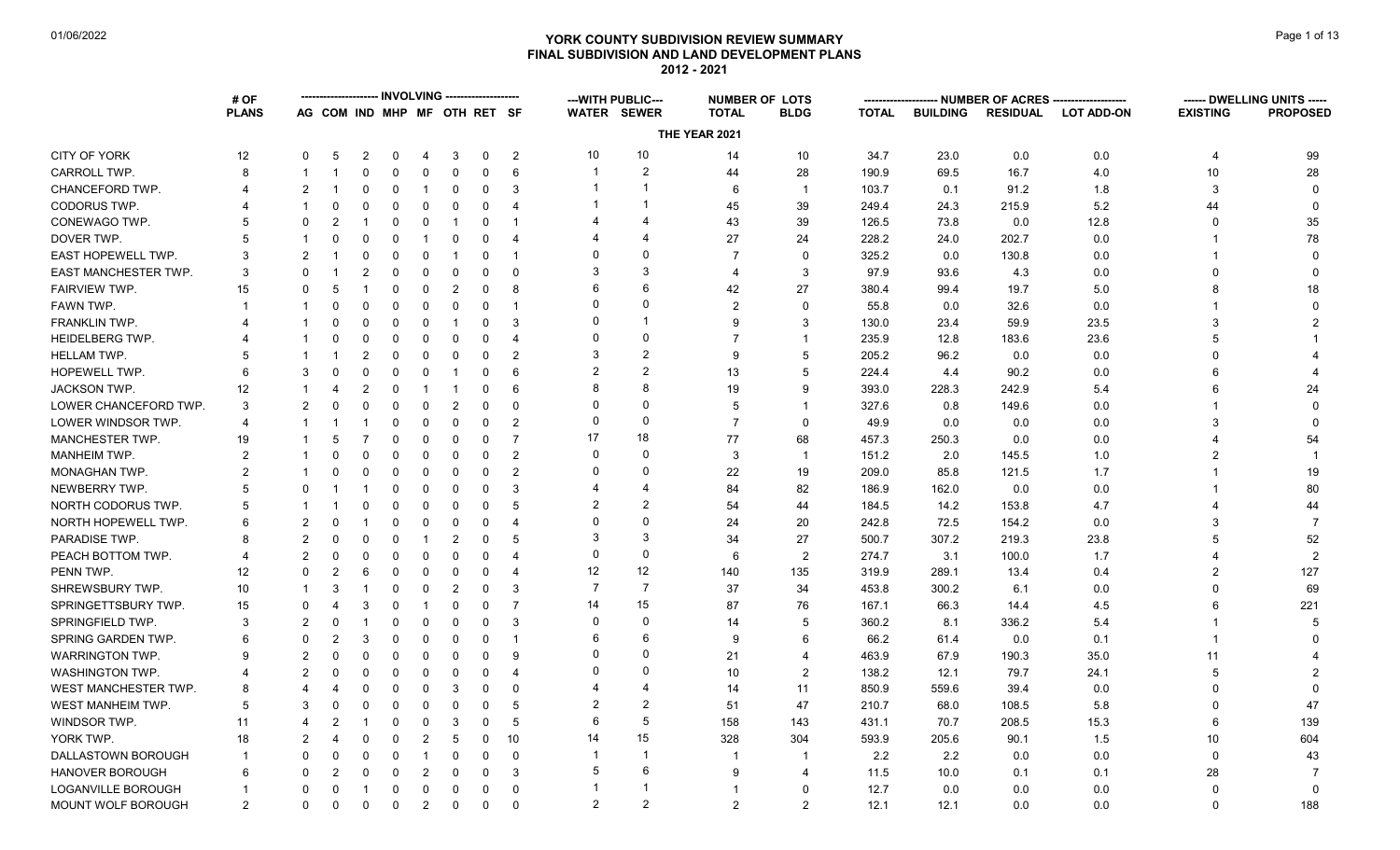# **YORK COUNTY SUBDIVISION REVIEW SUMMARY Page 1 of 13** Page 1 of 13 **FINAL SUBDIVISION AND LAND DEVELOPMENT PLANS 2012 - 2021**

|                             | # OF           |               |                              |                | <b>INVOLVING</b> |                |                         |             |                       |                          | --- WITH PUBLIC---      | <b>NUMBER OF LOTS</b> |                |              |                 |                 | NUMBER OF ACRES ------------------- |                 | ------ DWELLING UNITS ----- |
|-----------------------------|----------------|---------------|------------------------------|----------------|------------------|----------------|-------------------------|-------------|-----------------------|--------------------------|-------------------------|-----------------------|----------------|--------------|-----------------|-----------------|-------------------------------------|-----------------|-----------------------------|
|                             | <b>PLANS</b>   |               | AG COM IND MHP MF OTH RET SF |                |                  |                |                         |             |                       |                          | <b>WATER SEWER</b>      | <b>TOTAL</b>          | <b>BLDG</b>    | <b>TOTAL</b> | <b>BUILDING</b> | <b>RESIDUAL</b> | <b>LOT ADD-ON</b>                   | <b>EXISTING</b> | <b>PROPOSED</b>             |
|                             |                |               |                              |                |                  |                |                         |             |                       |                          |                         | THE YEAR 2021         |                |              |                 |                 |                                     |                 |                             |
| CITY OF YORK                | 12             | $\Omega$      | 5                            | $\overline{2}$ | 0                | 4              | 3                       | $\mathbf 0$ | $\overline{2}$        | 10                       | 10                      | 14                    | 10             | 34.7         | 23.0            | 0.0             | 0.0                                 | 4               | 99                          |
| CARROLL TWP.                | 8              |               |                              | 0              | $\mathbf 0$      | 0              | $\mathbf 0$             | $\Omega$    | 6                     | $\overline{\phantom{a}}$ | $\overline{c}$          | 44                    | 28             | 190.9        | 69.5            | 16.7            | 4.0                                 | 10              | 28                          |
| CHANCEFORD TWP.             |                |               |                              | $\Omega$       | $\mathbf 0$      | -1             | $\mathbf 0$             | $\Omega$    | 3                     |                          |                         | 6                     | $\overline{1}$ | 103.7        | 0.1             | 91.2            | 1.8                                 | 3               | $\mathbf{0}$                |
| CODORUS TWP.                |                |               | 0                            | 0              | $\mathbf 0$      | 0              | $\mathbf 0$             | 0           | $\overline{4}$        |                          |                         | 45                    | 39             | 249.4        | 24.3            | 215.9           | 5.2                                 | 44              | $\mathbf 0$                 |
| CONEWAGO TWP.               |                |               | $\overline{2}$               |                | $\Omega$         | 0              | -1                      | $\Omega$    |                       |                          | Δ                       | 43                    | 39             | 126.5        | 73.8            | 0.0             | 12.8                                |                 | 35                          |
| DOVER TWP.                  |                |               |                              | $\Omega$       | $\mathbf 0$      |                | 0                       |             | 4                     |                          | $\overline{4}$          | 27                    | 24             | 228.2        | 24.0            | 202.7           | 0.0                                 |                 | 78                          |
| <b>EAST HOPEWELL TWP.</b>   | 3              |               |                              | $\Omega$       | $\Omega$         | $\Omega$       | -1                      | $\Omega$    |                       | 0                        | $\Omega$                |                       | $\Omega$       | 325.2        | 0.0             | 130.8           | 0.0                                 |                 | $\Omega$                    |
| <b>EAST MANCHESTER TWP.</b> | 3              |               |                              | 2              | $\mathbf 0$      | 0              | $\mathbf 0$             | $\Omega$    | $\Omega$              | 3                        | 3                       | $\boldsymbol{\Delta}$ | 3              | 97.9         | 93.6            | 4.3             | 0.0                                 |                 |                             |
| <b>FAIRVIEW TWP.</b>        | 15             |               | .5                           |                | $\Omega$         | 0              | $\overline{2}$          | $\Omega$    | 8                     | 6                        | 6                       | 42                    | 27             | 380.4        | 99.4            | 19.7            | 5.0                                 |                 | 18                          |
| FAWN TWP.                   |                |               |                              | $\Omega$       | $\mathbf 0$      | $\Omega$       | $\mathbf 0$             | $\Omega$    | -1                    | $\Omega$                 | $\mathbf 0$             | $\mathfrak{p}$        | $\Omega$       | 55.8         | 0.0             | 32.6            | 0.0                                 |                 | $\Omega$                    |
| <b>FRANKLIN TWP.</b>        |                |               | $\Omega$                     | $\Omega$       | $\mathbf 0$      | 0              | $\overline{\mathbf{1}}$ | $\Omega$    | 3                     | 0                        | -1                      | 9                     | 3              | 130.0        | 23.4            | 59.9            | 23.5                                |                 |                             |
| <b>HEIDELBERG TWP.</b>      |                |               |                              | $\Omega$       | $\mathbf 0$      | 0              | $\mathbf 0$             | $\Omega$    | $\overline{4}$        | $\Omega$                 | $\Omega$                |                       | 1              | 235.9        | 12.8            | 183.6           | 23.6                                |                 |                             |
| HELLAM TWP.                 |                |               |                              | $\overline{2}$ | $\Omega$         | $\Omega$       | $\mathbf 0$             | $\Omega$    | $\mathcal{P}$         | 3                        | $\overline{2}$          | 9                     | 5              | 205.2        | 96.2            | 0.0             | 0.0                                 |                 |                             |
| HOPEWELL TWP.               |                |               |                              | $\Omega$       | $\Omega$         | 0              | -1                      | $\Omega$    | 6                     | $\overline{2}$           | $\overline{2}$          | 13                    | 5              | 224.4        | 4.4             | 90.2            | 0.0                                 |                 |                             |
| <b>JACKSON TWP.</b>         | 12             |               | 4                            | 2              | $\mathbf 0$      | -1             | $\mathbf 1$             | $\Omega$    | 6                     | 8                        | 8                       | 19                    | 9              | 393.0        | 228.3           | 242.9           | 5.4                                 |                 | 24                          |
| LOWER CHANCEFORD TWP.       | 3              |               |                              | $\Omega$       | $\Omega$         | 0              | $\overline{2}$          | $\Omega$    | $\Omega$              | $\Omega$                 | $\Omega$                | 5                     | 1              | 327.6        | 0.8             | 149.6           | 0.0                                 |                 |                             |
| LOWER WINDSOR TWP.          |                |               |                              |                | 0                | $\Omega$       | 0                       | $\Omega$    | $\overline{2}$        | 0                        | $\mathbf 0$             | 7                     | $\Omega$       | 49.9         | 0.0             | 0.0             | 0.0                                 | 3               |                             |
| MANCHESTER TWP.             | 19             |               | .5                           |                | $\mathbf 0$      | 0              | $\mathbf 0$             | $\Omega$    | $\overline{7}$        | 17                       | 18                      | 77                    | 68             | 457.3        | 250.3           | 0.0             | 0.0                                 |                 | 54                          |
| <b>MANHEIM TWP.</b>         | $\overline{2}$ |               |                              | $\Omega$       | 0                | 0              | $\mathbf 0$             | $\Omega$    | $\overline{2}$        | 0                        | $\mathbf 0$             | 3                     | $\overline{1}$ | 151.2        | 2.0             | 145.5           | 1.0                                 |                 |                             |
| MONAGHAN TWP.               | $\mathcal{P}$  |               |                              | $\Omega$       | $\mathbf 0$      | 0              | 0                       | $\Omega$    | $\mathcal{P}$         | $\Omega$                 | $\Omega$                | 22                    | 19             | 209.0        | 85.8            | 121.5           | 1.7                                 |                 | 19                          |
| NEWBERRY TWP.               |                |               |                              |                | $\Omega$         | $\Omega$       | $\mathbf 0$             | $\Omega$    | 3                     |                          | $\boldsymbol{\Delta}$   | 84                    | 82             | 186.9        | 162.0           | 0.0             | 0.0                                 |                 | 80                          |
| NORTH CODORUS TWP.          |                |               |                              |                | $\mathbf 0$      | $\Omega$       | $\mathbf 0$             | $\Omega$    | 5                     | 2                        | $\overline{2}$          | 54                    | 44             | 184.5        | 14.2            | 153.8           | 4.7                                 |                 | 44                          |
| NORTH HOPEWELL TWP.         |                |               | $\Omega$                     |                | $\Omega$         | $\Omega$       | $\mathbf 0$             | $\Omega$    | $\overline{4}$        | 0                        | $\mathbf 0$             | 24                    | 20             | 242.8        | 72.5            | 154.2           | 0.0                                 |                 | -7                          |
| PARADISE TWP.               |                | $\mathcal{P}$ | $\Omega$                     | 0              | 0                |                | $\overline{2}$          | $\Omega$    | 5                     | 3                        | 3                       | 34                    | 27             | 500.7        | 307.2           | 219.3           | 23.8                                |                 | 52                          |
| PEACH BOTTOM TWP.           |                |               | $\Omega$                     | $\Omega$       | $\mathbf 0$      | $\Omega$       | $\mathbf 0$             | $\Omega$    | 4                     | $\mathbf{0}$             | $\mathbf 0$             | 6                     | $\overline{2}$ | 274.7        | 3.1             | 100.0           | 1.7                                 |                 | $\overline{2}$              |
| PENN TWP.                   | 12             | $\Omega$      | $\overline{2}$               | 6              | $\mathbf 0$      | 0              | $\mathbf 0$             | $\Omega$    | $\overline{4}$        | 12                       | 12                      | 140                   | 135            | 319.9        | 289.1           | 13.4            | 0.4                                 | $\mathcal{P}$   | 127                         |
| SHREWSBURY TWP.             | 10             |               | 3                            |                | $\Omega$         | 0              | $\overline{2}$          | $\Omega$    | 3                     | $\overline{7}$           | $\overline{7}$          | 37                    | 34             | 453.8        | 300.2           | 6.1             | 0.0                                 |                 | 69                          |
| SPRINGETTSBURY TWP.         | 15             | $\Omega$      |                              |                | $\Omega$         | -1             | $\mathbf 0$             | $\Omega$    | $\overline{7}$        | 14                       | 15                      | 87                    | 76             | 167.1        | 66.3            | 14.4            | 4.5                                 |                 | 221                         |
| SPRINGFIELD TWP.            | 3              |               | $\Omega$                     |                | $\Omega$         | $\Omega$       | $\mathbf 0$             | $\Omega$    | 3                     | $\mathbf{0}$             | $\mathbf 0$             | 14                    | 5              | 360.2        | 8.1             | 336.2           | 5.4                                 |                 |                             |
| <b>SPRING GARDEN TWP.</b>   |                |               | $\overline{2}$               | 3              | $\Omega$         | $\Omega$       | $\mathbf 0$             | $\Omega$    | $\overline{1}$        | 6                        | 6                       | 9                     | 6              | 66.2         | 61.4            | 0.0             | 0.1                                 |                 |                             |
| <b>WARRINGTON TWP.</b>      |                | 2             | 0                            | $\Omega$       | 0                | $\Omega$       | 0                       | $\Omega$    | 9                     | 0                        | $\Omega$                | 21                    | $\overline{4}$ | 463.9        | 67.9            | 190.3           | 35.0                                | 11              |                             |
| WASHINGTON TWP.             |                |               | $\Omega$                     | $\Omega$       | 0                | 0              | 0                       | $\Omega$    | $\boldsymbol{\Delta}$ | $\Omega$                 | $\Omega$                | 10                    | $\overline{2}$ | 138.2        | 12.1            | 79.7            | 24.1                                |                 |                             |
| WEST MANCHESTER TWP.        |                |               | 4                            | $\Omega$       | 0                | $\Omega$       | 3                       | $\Omega$    | $\mathbf 0$           | 4                        | $\overline{4}$          | 14                    | 11             | 850.9        | 559.6           | 39.4            | 0.0                                 | $\Omega$        | $\Omega$                    |
| WEST MANHEIM TWP.           | .5             | 3             | $\Omega$                     | $\Omega$       | $\mathbf 0$      | 0              | 0                       | $\Omega$    | 5                     | 2                        | $\overline{2}$          | 51                    | 47             | 210.7        | 68.0            | 108.5           | 5.8                                 | $\Omega$        | 47                          |
| WINDSOR TWP.                | 11             |               | $\overline{2}$               |                | $\Omega$         | $\Omega$       | 3                       | $\Omega$    | 5                     | 6                        | 5                       | 158                   | 143            | 431.1        | 70.7            | 208.5           | 15.3                                | 6               | 139                         |
| YORK TWP.                   | 18             |               | 4                            | $\Omega$       | $\mathbf 0$      | $\overline{2}$ | 5                       | $\Omega$    | 10                    | 14                       | 15                      | 328                   | 304            | 593.9        | 205.6           | 90.1            | 1.5                                 | 10              | 604                         |
| DALLASTOWN BOROUGH          |                |               | $\Omega$                     | $\Omega$       | $\Omega$         |                | $\mathbf 0$             | $\Omega$    | $\mathbf 0$           | - 1                      | $\overline{\mathbf{1}}$ |                       | -1             | 2.2          | 2.2             | 0.0             | 0.0                                 | $\Omega$        | 43                          |
| <b>HANOVER BOROUGH</b>      |                | $\Omega$      | $\overline{2}$               | $\Omega$       | 0                | $\overline{2}$ | 0                       | $\Omega$    | 3                     | 5                        | 6                       | 9                     | $\overline{4}$ | 11.5         | 10.0            | 0.1             | 0.1                                 | 28              | $\overline{7}$              |
| LOGANVILLE BOROUGH          |                | $\Omega$      | 0                            |                | $\mathbf 0$      | 0              | 0                       | $\Omega$    | $\mathbf 0$           | -1                       |                         |                       | $\Omega$       | 12.7         | 0.0             | 0.0             | 0.0                                 | $\Omega$        | $\Omega$                    |
| MOUNT WOLF BOROUGH          | 2              | $\Omega$      | $\Omega$                     | $\Omega$       | 0                | $\overline{2}$ | 0                       | 0           | $\mathbf 0$           | 2                        | $\overline{2}$          | $\overline{2}$        | $\overline{2}$ | 12.1         | 12.1            | 0.0             | 0.0                                 | $\Omega$        | 188                         |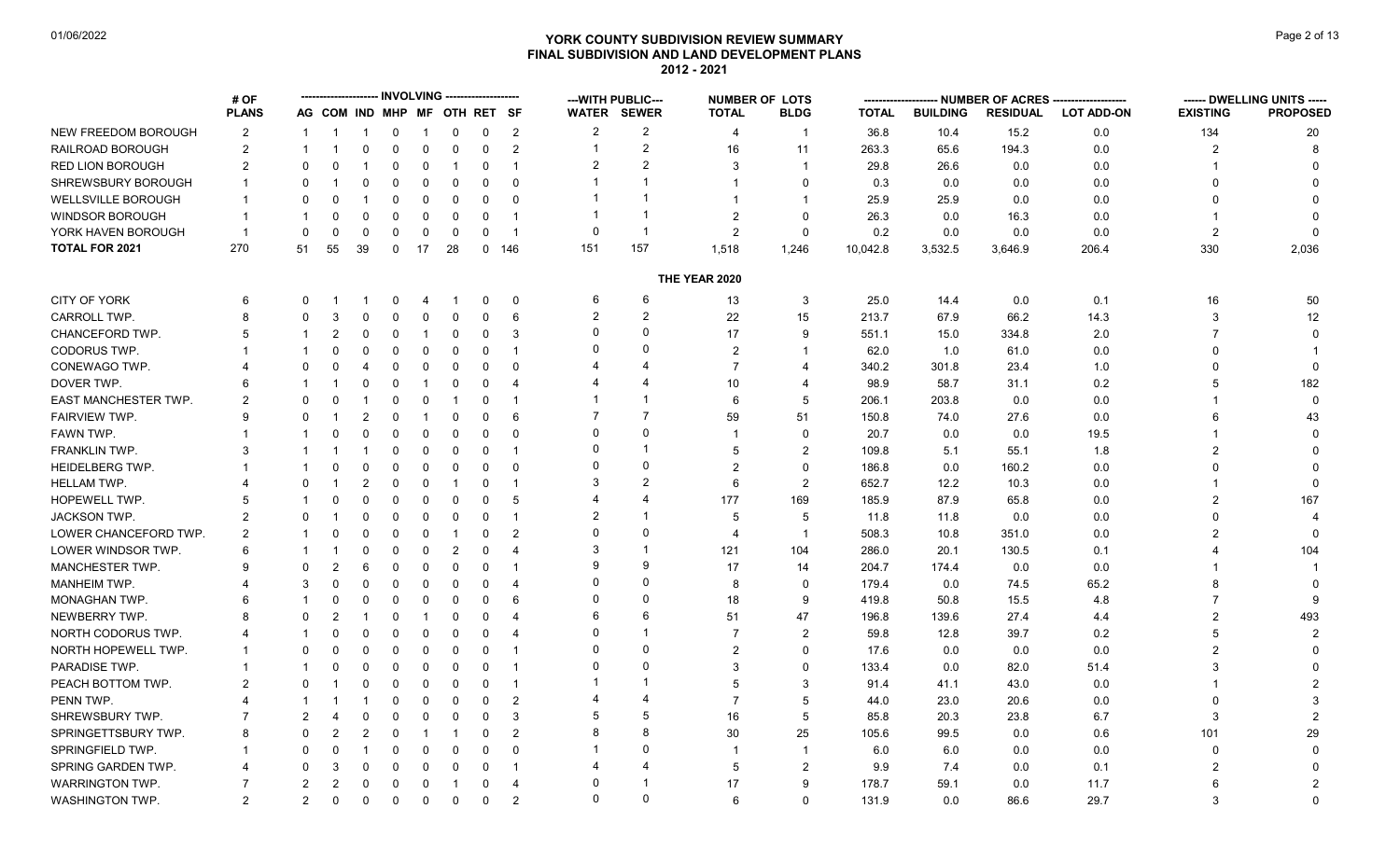# **YORK COUNTY SUBDIVISION REVIEW SUMMARY Page 2 of 13** Page 2 of 13 **FINAL SUBDIVISION AND LAND DEVELOPMENT PLANS 2012 - 2021**

|                             | # OF           |                |                              |                |             |                | <b>INVOLVING --------------------</b> |              |                         |                | --- WITH PUBLIC---      |                | <b>NUMBER OF LOTS</b>    | --------     |                 |                 | -- NUMBER OF ACRES -------------------- |                 | ------ DWELLING UNITS ----- |
|-----------------------------|----------------|----------------|------------------------------|----------------|-------------|----------------|---------------------------------------|--------------|-------------------------|----------------|-------------------------|----------------|--------------------------|--------------|-----------------|-----------------|-----------------------------------------|-----------------|-----------------------------|
|                             | <b>PLANS</b>   |                | AG COM IND MHP MF OTH RET SF |                |             |                |                                       |              |                         |                | <b>WATER SEWER</b>      | <b>TOTAL</b>   | <b>BLDG</b>              | <b>TOTAL</b> | <b>BUILDING</b> | <b>RESIDUAL</b> | <b>LOT ADD-ON</b>                       | <b>EXISTING</b> | <b>PROPOSED</b>             |
| NEW FREEDOM BOROUGH         | $\overline{2}$ | -1             | -1                           | -1             | $\mathbf 0$ | $\overline{1}$ | $\mathbf 0$                           | 0            | $\overline{2}$          | $\overline{2}$ | 2                       | 4              | $\mathbf 1$              | 36.8         | 10.4            | 15.2            | 0.0                                     | 134             | 20                          |
| RAILROAD BOROUGH            | $\overline{2}$ | -1             |                              | 0              | $\mathbf 0$ | $\mathbf 0$    | $\mathbf 0$                           | 0            | 2                       |                | $\overline{c}$          | 16             | 11                       | 263.3        | 65.6            | 194.3           | 0.0                                     | $\overline{2}$  |                             |
| <b>RED LION BOROUGH</b>     | $\overline{2}$ | $\Omega$       | $\Omega$                     |                | $\Omega$    | 0              | $\overline{1}$                        | $\Omega$     | $\overline{1}$          | $\overline{2}$ | $\overline{2}$          | 3              | $\mathbf{1}$             | 29.8         | 26.6            | 0.0             | 0.0                                     |                 |                             |
| SHREWSBURY BOROUGH          |                |                |                              | $\Omega$       | $\Omega$    | $\Omega$       | $\mathbf 0$                           | $\Omega$     | $\Omega$                |                | 1                       |                | $\Omega$                 | 0.3          | 0.0             | 0.0             | 0.0                                     | O               |                             |
| <b>WELLSVILLE BOROUGH</b>   |                | 0              | 0                            |                | 0           | 0              | 0                                     | 0            | $\Omega$                |                | -1                      |                | $\mathbf 1$              | 25.9         | 25.9            | 0.0             | 0.0                                     | 0               |                             |
| WINDSOR BOROUGH             |                |                | $\Omega$                     | $\Omega$       | $\Omega$    | $\Omega$       | $\mathbf 0$                           | $\Omega$     | $\overline{1}$          |                | $\overline{1}$          | $\overline{2}$ | $\Omega$                 | 26.3         | 0.0             | 16.3            | 0.0                                     |                 |                             |
| YORK HAVEN BOROUGH          | $\overline{1}$ | $\mathbf 0$    | $\mathbf 0$                  | $\mathbf 0$    | $\mathbf 0$ | $\mathbf 0$    | $\mathbf 0$                           | $\mathbf 0$  | $\overline{1}$          | $\Omega$       | $\overline{1}$          | $\overline{2}$ | $\Omega$                 | 0.2          | 0.0             | 0.0             | 0.0                                     | $\overline{2}$  |                             |
| <b>TOTAL FOR 2021</b>       | 270            | 51             | 55                           | 39             | $\mathbf 0$ | 17             | 28                                    | $\mathbf{0}$ | 146                     | 151            | 157                     | 1,518          | 1,246                    | 10,042.8     | 3,532.5         | 3,646.9         | 206.4                                   | 330             | 2,036                       |
|                             |                |                |                              |                |             |                |                                       |              |                         |                |                         | THE YEAR 2020  |                          |              |                 |                 |                                         |                 |                             |
| CITY OF YORK                | 6              | 0              |                              |                | 0           | 4              |                                       | $\Omega$     | $\mathbf 0$             | 6              | 6                       | 13             | 3                        | 25.0         | 14.4            | 0.0             | 0.1                                     | 16              | 50                          |
| CARROLL TWP.                | 8              | $\Omega$       | 3                            | $\Omega$       | $\Omega$    | $\Omega$       | $\mathbf 0$                           | $\Omega$     | 6                       | $\overline{2}$ | $\overline{2}$          | 22             | 15                       | 213.7        | 67.9            | 66.2            | 14.3                                    | 3               | 12                          |
| CHANCEFORD TWP.             | 5              |                | $\overline{2}$               | 0              | $\mathbf 0$ | -1             | 0                                     | 0            | $\mathbf{3}$            | $\Omega$       | $\Omega$                | 17             | 9                        | 551.1        | 15.0            | 334.8           | 2.0                                     | 7               |                             |
| CODORUS TWP.                |                |                | $\Omega$                     | $\Omega$       | $\Omega$    | 0              | $\Omega$                              | $\Omega$     | $\overline{\mathbf{1}}$ |                | $\Omega$                | $\overline{2}$ |                          | 62.0         | 1.0             | 61.0            | 0.0                                     | 0               |                             |
| CONEWAGO TWP.               |                | $\Omega$       |                              |                | $\mathbf 0$ | $\mathbf 0$    | $\mathbf 0$                           | $\Omega$     | $\mathbf 0$             |                | Δ                       | $\overline{7}$ | $\overline{\mathbf{4}}$  | 340.2        | 301.8           | 23.4            | 1.0                                     | $\Omega$        | $\mathbf 0$                 |
| DOVER TWP.                  |                |                |                              | 0              | 0           |                | $\mathbf 0$                           | 0            | $\overline{4}$          |                | 4                       | 10             | $\overline{\mathcal{A}}$ | 98.9         | 58.7            | 31.1            | 0.2                                     | 5               | 182                         |
| <b>EAST MANCHESTER TWP.</b> | 2              | $\Omega$       | $\Omega$                     |                | $\Omega$    | $\mathbf{0}$   | $\overline{\mathbf{1}}$               | $\Omega$     | $\overline{\mathbf{1}}$ |                |                         | 6              | 5                        | 206.1        | 203.8           | 0.0             | 0.0                                     |                 | $\mathbf{0}$                |
| FAIRVIEW TWP.               | 9              | $\Omega$       | -1                           | $\overline{2}$ | $\mathbf 0$ | -1             | $\mathbf 0$                           | $\Omega$     | 6                       |                | $\overline{7}$          | 59             | 51                       | 150.8        | 74.0            | 27.6            | 0.0                                     | 6               | 43                          |
| FAWN TWP.                   |                |                | $\Omega$                     | 0              | 0           | 0              | $\mathbf 0$                           | $\Omega$     | $\mathbf 0$             |                | $\Omega$                |                | $\Omega$                 | 20.7         | 0.0             | 0.0             | 19.5                                    |                 |                             |
| FRANKLIN TWP.               | 3              |                |                              |                | $\Omega$    | 0              | $\mathbf 0$                           | $\Omega$     | $\overline{1}$          |                | $\overline{\mathbf{1}}$ | 5              | 2                        | 109.8        | 5.1             | 55.1            | 1.8                                     | $\mathfrak{p}$  |                             |
| <b>HEIDELBERG TWP.</b>      |                |                | O                            | $\Omega$       | $\Omega$    | 0              | $\mathbf 0$                           | $\Omega$     | $\Omega$                |                | $\Omega$                | $\overline{2}$ | $\Omega$                 | 186.8        | 0.0             | 160.2           | 0.0                                     | O               |                             |
| <b>HELLAM TWP.</b>          |                | U              |                              | 2              | $\Omega$    | 0              | $\overline{1}$                        | 0            | $\overline{\mathbf{1}}$ | 3              | $\mathfrak{p}$          | 6              | $\overline{2}$           | 652.7        | 12.2            | 10.3            | 0.0                                     |                 |                             |
| HOPEWELL TWP.               |                |                | $\Omega$                     | $\Omega$       | $\Omega$    | 0              | $\mathbf 0$                           | 0            | 5                       |                | 4                       | 177            | 169                      | 185.9        | 87.9            | 65.8            | 0.0                                     | $\overline{2}$  | 167                         |
| JACKSON TWP.                | 2              | $\Omega$       |                              | 0              | $\mathbf 0$ | 0              | $\mathbf 0$                           | $\mathbf 0$  | $\overline{1}$          | $\overline{2}$ | $\overline{1}$          | 5              | 5                        | 11.8         | 11.8            | 0.0             | 0.0                                     | <sup>0</sup>    |                             |
| LOWER CHANCEFORD TWP.       | 2              |                | $\Omega$                     | 0              | $\Omega$    | $\Omega$       | -1                                    | 0            | $\overline{2}$          | $\Omega$       | $\Omega$                | 4              | $\mathbf{1}$             | 508.3        | 10.8            | 351.0           | 0.0                                     | $\overline{2}$  |                             |
| LOWER WINDSOR TWP.          | 6              |                |                              | $\Omega$       | $\Omega$    | $\mathbf 0$    | $\overline{2}$                        | $\Omega$     | $\overline{4}$          | 3              | $\overline{1}$          | 121            | 104                      | 286.0        | 20.1            | 130.5           | 0.1                                     |                 | 104                         |
| <b>MANCHESTER TWP.</b>      |                | $\Omega$       | $\overline{2}$               | 6              | $\mathbf 0$ | 0              | $\mathbf 0$                           | $\mathbf 0$  | $\overline{\mathbf{1}}$ |                | 9                       | 17             | 14                       | 204.7        | 174.4           | 0.0             | 0.0                                     |                 |                             |
| <b>MANHEIM TWP.</b>         |                | 3              | $\Omega$                     | 0              | $\mathbf 0$ | $\mathbf{0}$   | $\mathbf 0$                           | $\Omega$     | $\overline{4}$          |                | $\Omega$                | 8              | $\Omega$                 | 179.4        | 0.0             | 74.5            | 65.2                                    | 8               |                             |
| <b>MONAGHAN TWP.</b>        |                |                | $\Omega$                     | 0              | $\Omega$    | $\mathbf{0}$   | $\Omega$                              | $\Omega$     | 6                       | $\Omega$       | $\Omega$                | 18             | 9                        | 419.8        | 50.8            | 15.5            | 4.8                                     | $\overline{7}$  |                             |
| NEWBERRY TWP.               |                | $\Omega$       | $\overline{2}$               |                | $\mathbf 0$ | -1             | $\mathbf 0$                           | $\Omega$     | $\boldsymbol{\Delta}$   |                | 6                       | 51             | 47                       | 196.8        | 139.6           | 27.4            | 4.4                                     | $\overline{2}$  | 493                         |
| NORTH CODORUS TWP.          |                |                | $\Omega$                     | 0              | $\mathbf 0$ | 0              | $\mathbf 0$                           | 0            | $\overline{4}$          |                | $\overline{1}$          | $\overline{7}$ | $\overline{2}$           | 59.8         | 12.8            | 39.7            | 0.2                                     | 5               | $\mathcal{P}$               |
| NORTH HOPEWELL TWP.         |                | $\Omega$       | $\Omega$                     | 0              | $\Omega$    | $\mathbf{0}$   | $\mathbf 0$                           | $\Omega$     | $\overline{\mathbf{1}}$ |                | $\Omega$                | $\overline{2}$ | $\Omega$                 | 17.6         | 0.0             | 0.0             | 0.0                                     | $\overline{2}$  |                             |
| PARADISE TWP.               |                |                | $\Omega$                     | $\Omega$       | $\mathbf 0$ | $\mathbf 0$    | $\mathbf 0$                           | 0            | $\overline{\mathbf{1}}$ |                | $\Omega$                | 3              | $\Omega$                 | 133.4        | 0.0             | 82.0            | 51.4                                    | 3               |                             |
| PEACH BOTTOM TWP.           | 2              | U              |                              | $\Omega$       | $\Omega$    | $\Omega$       | 0                                     | $\Omega$     | $\overline{\mathbf{1}}$ |                | 1                       | 5              | 3                        | 91.4         | 41.1            | 43.0            | 0.0                                     |                 |                             |
| PENN TWP.                   |                |                |                              |                | $\Omega$    | 0              | $\Omega$                              | 0            | $\overline{2}$          |                | 4                       | $\overline{7}$ | 5                        | 44.0         | 23.0            | 20.6            | 0.0                                     | 0               |                             |
| SHREWSBURY TWP.             |                | $\overline{2}$ |                              | $\Omega$       | $\Omega$    | $\Omega$       | $\mathbf 0$                           | $\Omega$     | $\mathbf{3}$            |                | 5                       | 16             | 5                        | 85.8         | 20.3            | 23.8            | 6.7                                     | 3               |                             |
| SPRINGETTSBURY TWP.         | 8              | $\Omega$       | $\overline{2}$               | $\overline{2}$ | 0           | -1             | -1                                    | $\Omega$     | $\overline{2}$          |                | 8                       | 30             | 25                       | 105.6        | 99.5            | 0.0             | 0.6                                     | 101             | 29                          |
| <b>SPRINGFIELD TWP</b>      |                | $\Omega$       | $\Omega$                     | -1             | $\Omega$    | 0              | $\mathbf 0$                           | $\Omega$     | $\Omega$                |                | $\Omega$                | -1             | $\mathbf{1}$             | 6.0          | 6.0             | 0.0             | 0.0                                     | $\Omega$        | $\Omega$                    |
| SPRING GARDEN TWP.          |                | $\Omega$       | 3                            | $\mathbf 0$    | $\mathbf 0$ | $\mathbf 0$    | $\mathbf 0$                           | $\mathbf 0$  | $\overline{1}$          |                | $\boldsymbol{\Delta}$   | 5              | $\overline{2}$           | 9.9          | 7.4             | 0.0             | 0.1                                     | $\overline{2}$  |                             |
| <b>WARRINGTON TWP.</b>      | 7              | 2              | $\overline{2}$               | 0              | $\mathbf 0$ | 0              | $\overline{1}$                        | $\Omega$     | $\overline{4}$          | $\Omega$       | -1                      | 17             | 9                        | 178.7        | 59.1            | 0.0             | 11.7                                    | 6               | 2                           |
| WASHINGTON TWP.             | $\overline{2}$ | $\overline{2}$ | $\mathbf 0$                  | $\Omega$       | $\mathbf 0$ | 0              | $\mathbf 0$                           | 0            | $\overline{2}$          | $\Omega$       | $\Omega$                | 6              | $\Omega$                 | 131.9        | 0.0             | 86.6            | 29.7                                    | 3               | $\mathbf{0}$                |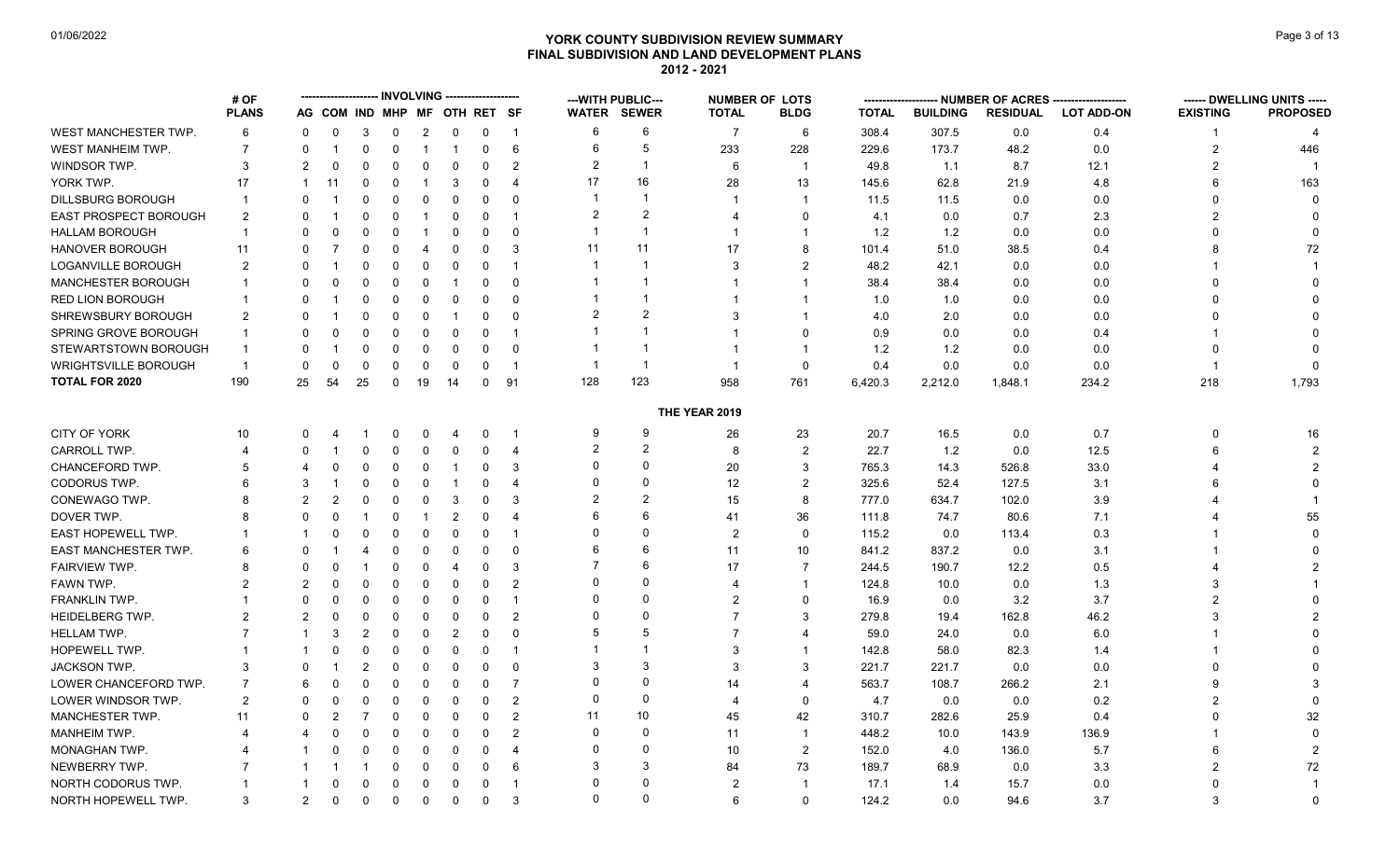# **YORK COUNTY SUBDIVISION REVIEW SUMMARY Page 3 of 13** Page 3 of 13 **FINAL SUBDIVISION AND LAND DEVELOPMENT PLANS 2012 - 2021**

| <b>PLANS</b><br>AG COM IND MHP MF OTH RET SF<br><b>WATER SEWER</b><br><b>PROPOSED</b><br><b>TOTAL</b><br><b>BLDG</b><br><b>TOTAL</b><br><b>BUILDING</b><br><b>RESIDUAL</b><br><b>LOT ADD-ON</b><br><b>EXISTING</b><br>WEST MANCHESTER TWP.<br>6<br>6<br>308.4<br>307.5<br>6<br>$\overline{\mathbf{c}}$<br>$\overline{7}$<br>6<br>0.0<br>0.4<br>0<br>$\Omega$<br>3<br>0<br>0<br>0<br>$\overline{1}$<br>-1<br>5<br>6<br>WEST MANHEIM TWP.<br>$\overline{7}$<br>6<br>233<br>228<br>229.6<br>173.7<br>48.2<br>0.0<br>$\overline{2}$<br>446<br>0<br>$\Omega$<br>0<br>0<br>-1<br>-1<br>-1<br>$\overline{2}$<br>WINDSOR TWP.<br>3<br>-1<br>49.8<br>1.1<br>8.7<br>12.1<br>2<br>2<br>$\Omega$<br>0<br>0<br>0<br>2<br>6<br>$\overline{1}$<br>$\Omega$<br>$\Omega$<br>16<br>17<br>YORK TWP.<br>17<br>3<br>28<br>13<br>145.6<br>62.8<br>21.9<br>4.8<br>6<br>163<br>11<br>$\Omega$<br>$\Omega$<br>$\Omega$<br>$\overline{4}$<br>-1<br>$\overline{\mathbf{1}}$<br><b>DILLSBURG BOROUGH</b><br>11.5<br>11.5<br>0.0<br>0.0<br>$\Omega$<br>$\mathbf{1}$<br>$\Omega$<br>$\Omega$<br>$\Omega$<br>0<br>$\Omega$<br>$\overline{1}$<br>$\Omega$<br>0<br>0<br>$\overline{2}$<br>$\mathfrak{p}$<br><b>EAST PROSPECT BOROUGH</b><br>$\overline{2}$<br>2.3<br>2<br>$\Omega$<br>$\Omega$<br>$\mathbf 0$<br>0<br>$\overline{\mathbf{1}}$<br>$\mathbf 0$<br>4.1<br>0.0<br>0.7<br>0<br>0<br>4<br>-1<br>$\overline{\mathbf{1}}$<br>HALLAM BOROUGH<br>1.2<br>1.2<br>0.0<br>0.0<br>$\mathbf{1}$<br>$\Omega$<br>$\Omega$<br>$\overline{1}$<br>$\Omega$<br>$\Omega$<br>$\Omega$<br>0<br>-1<br>0<br>$\mathbf 1$<br>0<br>0<br>11<br>HANOVER BOROUGH<br>11<br>8<br>0.4<br>72<br>3<br>17<br>101.4<br>51.0<br>38.5<br>8<br>11<br>U<br>$\mathbf{0}$<br>$\overline{4}$<br>$\Omega$<br>$\Omega$<br>0<br>LOGANVILLE BOROUGH<br>-1<br>3<br>$\overline{2}$<br>48.2<br>42.1<br>0.0<br>2<br>$\overline{1}$<br>0.0<br>0<br>0<br>0<br>0<br>0<br>0<br>MANCHESTER BOROUGH<br>-1<br>38.4<br>38.4<br>0.0<br>0.0<br>0<br>0<br>0<br>$\Omega$<br>$\Omega$<br>$\overline{1}$<br>$\Omega$<br>0<br>0<br>-1<br><b>RED LION BOROUGH</b><br>$\overline{0}$<br>$\Omega$<br>-1<br>1.0<br>0.0<br>0.0<br>$\Omega$<br>0<br>0<br>0<br>0<br>$\Omega$<br>1.0<br>-1<br>$\mathcal{P}$<br>SHREWSBURY BOROUGH<br>2<br>0.0<br>2<br>$\Omega$<br>$\Omega$<br>3<br>4.0<br>2.0<br>0.0<br>$\Omega$<br>$\Omega$<br>$\Omega$<br>$\Omega$<br>-1<br>SPRING GROVE BOROUGH<br>-1<br>$\mathbf 0$<br>0.9<br>0.0<br>0.4<br>$\mathbf{1}$<br>$\Omega$<br>$\Omega$<br>$\Omega$<br>$\mathbf 0$<br>0<br>$\overline{\mathbf{1}}$<br>0.0<br>ŋ<br>STEWARTSTOWN BOROUGH<br>-1<br>$\overline{1}$<br>$1.2$<br>1.2<br>0.0<br>0.0<br>$\Omega$<br>$\mathbf{1}$<br>$\Omega$<br>0<br>0<br>$\Omega$<br>$\Omega$<br>0<br>0<br><b>WRIGHTSVILLE BOROUGH</b><br>-1<br>0.4<br>0.0<br>$\Omega$<br>$\Omega$<br>$\mathbf 0$<br>$\mathbf 0$<br>0.0<br>0.0<br>$\mathbf{0}$<br>$\overline{1}$<br>$\Omega$<br>$\Omega$<br>0<br>$\overline{\mathbf{1}}$<br>-1<br>$\mathbf 1$<br>123<br><b>TOTAL FOR 2020</b><br>190<br>128<br>91<br>958<br>6,420.3<br>2,212.0<br>234.2<br>218<br>1,793<br>25<br>54<br>25<br>$\mathbf 0$<br>19<br>14<br>0<br>761<br>1,848.1<br>THE YEAR 2019<br>CITY OF YORK<br>9<br>9<br>26<br>20.7<br>16.5<br>0.7<br>10<br>23<br>0.0<br>$\Omega$<br>16<br>0<br>-1<br>0<br>0<br>4<br>2<br>$\overline{2}$<br>$\overline{2}$<br>22.7<br>12.5<br><b>CARROLL TWP</b><br>8<br>1.2<br>0.0<br>$\overline{2}$<br>$\overline{4}$<br>0<br>$\Omega$<br>0<br>6<br>0<br>0<br>0<br>$\overline{4}$<br>$\Omega$<br>$\Omega$<br>CHANCEFORD TWP.<br>765.3<br>33.0<br>2<br>3<br>20<br>3<br>14.3<br>526.8<br>5<br>$\Omega$<br>$\Omega$<br>$\Omega$<br>0<br>-1<br>$\Omega$<br>CODORUS TWP.<br>$\Omega$<br>12<br>$\overline{2}$<br>325.6<br>52.4<br>127.5<br>3.1<br>$\Omega$<br>6<br>3<br>$\Omega$<br>$\Omega$<br>$\Omega$<br>$\overline{4}$<br>6<br>0<br>-1<br>$\overline{2}$<br>$\overline{2}$<br>CONEWAGO TWP.<br>8<br>777.0<br>634.7<br>102.0<br>3.9<br>2<br>2<br>0<br>3<br>$\Omega$<br>3<br>15<br>0<br>0<br>6<br>6<br>55<br>DOVER TWP.<br>$\overline{2}$<br>36<br>111.8<br>74.7<br>80.6<br>7.1<br>0<br>0<br>$\overline{4}$<br>41<br>8<br>0<br>-1<br>$\Omega$<br>$\Omega$<br>EAST HOPEWELL TWP.<br>0.3<br>$\Omega$<br>$\overline{2}$<br>$\mathbf 0$<br>115.2<br>0.0<br>113.4<br>$\Omega$<br>$\Omega$<br>$\Omega$<br>$\Omega$<br>0<br>$\overline{\mathbf{1}}$<br>0<br>6<br>6<br>EAST MANCHESTER TWP.<br>11<br>10<br>841.2<br>837.2<br>3.1<br>6<br>$\Omega$<br>0.0<br>$\Omega$<br>$\Omega$<br>0<br>0<br>0<br>$\Omega$<br>4<br>6<br><b>FAIRVIEW TWP.</b><br>190.7<br>0.5<br>8<br>0<br>$\Omega$<br>3<br>17<br>7<br>244.5<br>12.2<br>0<br>0<br>$\overline{4}$<br>0<br>$\Omega$<br>$\Omega$<br>FAWN TWP.<br>2<br>$\overline{2}$<br>124.8<br>10.0<br>0.0<br>1.3<br>2<br>0<br>$\mathbf 0$<br>$\Omega$<br>$\mathbf{1}$<br>3<br>0<br>0<br>4<br>0<br>$\Omega$<br>$\Omega$<br>FRANKLIN TWP.<br>$\overline{2}$<br>$\Omega$<br>3.2<br>3.7<br>$\mathfrak{p}$<br>16.9<br>0.0<br>0<br>$\mathbf{0}$<br>$\Omega$<br>$\Omega$<br>$\Omega$<br>$\overline{\mathbf{1}}$<br>0<br>0<br>$\Omega$<br>$\Omega$<br>279.8<br>46.2<br>HEIDELBERG TWP.<br>$\overline{2}$<br>$\overline{7}$<br>3<br>162.8<br>2<br>2<br>19.4<br>3<br>$\Omega$<br>0<br>0<br>0<br>0<br>0<br>5<br>5<br><b>HELLAM TWP.</b><br>$\overline{2}$<br>$\overline{2}$<br>$\Omega$<br>$\Omega$<br>$\overline{7}$<br>59.0<br>0.0<br>6.0<br>0<br>$\overline{4}$<br>24.0<br>3<br>0<br>HOPEWELL TWP.<br>142.8<br>$\mathbf 0$<br>$\overline{1}$<br>-1<br>3<br>58.0<br>82.3<br>1.4<br>$\Omega$<br>0<br>0<br>0<br>$\overline{1}$<br>$\Omega$<br>3<br>3<br><b>JACKSON TWP.</b><br>3<br>$\overline{2}$<br>3<br>3<br>221.7<br>221.7<br>0.0<br>0.0<br>0<br>$\Omega$<br>$\Omega$<br>$\Omega$<br>$\Omega$<br>$\Omega$<br>$\Omega$<br>$\Omega$<br>LOWER CHANCEFORD TWP.<br>$\Omega$<br>563.7<br>108.7<br>266.2<br>2.1<br>9<br>7<br>6<br>0<br>0<br>0<br>$\mathbf 0$<br>0<br>-7<br>14<br>$\boldsymbol{\Delta}$<br>$\Omega$<br>$\Omega$<br>0.2<br>LOWER WINDSOR TWP.<br>2<br>$\overline{2}$<br>$\mathbf 0$<br>4.7<br>0.0<br>0.0<br>$\mathcal{P}$<br>0<br>$\Omega$<br>$\Omega$<br>$\Omega$<br>$\Omega$<br>0<br>$\overline{4}$<br>10<br>MANCHESTER TWP.<br>$\overline{2}$<br>11<br>42<br>32<br>11<br>$\Omega$<br>$\Omega$<br>45<br>310.7<br>282.6<br>25.9<br>0.4<br>$\Omega$<br>0<br>2<br>7<br>$\Omega$<br>0<br>$\mathbf{0}$<br>$\mathbf 0$<br><b>MANHEIM TWP.</b><br>$\overline{2}$<br>448.2<br>10.0<br>143.9<br>136.9<br>$\Omega$<br>$\mathbf 0$<br>0<br>$\overline{1}$<br>$\Omega$<br>0<br>0<br>11<br>4<br>4<br>$\Omega$<br>$\Omega$<br>MONAGHAN TWP.<br>10<br>$\overline{2}$<br>152.0<br>4.0<br>136.0<br>5.7<br>$\Omega$<br>$\mathbf 0$<br>$\Omega$<br>$\overline{4}$<br>6<br>$\overline{2}$<br>0<br>0<br>3<br>3<br>73<br>72<br>NEWBERRY TWP.<br>189.7<br>68.9<br>0.0<br>3.3<br>2<br>$\Omega$<br>$\Omega$<br>6<br>84<br>0<br>0<br>$\Omega$<br>$\Omega$<br>0.0<br>NORTH CODORUS TWP.<br>$\Omega$<br>$\Omega$<br>$\overline{2}$<br>17.1<br>1.4<br>15.7<br>$\Omega$<br>$\Omega$<br>$\Omega$<br>$\Omega$<br>$\overline{\mathbf{1}}$<br>0<br>$\overline{\mathbf{1}}$<br>$\Omega$<br>$\Omega$<br>NORTH HOPEWELL TWP.<br>3<br>3<br>$\mathbf 0$<br>124.2<br>0.0<br>94.6<br>3.7<br>3<br>$\overline{2}$<br>0<br>$\mathbf 0$<br>0<br>0<br>6<br>$\Omega$<br>0<br>0 | # OF |  |  | <b>INVOLVING</b> | -------------- |  | --- WITH PUBLIC--- | <b>NUMBER OF LOTS</b> | ------- |  | -- NUMBER OF ACRES -------------------- | ------ DWELLING UNITS ----- |
|-------------------------------------------------------------------------------------------------------------------------------------------------------------------------------------------------------------------------------------------------------------------------------------------------------------------------------------------------------------------------------------------------------------------------------------------------------------------------------------------------------------------------------------------------------------------------------------------------------------------------------------------------------------------------------------------------------------------------------------------------------------------------------------------------------------------------------------------------------------------------------------------------------------------------------------------------------------------------------------------------------------------------------------------------------------------------------------------------------------------------------------------------------------------------------------------------------------------------------------------------------------------------------------------------------------------------------------------------------------------------------------------------------------------------------------------------------------------------------------------------------------------------------------------------------------------------------------------------------------------------------------------------------------------------------------------------------------------------------------------------------------------------------------------------------------------------------------------------------------------------------------------------------------------------------------------------------------------------------------------------------------------------------------------------------------------------------------------------------------------------------------------------------------------------------------------------------------------------------------------------------------------------------------------------------------------------------------------------------------------------------------------------------------------------------------------------------------------------------------------------------------------------------------------------------------------------------------------------------------------------------------------------------------------------------------------------------------------------------------------------------------------------------------------------------------------------------------------------------------------------------------------------------------------------------------------------------------------------------------------------------------------------------------------------------------------------------------------------------------------------------------------------------------------------------------------------------------------------------------------------------------------------------------------------------------------------------------------------------------------------------------------------------------------------------------------------------------------------------------------------------------------------------------------------------------------------------------------------------------------------------------------------------------------------------------------------------------------------------------------------------------------------------------------------------------------------------------------------------------------------------------------------------------------------------------------------------------------------------------------------------------------------------------------------------------------------------------------------------------------------------------------------------------------------------------------------------------------------------------------------------------------------------------------------------------------------------------------------------------------------------------------------------------------------------------------------------------------------------------------------------------------------------------------------------------------------------------------------------------------------------------------------------------------------------------------------------------------------------------------------------------------------------------------------------------------------------------------------------------------------------------------------------------------------------------------------------------------------------------------------------------------------------------------------------------------------------------------------------------------------------------------------------------------------------------------------------------------------------------------------------------------------------------------------------------------------------------------------------------------------------------------------------------------------------------------------------------------------------------------------------------------------------------------------------------------------------------------------------------------------------------------------------------------------------------------------------------------------------------------------------------------------------------------------------------------------------------------------------------------------------------------------------------------------------------------------------------------------------------------------------------------------------------------------------------------------------------------------------------------------------------------------------------------------------------------------------------------------------------------------------------------------------------------------------------------------------------------------------------------------------------------------------------------------------------------------------------------------------------------------------------------------------------------------------------------------------------------------------------------------------------------------------------------------------------------------------------------------------------------------------------------------------------------------------------------------------------------------------------------------------------------------------------------------------------------------------------------------------------------------------------------------------------------------------------------------------------------------------------------------------------------------------------------------------------------------------------------------------------------------|------|--|--|------------------|----------------|--|--------------------|-----------------------|---------|--|-----------------------------------------|-----------------------------|
|                                                                                                                                                                                                                                                                                                                                                                                                                                                                                                                                                                                                                                                                                                                                                                                                                                                                                                                                                                                                                                                                                                                                                                                                                                                                                                                                                                                                                                                                                                                                                                                                                                                                                                                                                                                                                                                                                                                                                                                                                                                                                                                                                                                                                                                                                                                                                                                                                                                                                                                                                                                                                                                                                                                                                                                                                                                                                                                                                                                                                                                                                                                                                                                                                                                                                                                                                                                                                                                                                                                                                                                                                                                                                                                                                                                                                                                                                                                                                                                                                                                                                                                                                                                                                                                                                                                                                                                                                                                                                                                                                                                                                                                                                                                                                                                                                                                                                                                                                                                                                                                                                                                                                                                                                                                                                                                                                                                                                                                                                                                                                                                                                                                                                                                                                                                                                                                                                                                                                                                                                                                                                                                                                                                                                                                                                                                                                                                                                                                                                                                                                                                                                                                                                                                                                                                                                                                                                                                                                                                                                                                                                                                                                                                                                                                 |      |  |  |                  |                |  |                    |                       |         |  |                                         |                             |
|                                                                                                                                                                                                                                                                                                                                                                                                                                                                                                                                                                                                                                                                                                                                                                                                                                                                                                                                                                                                                                                                                                                                                                                                                                                                                                                                                                                                                                                                                                                                                                                                                                                                                                                                                                                                                                                                                                                                                                                                                                                                                                                                                                                                                                                                                                                                                                                                                                                                                                                                                                                                                                                                                                                                                                                                                                                                                                                                                                                                                                                                                                                                                                                                                                                                                                                                                                                                                                                                                                                                                                                                                                                                                                                                                                                                                                                                                                                                                                                                                                                                                                                                                                                                                                                                                                                                                                                                                                                                                                                                                                                                                                                                                                                                                                                                                                                                                                                                                                                                                                                                                                                                                                                                                                                                                                                                                                                                                                                                                                                                                                                                                                                                                                                                                                                                                                                                                                                                                                                                                                                                                                                                                                                                                                                                                                                                                                                                                                                                                                                                                                                                                                                                                                                                                                                                                                                                                                                                                                                                                                                                                                                                                                                                                                                 |      |  |  |                  |                |  |                    |                       |         |  |                                         |                             |
|                                                                                                                                                                                                                                                                                                                                                                                                                                                                                                                                                                                                                                                                                                                                                                                                                                                                                                                                                                                                                                                                                                                                                                                                                                                                                                                                                                                                                                                                                                                                                                                                                                                                                                                                                                                                                                                                                                                                                                                                                                                                                                                                                                                                                                                                                                                                                                                                                                                                                                                                                                                                                                                                                                                                                                                                                                                                                                                                                                                                                                                                                                                                                                                                                                                                                                                                                                                                                                                                                                                                                                                                                                                                                                                                                                                                                                                                                                                                                                                                                                                                                                                                                                                                                                                                                                                                                                                                                                                                                                                                                                                                                                                                                                                                                                                                                                                                                                                                                                                                                                                                                                                                                                                                                                                                                                                                                                                                                                                                                                                                                                                                                                                                                                                                                                                                                                                                                                                                                                                                                                                                                                                                                                                                                                                                                                                                                                                                                                                                                                                                                                                                                                                                                                                                                                                                                                                                                                                                                                                                                                                                                                                                                                                                                                                 |      |  |  |                  |                |  |                    |                       |         |  |                                         |                             |
|                                                                                                                                                                                                                                                                                                                                                                                                                                                                                                                                                                                                                                                                                                                                                                                                                                                                                                                                                                                                                                                                                                                                                                                                                                                                                                                                                                                                                                                                                                                                                                                                                                                                                                                                                                                                                                                                                                                                                                                                                                                                                                                                                                                                                                                                                                                                                                                                                                                                                                                                                                                                                                                                                                                                                                                                                                                                                                                                                                                                                                                                                                                                                                                                                                                                                                                                                                                                                                                                                                                                                                                                                                                                                                                                                                                                                                                                                                                                                                                                                                                                                                                                                                                                                                                                                                                                                                                                                                                                                                                                                                                                                                                                                                                                                                                                                                                                                                                                                                                                                                                                                                                                                                                                                                                                                                                                                                                                                                                                                                                                                                                                                                                                                                                                                                                                                                                                                                                                                                                                                                                                                                                                                                                                                                                                                                                                                                                                                                                                                                                                                                                                                                                                                                                                                                                                                                                                                                                                                                                                                                                                                                                                                                                                                                                 |      |  |  |                  |                |  |                    |                       |         |  |                                         |                             |
|                                                                                                                                                                                                                                                                                                                                                                                                                                                                                                                                                                                                                                                                                                                                                                                                                                                                                                                                                                                                                                                                                                                                                                                                                                                                                                                                                                                                                                                                                                                                                                                                                                                                                                                                                                                                                                                                                                                                                                                                                                                                                                                                                                                                                                                                                                                                                                                                                                                                                                                                                                                                                                                                                                                                                                                                                                                                                                                                                                                                                                                                                                                                                                                                                                                                                                                                                                                                                                                                                                                                                                                                                                                                                                                                                                                                                                                                                                                                                                                                                                                                                                                                                                                                                                                                                                                                                                                                                                                                                                                                                                                                                                                                                                                                                                                                                                                                                                                                                                                                                                                                                                                                                                                                                                                                                                                                                                                                                                                                                                                                                                                                                                                                                                                                                                                                                                                                                                                                                                                                                                                                                                                                                                                                                                                                                                                                                                                                                                                                                                                                                                                                                                                                                                                                                                                                                                                                                                                                                                                                                                                                                                                                                                                                                                                 |      |  |  |                  |                |  |                    |                       |         |  |                                         |                             |
|                                                                                                                                                                                                                                                                                                                                                                                                                                                                                                                                                                                                                                                                                                                                                                                                                                                                                                                                                                                                                                                                                                                                                                                                                                                                                                                                                                                                                                                                                                                                                                                                                                                                                                                                                                                                                                                                                                                                                                                                                                                                                                                                                                                                                                                                                                                                                                                                                                                                                                                                                                                                                                                                                                                                                                                                                                                                                                                                                                                                                                                                                                                                                                                                                                                                                                                                                                                                                                                                                                                                                                                                                                                                                                                                                                                                                                                                                                                                                                                                                                                                                                                                                                                                                                                                                                                                                                                                                                                                                                                                                                                                                                                                                                                                                                                                                                                                                                                                                                                                                                                                                                                                                                                                                                                                                                                                                                                                                                                                                                                                                                                                                                                                                                                                                                                                                                                                                                                                                                                                                                                                                                                                                                                                                                                                                                                                                                                                                                                                                                                                                                                                                                                                                                                                                                                                                                                                                                                                                                                                                                                                                                                                                                                                                                                 |      |  |  |                  |                |  |                    |                       |         |  |                                         |                             |
|                                                                                                                                                                                                                                                                                                                                                                                                                                                                                                                                                                                                                                                                                                                                                                                                                                                                                                                                                                                                                                                                                                                                                                                                                                                                                                                                                                                                                                                                                                                                                                                                                                                                                                                                                                                                                                                                                                                                                                                                                                                                                                                                                                                                                                                                                                                                                                                                                                                                                                                                                                                                                                                                                                                                                                                                                                                                                                                                                                                                                                                                                                                                                                                                                                                                                                                                                                                                                                                                                                                                                                                                                                                                                                                                                                                                                                                                                                                                                                                                                                                                                                                                                                                                                                                                                                                                                                                                                                                                                                                                                                                                                                                                                                                                                                                                                                                                                                                                                                                                                                                                                                                                                                                                                                                                                                                                                                                                                                                                                                                                                                                                                                                                                                                                                                                                                                                                                                                                                                                                                                                                                                                                                                                                                                                                                                                                                                                                                                                                                                                                                                                                                                                                                                                                                                                                                                                                                                                                                                                                                                                                                                                                                                                                                                                 |      |  |  |                  |                |  |                    |                       |         |  |                                         |                             |
|                                                                                                                                                                                                                                                                                                                                                                                                                                                                                                                                                                                                                                                                                                                                                                                                                                                                                                                                                                                                                                                                                                                                                                                                                                                                                                                                                                                                                                                                                                                                                                                                                                                                                                                                                                                                                                                                                                                                                                                                                                                                                                                                                                                                                                                                                                                                                                                                                                                                                                                                                                                                                                                                                                                                                                                                                                                                                                                                                                                                                                                                                                                                                                                                                                                                                                                                                                                                                                                                                                                                                                                                                                                                                                                                                                                                                                                                                                                                                                                                                                                                                                                                                                                                                                                                                                                                                                                                                                                                                                                                                                                                                                                                                                                                                                                                                                                                                                                                                                                                                                                                                                                                                                                                                                                                                                                                                                                                                                                                                                                                                                                                                                                                                                                                                                                                                                                                                                                                                                                                                                                                                                                                                                                                                                                                                                                                                                                                                                                                                                                                                                                                                                                                                                                                                                                                                                                                                                                                                                                                                                                                                                                                                                                                                                                 |      |  |  |                  |                |  |                    |                       |         |  |                                         |                             |
|                                                                                                                                                                                                                                                                                                                                                                                                                                                                                                                                                                                                                                                                                                                                                                                                                                                                                                                                                                                                                                                                                                                                                                                                                                                                                                                                                                                                                                                                                                                                                                                                                                                                                                                                                                                                                                                                                                                                                                                                                                                                                                                                                                                                                                                                                                                                                                                                                                                                                                                                                                                                                                                                                                                                                                                                                                                                                                                                                                                                                                                                                                                                                                                                                                                                                                                                                                                                                                                                                                                                                                                                                                                                                                                                                                                                                                                                                                                                                                                                                                                                                                                                                                                                                                                                                                                                                                                                                                                                                                                                                                                                                                                                                                                                                                                                                                                                                                                                                                                                                                                                                                                                                                                                                                                                                                                                                                                                                                                                                                                                                                                                                                                                                                                                                                                                                                                                                                                                                                                                                                                                                                                                                                                                                                                                                                                                                                                                                                                                                                                                                                                                                                                                                                                                                                                                                                                                                                                                                                                                                                                                                                                                                                                                                                                 |      |  |  |                  |                |  |                    |                       |         |  |                                         |                             |
|                                                                                                                                                                                                                                                                                                                                                                                                                                                                                                                                                                                                                                                                                                                                                                                                                                                                                                                                                                                                                                                                                                                                                                                                                                                                                                                                                                                                                                                                                                                                                                                                                                                                                                                                                                                                                                                                                                                                                                                                                                                                                                                                                                                                                                                                                                                                                                                                                                                                                                                                                                                                                                                                                                                                                                                                                                                                                                                                                                                                                                                                                                                                                                                                                                                                                                                                                                                                                                                                                                                                                                                                                                                                                                                                                                                                                                                                                                                                                                                                                                                                                                                                                                                                                                                                                                                                                                                                                                                                                                                                                                                                                                                                                                                                                                                                                                                                                                                                                                                                                                                                                                                                                                                                                                                                                                                                                                                                                                                                                                                                                                                                                                                                                                                                                                                                                                                                                                                                                                                                                                                                                                                                                                                                                                                                                                                                                                                                                                                                                                                                                                                                                                                                                                                                                                                                                                                                                                                                                                                                                                                                                                                                                                                                                                                 |      |  |  |                  |                |  |                    |                       |         |  |                                         |                             |
|                                                                                                                                                                                                                                                                                                                                                                                                                                                                                                                                                                                                                                                                                                                                                                                                                                                                                                                                                                                                                                                                                                                                                                                                                                                                                                                                                                                                                                                                                                                                                                                                                                                                                                                                                                                                                                                                                                                                                                                                                                                                                                                                                                                                                                                                                                                                                                                                                                                                                                                                                                                                                                                                                                                                                                                                                                                                                                                                                                                                                                                                                                                                                                                                                                                                                                                                                                                                                                                                                                                                                                                                                                                                                                                                                                                                                                                                                                                                                                                                                                                                                                                                                                                                                                                                                                                                                                                                                                                                                                                                                                                                                                                                                                                                                                                                                                                                                                                                                                                                                                                                                                                                                                                                                                                                                                                                                                                                                                                                                                                                                                                                                                                                                                                                                                                                                                                                                                                                                                                                                                                                                                                                                                                                                                                                                                                                                                                                                                                                                                                                                                                                                                                                                                                                                                                                                                                                                                                                                                                                                                                                                                                                                                                                                                                 |      |  |  |                  |                |  |                    |                       |         |  |                                         |                             |
|                                                                                                                                                                                                                                                                                                                                                                                                                                                                                                                                                                                                                                                                                                                                                                                                                                                                                                                                                                                                                                                                                                                                                                                                                                                                                                                                                                                                                                                                                                                                                                                                                                                                                                                                                                                                                                                                                                                                                                                                                                                                                                                                                                                                                                                                                                                                                                                                                                                                                                                                                                                                                                                                                                                                                                                                                                                                                                                                                                                                                                                                                                                                                                                                                                                                                                                                                                                                                                                                                                                                                                                                                                                                                                                                                                                                                                                                                                                                                                                                                                                                                                                                                                                                                                                                                                                                                                                                                                                                                                                                                                                                                                                                                                                                                                                                                                                                                                                                                                                                                                                                                                                                                                                                                                                                                                                                                                                                                                                                                                                                                                                                                                                                                                                                                                                                                                                                                                                                                                                                                                                                                                                                                                                                                                                                                                                                                                                                                                                                                                                                                                                                                                                                                                                                                                                                                                                                                                                                                                                                                                                                                                                                                                                                                                                 |      |  |  |                  |                |  |                    |                       |         |  |                                         |                             |
|                                                                                                                                                                                                                                                                                                                                                                                                                                                                                                                                                                                                                                                                                                                                                                                                                                                                                                                                                                                                                                                                                                                                                                                                                                                                                                                                                                                                                                                                                                                                                                                                                                                                                                                                                                                                                                                                                                                                                                                                                                                                                                                                                                                                                                                                                                                                                                                                                                                                                                                                                                                                                                                                                                                                                                                                                                                                                                                                                                                                                                                                                                                                                                                                                                                                                                                                                                                                                                                                                                                                                                                                                                                                                                                                                                                                                                                                                                                                                                                                                                                                                                                                                                                                                                                                                                                                                                                                                                                                                                                                                                                                                                                                                                                                                                                                                                                                                                                                                                                                                                                                                                                                                                                                                                                                                                                                                                                                                                                                                                                                                                                                                                                                                                                                                                                                                                                                                                                                                                                                                                                                                                                                                                                                                                                                                                                                                                                                                                                                                                                                                                                                                                                                                                                                                                                                                                                                                                                                                                                                                                                                                                                                                                                                                                                 |      |  |  |                  |                |  |                    |                       |         |  |                                         |                             |
|                                                                                                                                                                                                                                                                                                                                                                                                                                                                                                                                                                                                                                                                                                                                                                                                                                                                                                                                                                                                                                                                                                                                                                                                                                                                                                                                                                                                                                                                                                                                                                                                                                                                                                                                                                                                                                                                                                                                                                                                                                                                                                                                                                                                                                                                                                                                                                                                                                                                                                                                                                                                                                                                                                                                                                                                                                                                                                                                                                                                                                                                                                                                                                                                                                                                                                                                                                                                                                                                                                                                                                                                                                                                                                                                                                                                                                                                                                                                                                                                                                                                                                                                                                                                                                                                                                                                                                                                                                                                                                                                                                                                                                                                                                                                                                                                                                                                                                                                                                                                                                                                                                                                                                                                                                                                                                                                                                                                                                                                                                                                                                                                                                                                                                                                                                                                                                                                                                                                                                                                                                                                                                                                                                                                                                                                                                                                                                                                                                                                                                                                                                                                                                                                                                                                                                                                                                                                                                                                                                                                                                                                                                                                                                                                                                                 |      |  |  |                  |                |  |                    |                       |         |  |                                         |                             |
|                                                                                                                                                                                                                                                                                                                                                                                                                                                                                                                                                                                                                                                                                                                                                                                                                                                                                                                                                                                                                                                                                                                                                                                                                                                                                                                                                                                                                                                                                                                                                                                                                                                                                                                                                                                                                                                                                                                                                                                                                                                                                                                                                                                                                                                                                                                                                                                                                                                                                                                                                                                                                                                                                                                                                                                                                                                                                                                                                                                                                                                                                                                                                                                                                                                                                                                                                                                                                                                                                                                                                                                                                                                                                                                                                                                                                                                                                                                                                                                                                                                                                                                                                                                                                                                                                                                                                                                                                                                                                                                                                                                                                                                                                                                                                                                                                                                                                                                                                                                                                                                                                                                                                                                                                                                                                                                                                                                                                                                                                                                                                                                                                                                                                                                                                                                                                                                                                                                                                                                                                                                                                                                                                                                                                                                                                                                                                                                                                                                                                                                                                                                                                                                                                                                                                                                                                                                                                                                                                                                                                                                                                                                                                                                                                                                 |      |  |  |                  |                |  |                    |                       |         |  |                                         |                             |
|                                                                                                                                                                                                                                                                                                                                                                                                                                                                                                                                                                                                                                                                                                                                                                                                                                                                                                                                                                                                                                                                                                                                                                                                                                                                                                                                                                                                                                                                                                                                                                                                                                                                                                                                                                                                                                                                                                                                                                                                                                                                                                                                                                                                                                                                                                                                                                                                                                                                                                                                                                                                                                                                                                                                                                                                                                                                                                                                                                                                                                                                                                                                                                                                                                                                                                                                                                                                                                                                                                                                                                                                                                                                                                                                                                                                                                                                                                                                                                                                                                                                                                                                                                                                                                                                                                                                                                                                                                                                                                                                                                                                                                                                                                                                                                                                                                                                                                                                                                                                                                                                                                                                                                                                                                                                                                                                                                                                                                                                                                                                                                                                                                                                                                                                                                                                                                                                                                                                                                                                                                                                                                                                                                                                                                                                                                                                                                                                                                                                                                                                                                                                                                                                                                                                                                                                                                                                                                                                                                                                                                                                                                                                                                                                                                                 |      |  |  |                  |                |  |                    |                       |         |  |                                         |                             |
|                                                                                                                                                                                                                                                                                                                                                                                                                                                                                                                                                                                                                                                                                                                                                                                                                                                                                                                                                                                                                                                                                                                                                                                                                                                                                                                                                                                                                                                                                                                                                                                                                                                                                                                                                                                                                                                                                                                                                                                                                                                                                                                                                                                                                                                                                                                                                                                                                                                                                                                                                                                                                                                                                                                                                                                                                                                                                                                                                                                                                                                                                                                                                                                                                                                                                                                                                                                                                                                                                                                                                                                                                                                                                                                                                                                                                                                                                                                                                                                                                                                                                                                                                                                                                                                                                                                                                                                                                                                                                                                                                                                                                                                                                                                                                                                                                                                                                                                                                                                                                                                                                                                                                                                                                                                                                                                                                                                                                                                                                                                                                                                                                                                                                                                                                                                                                                                                                                                                                                                                                                                                                                                                                                                                                                                                                                                                                                                                                                                                                                                                                                                                                                                                                                                                                                                                                                                                                                                                                                                                                                                                                                                                                                                                                                                 |      |  |  |                  |                |  |                    |                       |         |  |                                         |                             |
|                                                                                                                                                                                                                                                                                                                                                                                                                                                                                                                                                                                                                                                                                                                                                                                                                                                                                                                                                                                                                                                                                                                                                                                                                                                                                                                                                                                                                                                                                                                                                                                                                                                                                                                                                                                                                                                                                                                                                                                                                                                                                                                                                                                                                                                                                                                                                                                                                                                                                                                                                                                                                                                                                                                                                                                                                                                                                                                                                                                                                                                                                                                                                                                                                                                                                                                                                                                                                                                                                                                                                                                                                                                                                                                                                                                                                                                                                                                                                                                                                                                                                                                                                                                                                                                                                                                                                                                                                                                                                                                                                                                                                                                                                                                                                                                                                                                                                                                                                                                                                                                                                                                                                                                                                                                                                                                                                                                                                                                                                                                                                                                                                                                                                                                                                                                                                                                                                                                                                                                                                                                                                                                                                                                                                                                                                                                                                                                                                                                                                                                                                                                                                                                                                                                                                                                                                                                                                                                                                                                                                                                                                                                                                                                                                                                 |      |  |  |                  |                |  |                    |                       |         |  |                                         |                             |
|                                                                                                                                                                                                                                                                                                                                                                                                                                                                                                                                                                                                                                                                                                                                                                                                                                                                                                                                                                                                                                                                                                                                                                                                                                                                                                                                                                                                                                                                                                                                                                                                                                                                                                                                                                                                                                                                                                                                                                                                                                                                                                                                                                                                                                                                                                                                                                                                                                                                                                                                                                                                                                                                                                                                                                                                                                                                                                                                                                                                                                                                                                                                                                                                                                                                                                                                                                                                                                                                                                                                                                                                                                                                                                                                                                                                                                                                                                                                                                                                                                                                                                                                                                                                                                                                                                                                                                                                                                                                                                                                                                                                                                                                                                                                                                                                                                                                                                                                                                                                                                                                                                                                                                                                                                                                                                                                                                                                                                                                                                                                                                                                                                                                                                                                                                                                                                                                                                                                                                                                                                                                                                                                                                                                                                                                                                                                                                                                                                                                                                                                                                                                                                                                                                                                                                                                                                                                                                                                                                                                                                                                                                                                                                                                                                                 |      |  |  |                  |                |  |                    |                       |         |  |                                         |                             |
|                                                                                                                                                                                                                                                                                                                                                                                                                                                                                                                                                                                                                                                                                                                                                                                                                                                                                                                                                                                                                                                                                                                                                                                                                                                                                                                                                                                                                                                                                                                                                                                                                                                                                                                                                                                                                                                                                                                                                                                                                                                                                                                                                                                                                                                                                                                                                                                                                                                                                                                                                                                                                                                                                                                                                                                                                                                                                                                                                                                                                                                                                                                                                                                                                                                                                                                                                                                                                                                                                                                                                                                                                                                                                                                                                                                                                                                                                                                                                                                                                                                                                                                                                                                                                                                                                                                                                                                                                                                                                                                                                                                                                                                                                                                                                                                                                                                                                                                                                                                                                                                                                                                                                                                                                                                                                                                                                                                                                                                                                                                                                                                                                                                                                                                                                                                                                                                                                                                                                                                                                                                                                                                                                                                                                                                                                                                                                                                                                                                                                                                                                                                                                                                                                                                                                                                                                                                                                                                                                                                                                                                                                                                                                                                                                                                 |      |  |  |                  |                |  |                    |                       |         |  |                                         |                             |
|                                                                                                                                                                                                                                                                                                                                                                                                                                                                                                                                                                                                                                                                                                                                                                                                                                                                                                                                                                                                                                                                                                                                                                                                                                                                                                                                                                                                                                                                                                                                                                                                                                                                                                                                                                                                                                                                                                                                                                                                                                                                                                                                                                                                                                                                                                                                                                                                                                                                                                                                                                                                                                                                                                                                                                                                                                                                                                                                                                                                                                                                                                                                                                                                                                                                                                                                                                                                                                                                                                                                                                                                                                                                                                                                                                                                                                                                                                                                                                                                                                                                                                                                                                                                                                                                                                                                                                                                                                                                                                                                                                                                                                                                                                                                                                                                                                                                                                                                                                                                                                                                                                                                                                                                                                                                                                                                                                                                                                                                                                                                                                                                                                                                                                                                                                                                                                                                                                                                                                                                                                                                                                                                                                                                                                                                                                                                                                                                                                                                                                                                                                                                                                                                                                                                                                                                                                                                                                                                                                                                                                                                                                                                                                                                                                                 |      |  |  |                  |                |  |                    |                       |         |  |                                         |                             |
|                                                                                                                                                                                                                                                                                                                                                                                                                                                                                                                                                                                                                                                                                                                                                                                                                                                                                                                                                                                                                                                                                                                                                                                                                                                                                                                                                                                                                                                                                                                                                                                                                                                                                                                                                                                                                                                                                                                                                                                                                                                                                                                                                                                                                                                                                                                                                                                                                                                                                                                                                                                                                                                                                                                                                                                                                                                                                                                                                                                                                                                                                                                                                                                                                                                                                                                                                                                                                                                                                                                                                                                                                                                                                                                                                                                                                                                                                                                                                                                                                                                                                                                                                                                                                                                                                                                                                                                                                                                                                                                                                                                                                                                                                                                                                                                                                                                                                                                                                                                                                                                                                                                                                                                                                                                                                                                                                                                                                                                                                                                                                                                                                                                                                                                                                                                                                                                                                                                                                                                                                                                                                                                                                                                                                                                                                                                                                                                                                                                                                                                                                                                                                                                                                                                                                                                                                                                                                                                                                                                                                                                                                                                                                                                                                                                 |      |  |  |                  |                |  |                    |                       |         |  |                                         |                             |
|                                                                                                                                                                                                                                                                                                                                                                                                                                                                                                                                                                                                                                                                                                                                                                                                                                                                                                                                                                                                                                                                                                                                                                                                                                                                                                                                                                                                                                                                                                                                                                                                                                                                                                                                                                                                                                                                                                                                                                                                                                                                                                                                                                                                                                                                                                                                                                                                                                                                                                                                                                                                                                                                                                                                                                                                                                                                                                                                                                                                                                                                                                                                                                                                                                                                                                                                                                                                                                                                                                                                                                                                                                                                                                                                                                                                                                                                                                                                                                                                                                                                                                                                                                                                                                                                                                                                                                                                                                                                                                                                                                                                                                                                                                                                                                                                                                                                                                                                                                                                                                                                                                                                                                                                                                                                                                                                                                                                                                                                                                                                                                                                                                                                                                                                                                                                                                                                                                                                                                                                                                                                                                                                                                                                                                                                                                                                                                                                                                                                                                                                                                                                                                                                                                                                                                                                                                                                                                                                                                                                                                                                                                                                                                                                                                                 |      |  |  |                  |                |  |                    |                       |         |  |                                         |                             |
|                                                                                                                                                                                                                                                                                                                                                                                                                                                                                                                                                                                                                                                                                                                                                                                                                                                                                                                                                                                                                                                                                                                                                                                                                                                                                                                                                                                                                                                                                                                                                                                                                                                                                                                                                                                                                                                                                                                                                                                                                                                                                                                                                                                                                                                                                                                                                                                                                                                                                                                                                                                                                                                                                                                                                                                                                                                                                                                                                                                                                                                                                                                                                                                                                                                                                                                                                                                                                                                                                                                                                                                                                                                                                                                                                                                                                                                                                                                                                                                                                                                                                                                                                                                                                                                                                                                                                                                                                                                                                                                                                                                                                                                                                                                                                                                                                                                                                                                                                                                                                                                                                                                                                                                                                                                                                                                                                                                                                                                                                                                                                                                                                                                                                                                                                                                                                                                                                                                                                                                                                                                                                                                                                                                                                                                                                                                                                                                                                                                                                                                                                                                                                                                                                                                                                                                                                                                                                                                                                                                                                                                                                                                                                                                                                                                 |      |  |  |                  |                |  |                    |                       |         |  |                                         |                             |
|                                                                                                                                                                                                                                                                                                                                                                                                                                                                                                                                                                                                                                                                                                                                                                                                                                                                                                                                                                                                                                                                                                                                                                                                                                                                                                                                                                                                                                                                                                                                                                                                                                                                                                                                                                                                                                                                                                                                                                                                                                                                                                                                                                                                                                                                                                                                                                                                                                                                                                                                                                                                                                                                                                                                                                                                                                                                                                                                                                                                                                                                                                                                                                                                                                                                                                                                                                                                                                                                                                                                                                                                                                                                                                                                                                                                                                                                                                                                                                                                                                                                                                                                                                                                                                                                                                                                                                                                                                                                                                                                                                                                                                                                                                                                                                                                                                                                                                                                                                                                                                                                                                                                                                                                                                                                                                                                                                                                                                                                                                                                                                                                                                                                                                                                                                                                                                                                                                                                                                                                                                                                                                                                                                                                                                                                                                                                                                                                                                                                                                                                                                                                                                                                                                                                                                                                                                                                                                                                                                                                                                                                                                                                                                                                                                                 |      |  |  |                  |                |  |                    |                       |         |  |                                         |                             |
|                                                                                                                                                                                                                                                                                                                                                                                                                                                                                                                                                                                                                                                                                                                                                                                                                                                                                                                                                                                                                                                                                                                                                                                                                                                                                                                                                                                                                                                                                                                                                                                                                                                                                                                                                                                                                                                                                                                                                                                                                                                                                                                                                                                                                                                                                                                                                                                                                                                                                                                                                                                                                                                                                                                                                                                                                                                                                                                                                                                                                                                                                                                                                                                                                                                                                                                                                                                                                                                                                                                                                                                                                                                                                                                                                                                                                                                                                                                                                                                                                                                                                                                                                                                                                                                                                                                                                                                                                                                                                                                                                                                                                                                                                                                                                                                                                                                                                                                                                                                                                                                                                                                                                                                                                                                                                                                                                                                                                                                                                                                                                                                                                                                                                                                                                                                                                                                                                                                                                                                                                                                                                                                                                                                                                                                                                                                                                                                                                                                                                                                                                                                                                                                                                                                                                                                                                                                                                                                                                                                                                                                                                                                                                                                                                                                 |      |  |  |                  |                |  |                    |                       |         |  |                                         |                             |
|                                                                                                                                                                                                                                                                                                                                                                                                                                                                                                                                                                                                                                                                                                                                                                                                                                                                                                                                                                                                                                                                                                                                                                                                                                                                                                                                                                                                                                                                                                                                                                                                                                                                                                                                                                                                                                                                                                                                                                                                                                                                                                                                                                                                                                                                                                                                                                                                                                                                                                                                                                                                                                                                                                                                                                                                                                                                                                                                                                                                                                                                                                                                                                                                                                                                                                                                                                                                                                                                                                                                                                                                                                                                                                                                                                                                                                                                                                                                                                                                                                                                                                                                                                                                                                                                                                                                                                                                                                                                                                                                                                                                                                                                                                                                                                                                                                                                                                                                                                                                                                                                                                                                                                                                                                                                                                                                                                                                                                                                                                                                                                                                                                                                                                                                                                                                                                                                                                                                                                                                                                                                                                                                                                                                                                                                                                                                                                                                                                                                                                                                                                                                                                                                                                                                                                                                                                                                                                                                                                                                                                                                                                                                                                                                                                                 |      |  |  |                  |                |  |                    |                       |         |  |                                         |                             |
|                                                                                                                                                                                                                                                                                                                                                                                                                                                                                                                                                                                                                                                                                                                                                                                                                                                                                                                                                                                                                                                                                                                                                                                                                                                                                                                                                                                                                                                                                                                                                                                                                                                                                                                                                                                                                                                                                                                                                                                                                                                                                                                                                                                                                                                                                                                                                                                                                                                                                                                                                                                                                                                                                                                                                                                                                                                                                                                                                                                                                                                                                                                                                                                                                                                                                                                                                                                                                                                                                                                                                                                                                                                                                                                                                                                                                                                                                                                                                                                                                                                                                                                                                                                                                                                                                                                                                                                                                                                                                                                                                                                                                                                                                                                                                                                                                                                                                                                                                                                                                                                                                                                                                                                                                                                                                                                                                                                                                                                                                                                                                                                                                                                                                                                                                                                                                                                                                                                                                                                                                                                                                                                                                                                                                                                                                                                                                                                                                                                                                                                                                                                                                                                                                                                                                                                                                                                                                                                                                                                                                                                                                                                                                                                                                                                 |      |  |  |                  |                |  |                    |                       |         |  |                                         |                             |
|                                                                                                                                                                                                                                                                                                                                                                                                                                                                                                                                                                                                                                                                                                                                                                                                                                                                                                                                                                                                                                                                                                                                                                                                                                                                                                                                                                                                                                                                                                                                                                                                                                                                                                                                                                                                                                                                                                                                                                                                                                                                                                                                                                                                                                                                                                                                                                                                                                                                                                                                                                                                                                                                                                                                                                                                                                                                                                                                                                                                                                                                                                                                                                                                                                                                                                                                                                                                                                                                                                                                                                                                                                                                                                                                                                                                                                                                                                                                                                                                                                                                                                                                                                                                                                                                                                                                                                                                                                                                                                                                                                                                                                                                                                                                                                                                                                                                                                                                                                                                                                                                                                                                                                                                                                                                                                                                                                                                                                                                                                                                                                                                                                                                                                                                                                                                                                                                                                                                                                                                                                                                                                                                                                                                                                                                                                                                                                                                                                                                                                                                                                                                                                                                                                                                                                                                                                                                                                                                                                                                                                                                                                                                                                                                                                                 |      |  |  |                  |                |  |                    |                       |         |  |                                         |                             |
|                                                                                                                                                                                                                                                                                                                                                                                                                                                                                                                                                                                                                                                                                                                                                                                                                                                                                                                                                                                                                                                                                                                                                                                                                                                                                                                                                                                                                                                                                                                                                                                                                                                                                                                                                                                                                                                                                                                                                                                                                                                                                                                                                                                                                                                                                                                                                                                                                                                                                                                                                                                                                                                                                                                                                                                                                                                                                                                                                                                                                                                                                                                                                                                                                                                                                                                                                                                                                                                                                                                                                                                                                                                                                                                                                                                                                                                                                                                                                                                                                                                                                                                                                                                                                                                                                                                                                                                                                                                                                                                                                                                                                                                                                                                                                                                                                                                                                                                                                                                                                                                                                                                                                                                                                                                                                                                                                                                                                                                                                                                                                                                                                                                                                                                                                                                                                                                                                                                                                                                                                                                                                                                                                                                                                                                                                                                                                                                                                                                                                                                                                                                                                                                                                                                                                                                                                                                                                                                                                                                                                                                                                                                                                                                                                                                 |      |  |  |                  |                |  |                    |                       |         |  |                                         |                             |
|                                                                                                                                                                                                                                                                                                                                                                                                                                                                                                                                                                                                                                                                                                                                                                                                                                                                                                                                                                                                                                                                                                                                                                                                                                                                                                                                                                                                                                                                                                                                                                                                                                                                                                                                                                                                                                                                                                                                                                                                                                                                                                                                                                                                                                                                                                                                                                                                                                                                                                                                                                                                                                                                                                                                                                                                                                                                                                                                                                                                                                                                                                                                                                                                                                                                                                                                                                                                                                                                                                                                                                                                                                                                                                                                                                                                                                                                                                                                                                                                                                                                                                                                                                                                                                                                                                                                                                                                                                                                                                                                                                                                                                                                                                                                                                                                                                                                                                                                                                                                                                                                                                                                                                                                                                                                                                                                                                                                                                                                                                                                                                                                                                                                                                                                                                                                                                                                                                                                                                                                                                                                                                                                                                                                                                                                                                                                                                                                                                                                                                                                                                                                                                                                                                                                                                                                                                                                                                                                                                                                                                                                                                                                                                                                                                                 |      |  |  |                  |                |  |                    |                       |         |  |                                         |                             |
|                                                                                                                                                                                                                                                                                                                                                                                                                                                                                                                                                                                                                                                                                                                                                                                                                                                                                                                                                                                                                                                                                                                                                                                                                                                                                                                                                                                                                                                                                                                                                                                                                                                                                                                                                                                                                                                                                                                                                                                                                                                                                                                                                                                                                                                                                                                                                                                                                                                                                                                                                                                                                                                                                                                                                                                                                                                                                                                                                                                                                                                                                                                                                                                                                                                                                                                                                                                                                                                                                                                                                                                                                                                                                                                                                                                                                                                                                                                                                                                                                                                                                                                                                                                                                                                                                                                                                                                                                                                                                                                                                                                                                                                                                                                                                                                                                                                                                                                                                                                                                                                                                                                                                                                                                                                                                                                                                                                                                                                                                                                                                                                                                                                                                                                                                                                                                                                                                                                                                                                                                                                                                                                                                                                                                                                                                                                                                                                                                                                                                                                                                                                                                                                                                                                                                                                                                                                                                                                                                                                                                                                                                                                                                                                                                                                 |      |  |  |                  |                |  |                    |                       |         |  |                                         |                             |
|                                                                                                                                                                                                                                                                                                                                                                                                                                                                                                                                                                                                                                                                                                                                                                                                                                                                                                                                                                                                                                                                                                                                                                                                                                                                                                                                                                                                                                                                                                                                                                                                                                                                                                                                                                                                                                                                                                                                                                                                                                                                                                                                                                                                                                                                                                                                                                                                                                                                                                                                                                                                                                                                                                                                                                                                                                                                                                                                                                                                                                                                                                                                                                                                                                                                                                                                                                                                                                                                                                                                                                                                                                                                                                                                                                                                                                                                                                                                                                                                                                                                                                                                                                                                                                                                                                                                                                                                                                                                                                                                                                                                                                                                                                                                                                                                                                                                                                                                                                                                                                                                                                                                                                                                                                                                                                                                                                                                                                                                                                                                                                                                                                                                                                                                                                                                                                                                                                                                                                                                                                                                                                                                                                                                                                                                                                                                                                                                                                                                                                                                                                                                                                                                                                                                                                                                                                                                                                                                                                                                                                                                                                                                                                                                                                                 |      |  |  |                  |                |  |                    |                       |         |  |                                         |                             |
|                                                                                                                                                                                                                                                                                                                                                                                                                                                                                                                                                                                                                                                                                                                                                                                                                                                                                                                                                                                                                                                                                                                                                                                                                                                                                                                                                                                                                                                                                                                                                                                                                                                                                                                                                                                                                                                                                                                                                                                                                                                                                                                                                                                                                                                                                                                                                                                                                                                                                                                                                                                                                                                                                                                                                                                                                                                                                                                                                                                                                                                                                                                                                                                                                                                                                                                                                                                                                                                                                                                                                                                                                                                                                                                                                                                                                                                                                                                                                                                                                                                                                                                                                                                                                                                                                                                                                                                                                                                                                                                                                                                                                                                                                                                                                                                                                                                                                                                                                                                                                                                                                                                                                                                                                                                                                                                                                                                                                                                                                                                                                                                                                                                                                                                                                                                                                                                                                                                                                                                                                                                                                                                                                                                                                                                                                                                                                                                                                                                                                                                                                                                                                                                                                                                                                                                                                                                                                                                                                                                                                                                                                                                                                                                                                                                 |      |  |  |                  |                |  |                    |                       |         |  |                                         |                             |
|                                                                                                                                                                                                                                                                                                                                                                                                                                                                                                                                                                                                                                                                                                                                                                                                                                                                                                                                                                                                                                                                                                                                                                                                                                                                                                                                                                                                                                                                                                                                                                                                                                                                                                                                                                                                                                                                                                                                                                                                                                                                                                                                                                                                                                                                                                                                                                                                                                                                                                                                                                                                                                                                                                                                                                                                                                                                                                                                                                                                                                                                                                                                                                                                                                                                                                                                                                                                                                                                                                                                                                                                                                                                                                                                                                                                                                                                                                                                                                                                                                                                                                                                                                                                                                                                                                                                                                                                                                                                                                                                                                                                                                                                                                                                                                                                                                                                                                                                                                                                                                                                                                                                                                                                                                                                                                                                                                                                                                                                                                                                                                                                                                                                                                                                                                                                                                                                                                                                                                                                                                                                                                                                                                                                                                                                                                                                                                                                                                                                                                                                                                                                                                                                                                                                                                                                                                                                                                                                                                                                                                                                                                                                                                                                                                                 |      |  |  |                  |                |  |                    |                       |         |  |                                         |                             |
|                                                                                                                                                                                                                                                                                                                                                                                                                                                                                                                                                                                                                                                                                                                                                                                                                                                                                                                                                                                                                                                                                                                                                                                                                                                                                                                                                                                                                                                                                                                                                                                                                                                                                                                                                                                                                                                                                                                                                                                                                                                                                                                                                                                                                                                                                                                                                                                                                                                                                                                                                                                                                                                                                                                                                                                                                                                                                                                                                                                                                                                                                                                                                                                                                                                                                                                                                                                                                                                                                                                                                                                                                                                                                                                                                                                                                                                                                                                                                                                                                                                                                                                                                                                                                                                                                                                                                                                                                                                                                                                                                                                                                                                                                                                                                                                                                                                                                                                                                                                                                                                                                                                                                                                                                                                                                                                                                                                                                                                                                                                                                                                                                                                                                                                                                                                                                                                                                                                                                                                                                                                                                                                                                                                                                                                                                                                                                                                                                                                                                                                                                                                                                                                                                                                                                                                                                                                                                                                                                                                                                                                                                                                                                                                                                                                 |      |  |  |                  |                |  |                    |                       |         |  |                                         |                             |
|                                                                                                                                                                                                                                                                                                                                                                                                                                                                                                                                                                                                                                                                                                                                                                                                                                                                                                                                                                                                                                                                                                                                                                                                                                                                                                                                                                                                                                                                                                                                                                                                                                                                                                                                                                                                                                                                                                                                                                                                                                                                                                                                                                                                                                                                                                                                                                                                                                                                                                                                                                                                                                                                                                                                                                                                                                                                                                                                                                                                                                                                                                                                                                                                                                                                                                                                                                                                                                                                                                                                                                                                                                                                                                                                                                                                                                                                                                                                                                                                                                                                                                                                                                                                                                                                                                                                                                                                                                                                                                                                                                                                                                                                                                                                                                                                                                                                                                                                                                                                                                                                                                                                                                                                                                                                                                                                                                                                                                                                                                                                                                                                                                                                                                                                                                                                                                                                                                                                                                                                                                                                                                                                                                                                                                                                                                                                                                                                                                                                                                                                                                                                                                                                                                                                                                                                                                                                                                                                                                                                                                                                                                                                                                                                                                                 |      |  |  |                  |                |  |                    |                       |         |  |                                         |                             |
|                                                                                                                                                                                                                                                                                                                                                                                                                                                                                                                                                                                                                                                                                                                                                                                                                                                                                                                                                                                                                                                                                                                                                                                                                                                                                                                                                                                                                                                                                                                                                                                                                                                                                                                                                                                                                                                                                                                                                                                                                                                                                                                                                                                                                                                                                                                                                                                                                                                                                                                                                                                                                                                                                                                                                                                                                                                                                                                                                                                                                                                                                                                                                                                                                                                                                                                                                                                                                                                                                                                                                                                                                                                                                                                                                                                                                                                                                                                                                                                                                                                                                                                                                                                                                                                                                                                                                                                                                                                                                                                                                                                                                                                                                                                                                                                                                                                                                                                                                                                                                                                                                                                                                                                                                                                                                                                                                                                                                                                                                                                                                                                                                                                                                                                                                                                                                                                                                                                                                                                                                                                                                                                                                                                                                                                                                                                                                                                                                                                                                                                                                                                                                                                                                                                                                                                                                                                                                                                                                                                                                                                                                                                                                                                                                                                 |      |  |  |                  |                |  |                    |                       |         |  |                                         |                             |
|                                                                                                                                                                                                                                                                                                                                                                                                                                                                                                                                                                                                                                                                                                                                                                                                                                                                                                                                                                                                                                                                                                                                                                                                                                                                                                                                                                                                                                                                                                                                                                                                                                                                                                                                                                                                                                                                                                                                                                                                                                                                                                                                                                                                                                                                                                                                                                                                                                                                                                                                                                                                                                                                                                                                                                                                                                                                                                                                                                                                                                                                                                                                                                                                                                                                                                                                                                                                                                                                                                                                                                                                                                                                                                                                                                                                                                                                                                                                                                                                                                                                                                                                                                                                                                                                                                                                                                                                                                                                                                                                                                                                                                                                                                                                                                                                                                                                                                                                                                                                                                                                                                                                                                                                                                                                                                                                                                                                                                                                                                                                                                                                                                                                                                                                                                                                                                                                                                                                                                                                                                                                                                                                                                                                                                                                                                                                                                                                                                                                                                                                                                                                                                                                                                                                                                                                                                                                                                                                                                                                                                                                                                                                                                                                                                                 |      |  |  |                  |                |  |                    |                       |         |  |                                         |                             |
|                                                                                                                                                                                                                                                                                                                                                                                                                                                                                                                                                                                                                                                                                                                                                                                                                                                                                                                                                                                                                                                                                                                                                                                                                                                                                                                                                                                                                                                                                                                                                                                                                                                                                                                                                                                                                                                                                                                                                                                                                                                                                                                                                                                                                                                                                                                                                                                                                                                                                                                                                                                                                                                                                                                                                                                                                                                                                                                                                                                                                                                                                                                                                                                                                                                                                                                                                                                                                                                                                                                                                                                                                                                                                                                                                                                                                                                                                                                                                                                                                                                                                                                                                                                                                                                                                                                                                                                                                                                                                                                                                                                                                                                                                                                                                                                                                                                                                                                                                                                                                                                                                                                                                                                                                                                                                                                                                                                                                                                                                                                                                                                                                                                                                                                                                                                                                                                                                                                                                                                                                                                                                                                                                                                                                                                                                                                                                                                                                                                                                                                                                                                                                                                                                                                                                                                                                                                                                                                                                                                                                                                                                                                                                                                                                                                 |      |  |  |                  |                |  |                    |                       |         |  |                                         |                             |
|                                                                                                                                                                                                                                                                                                                                                                                                                                                                                                                                                                                                                                                                                                                                                                                                                                                                                                                                                                                                                                                                                                                                                                                                                                                                                                                                                                                                                                                                                                                                                                                                                                                                                                                                                                                                                                                                                                                                                                                                                                                                                                                                                                                                                                                                                                                                                                                                                                                                                                                                                                                                                                                                                                                                                                                                                                                                                                                                                                                                                                                                                                                                                                                                                                                                                                                                                                                                                                                                                                                                                                                                                                                                                                                                                                                                                                                                                                                                                                                                                                                                                                                                                                                                                                                                                                                                                                                                                                                                                                                                                                                                                                                                                                                                                                                                                                                                                                                                                                                                                                                                                                                                                                                                                                                                                                                                                                                                                                                                                                                                                                                                                                                                                                                                                                                                                                                                                                                                                                                                                                                                                                                                                                                                                                                                                                                                                                                                                                                                                                                                                                                                                                                                                                                                                                                                                                                                                                                                                                                                                                                                                                                                                                                                                                                 |      |  |  |                  |                |  |                    |                       |         |  |                                         |                             |
|                                                                                                                                                                                                                                                                                                                                                                                                                                                                                                                                                                                                                                                                                                                                                                                                                                                                                                                                                                                                                                                                                                                                                                                                                                                                                                                                                                                                                                                                                                                                                                                                                                                                                                                                                                                                                                                                                                                                                                                                                                                                                                                                                                                                                                                                                                                                                                                                                                                                                                                                                                                                                                                                                                                                                                                                                                                                                                                                                                                                                                                                                                                                                                                                                                                                                                                                                                                                                                                                                                                                                                                                                                                                                                                                                                                                                                                                                                                                                                                                                                                                                                                                                                                                                                                                                                                                                                                                                                                                                                                                                                                                                                                                                                                                                                                                                                                                                                                                                                                                                                                                                                                                                                                                                                                                                                                                                                                                                                                                                                                                                                                                                                                                                                                                                                                                                                                                                                                                                                                                                                                                                                                                                                                                                                                                                                                                                                                                                                                                                                                                                                                                                                                                                                                                                                                                                                                                                                                                                                                                                                                                                                                                                                                                                                                 |      |  |  |                  |                |  |                    |                       |         |  |                                         |                             |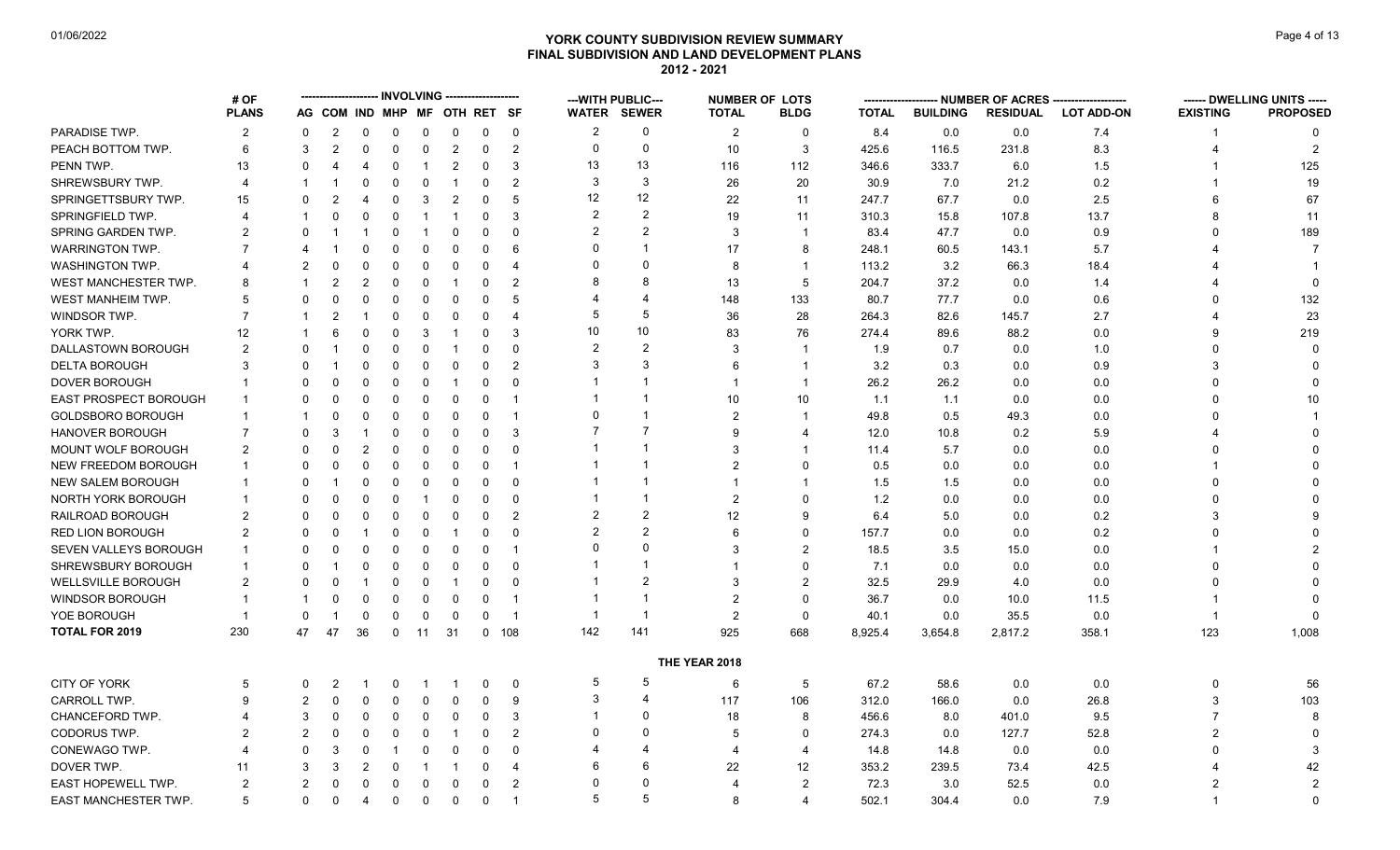# **YORK COUNTY SUBDIVISION REVIEW SUMMARY Page 4 of 13** Page 4 of 13 **FINAL SUBDIVISION AND LAND DEVELOPMENT PLANS 2012 - 2021**

|                              | # OF           |                |                |                |                |             | <b>INVOLVING -------------------</b> |                |                         |                | --- WITH PUBLIC---      |                | <b>NUMBER OF LOTS</b> |              |                 | NUMBER OF ACRES |                   |                 | ------ DWELLING UNITS ----- |
|------------------------------|----------------|----------------|----------------|----------------|----------------|-------------|--------------------------------------|----------------|-------------------------|----------------|-------------------------|----------------|-----------------------|--------------|-----------------|-----------------|-------------------|-----------------|-----------------------------|
|                              | <b>PLANS</b>   |                |                |                |                |             | AG COM IND MHP MF OTH RET SF         |                |                         |                | <b>WATER SEWER</b>      | <b>TOTAL</b>   | <b>BLDG</b>           | <b>TOTAL</b> | <b>BUILDING</b> | <b>RESIDUAL</b> | <b>LOT ADD-ON</b> | <b>EXISTING</b> | <b>PROPOSED</b>             |
| PARADISE TWP.                | $\overline{2}$ | $\mathbf{0}$   | $\overline{2}$ | 0              | 0              | 0           | $\mathbf 0$                          | $\mathbf 0$    | 0                       | $\overline{2}$ | 0                       | $\overline{2}$ | $\Omega$              | 8.4          | 0.0             | 0.0             | 7.4               |                 | $\Omega$                    |
| PEACH BOTTOM TWP.            | 6              | 3              | $\overline{2}$ | $\mathbf 0$    | $\mathbf 0$    | $\mathbf 0$ | $\overline{c}$                       | 0              | 2                       | 0              | 0                       | 10             | 3                     | 425.6        | 116.5           | 231.8           | 8.3               |                 | 2                           |
| PENN TWP.                    | 13             | $\Omega$       | 4              | 4              | $\Omega$       | -1          | $\overline{c}$                       | 0              | 3                       | 13             | 13                      | 116            | 112                   | 346.6        | 333.7           | 6.0             | 1.5               |                 | 125                         |
| SHREWSBURY TWP.              | 4              |                |                | 0              | $\mathbf 0$    | $\mathbf 0$ | $\overline{1}$                       | 0              | $\overline{2}$          | 3              | 3                       | 26             | 20                    | 30.9         | 7.0             | 21.2            | 0.2               |                 | 19                          |
| SPRINGETTSBURY TWP.          | 15             | 0              | 2              | 4              | $\mathbf 0$    | 3           | $\overline{2}$                       | $\Omega$       | -5                      | 12             | 12                      | 22             | 11                    | 247.7        | 67.7            | 0.0             | 2.5               | 6               | 67                          |
| <b>SPRINGFIELD TWP.</b>      | 4              |                | $\Omega$       | 0              | $\Omega$       | -1          | $\overline{\mathbf{1}}$              | $\Omega$       | 3                       | $\overline{2}$ | 2                       | 19             | 11                    | 310.3        | 15.8            | 107.8           | 13.7              | 8               | 11                          |
| SPRING GARDEN TWP.           | 2              | <sup>0</sup>   |                |                | 0              |             | $\mathbf 0$                          | $\mathbf 0$    | $\Omega$                | $\overline{2}$ | 2                       | 3              | $\overline{1}$        | 83.4         | 47.7            | 0.0             | 0.9               | $\Omega$        | 189                         |
| <b>WARRINGTON TWP.</b>       |                |                |                | 0              | $\Omega$       | $\Omega$    | $\Omega$                             | 0              | 6                       |                |                         | 17             | 8                     | 248.1        | 60.5            | 143.1           | 5.7               |                 |                             |
| <b>WASHINGTON TWP.</b>       |                | 2              | 0              | 0              | $\Omega$       | $\Omega$    | 0                                    | 0              | $\overline{4}$          |                | $\Omega$                | 8              | $\mathbf{1}$          | 113.2        | 3.2             | 66.3            | 18.4              |                 |                             |
| WEST MANCHESTER TWP.         | 8              |                | $\overline{2}$ | $\overline{2}$ | $\mathbf 0$    | $\mathbf 0$ | -1                                   | $\mathbf 0$    | $\overline{2}$          |                | 8                       | 13             | 5                     | 204.7        | 37.2            | 0.0             | 1.4               |                 |                             |
| WEST MANHEIM TWP.            | 5              | $\Omega$       | $\Omega$       | 0              | $\mathbf 0$    | 0           | 0                                    | $\Omega$       | 5                       |                | 4                       | 148            | 133                   | 80.7         | 77.7            | 0.0             | 0.6               | $\Omega$        | 132                         |
| WINDSOR TWP.                 | 7              |                | 2              |                | $\Omega$       | $\Omega$    | $\mathbf 0$                          | $\Omega$       | $\overline{4}$          | .5             | 5                       | 36             | 28                    | 264.3        | 82.6            | 145.7           | 2.7               |                 | 23                          |
| YORK TWP.                    | 12             |                | 6              | 0              | $\mathbf 0$    | 3           | -1                                   | 0              | 3                       | 10             | 10 <sup>1</sup>         | 83             | 76                    | 274.4        | 89.6            | 88.2            | 0.0               | 9               | 219                         |
| DALLASTOWN BOROUGH           | $\overline{2}$ | $\Omega$       |                | 0              | $\mathbf 0$    | 0           | -1                                   | 0              | $\Omega$                | $\overline{2}$ | $\overline{2}$          | 3              | $\mathbf 1$           | 1.9          | 0.7             | 0.0             | 1.0               | $\Omega$        | $\Omega$                    |
| <b>DELTA BOROUGH</b>         | 3              |                |                | 0              | $\mathbf 0$    | 0           | $\mathbf 0$                          | $\Omega$       | $\overline{2}$          | 3              | 3                       | 6              | $\mathbf 1$           | 3.2          | 0.3             | 0.0             | 0.9               | 3               | $\Omega$                    |
| <b>DOVER BOROUGH</b>         |                | $\Omega$       | O              | $\Omega$       | 0              | $\mathbf 0$ | -1                                   | $\Omega$       | $\Omega$                |                |                         | $\mathbf{1}$   | $\overline{1}$        | 26.2         | 26.2            | 0.0             | 0.0               | $\Omega$        | $\mathbf{0}$                |
| <b>EAST PROSPECT BOROUGH</b> |                | $\Omega$       | $\Omega$       | 0              | $\mathbf 0$    | $\Omega$    | $\mathbf 0$                          | $\Omega$       | -1                      |                | -1                      | 10             | 10                    | 1.1          | 1.1             | 0.0             | 0.0               | $\Omega$        | 10                          |
| <b>GOLDSBORO BOROUGH</b>     |                |                | 0              | 0              | $\Omega$       | 0           | 0                                    | $\Omega$       | -1                      | $\Omega$       | -1                      | $\overline{2}$ | $\mathbf{1}$          | 49.8         | 0.5             | 49.3            | 0.0               | $\Omega$        |                             |
| <b>HANOVER BOROUGH</b>       | $\overline{7}$ | $\Omega$       | 3              | 1              | $\Omega$       | $\Omega$    | $\mathbf 0$                          | 0              | 3                       |                | $\overline{7}$          | 9              | $\boldsymbol{\Delta}$ | 12.0         | 10.8            | 0.2             | 5.9               |                 |                             |
| MOUNT WOLF BOROUGH           | 2              | <sup>0</sup>   | 0              | 2              | $\mathbf 0$    | 0           | $\overline{0}$                       | $\Omega$       | $\Omega$                |                | 1                       | 3              | $\mathbf 1$           | 11.4         | 5.7             | 0.0             | 0.0               |                 |                             |
| <b>NEW FREEDOM BOROUGH</b>   |                | $\Omega$       | 0              | 0              | $\Omega$       | $\Omega$    | 0                                    | 0              | -1                      |                |                         | $\overline{2}$ | $\Omega$              | 0.5          | 0.0             | 0.0             | 0.0               |                 |                             |
| <b>NEW SALEM BOROUGH</b>     |                | $\Omega$       |                | 0              | $\Omega$       | $\Omega$    | $\Omega$                             | $\Omega$       | $\Omega$                |                | 1                       | $\mathbf{1}$   | $\mathbf{1}$          | 1.5          | 1.5             | 0.0             | 0.0               | $\Omega$        |                             |
| NORTH YORK BOROUGH           |                | <sup>0</sup>   | 0              | 0              | 0              |             | 0                                    | $\Omega$       | $\Omega$                |                |                         | $\overline{2}$ | $\Omega$              | 1.2          | 0.0             | 0.0             | 0.0               | <sup>0</sup>    |                             |
| RAILROAD BOROUGH             | 2              | $\Omega$       | 0              | 0              | $\mathbf 0$    | $\Omega$    | 0                                    | $\Omega$       | $\overline{2}$          | $\overline{2}$ | 2                       | 12             | 9                     | 6.4          | 5.0             | 0.0             | 0.2               | 3               |                             |
| RED LION BOROUGH             | $\overline{2}$ | $\Omega$       | $\Omega$       |                | $\Omega$       | $\Omega$    | -1                                   | $\Omega$       | $\Omega$                |                | $\overline{2}$          | 6              | $\Omega$              | 157.7        | 0.0             | 0.0             | 0.2               |                 |                             |
| SEVEN VALLEYS BOROUGH        |                | $\Omega$       | 0              | 0              | $\mathbf 0$    | 0           | $\mathbf 0$                          | 0              | $\overline{1}$          |                | $\Omega$                | 3              | $\mathcal{P}$         | 18.5         | 3.5             | 15.0            | 0.0               |                 | $\mathcal{P}$               |
| SHREWSBURY BOROUGH           |                | $\Omega$       |                | 0              | $\mathbf 0$    | 0           | $\overline{0}$                       | 0              | $\Omega$                |                |                         |                | $\Omega$              | 7.1          | 0.0             | 0.0             | 0.0               |                 |                             |
| WELLSVILLE BOROUGH           | 2              | $\Omega$       |                |                | $\mathbf 0$    | $\mathbf 0$ | $\overline{1}$                       | $\Omega$       | $\Omega$                |                | $\overline{2}$          | 3              | $\overline{2}$        | 32.5         | 29.9            | 4.0             | 0.0               | $\Omega$        |                             |
| WINDSOR BOROUGH              |                |                | 0              | $\mathbf 0$    | $\mathbf 0$    | $\mathbf 0$ | $\mathbf 0$                          | $\mathbf 0$    | -1                      |                | $\overline{\mathbf{1}}$ | $\overline{2}$ | $\Omega$              | 36.7         | 0.0             | 10.0            | 11.5              |                 |                             |
| YOE BOROUGH                  | $\overline{1}$ | $\Omega$       |                | 0              | $\mathbf 0$    | $\mathbf 0$ | $\overline{0}$                       | $\Omega$       | $\overline{\mathbf{1}}$ | -1             | -1                      | $\overline{2}$ | $\Omega$              | 40.1         | 0.0             | 35.5            | 0.0               | -1              | $\Omega$                    |
| <b>TOTAL FOR 2019</b>        | 230            | 47             | 47             | 36             | $\overline{0}$ | 11          | 31                                   | $\overline{0}$ | 108                     | 142            | 141                     | 925            | 668                   | 8,925.4      | 3,654.8         | 2,817.2         | 358.1             | 123             | 1,008                       |
|                              |                |                |                |                |                |             |                                      |                |                         |                |                         | THE YEAR 2018  |                       |              |                 |                 |                   |                 |                             |
| CITY OF YORK                 | 5              | 0              | 2              |                | 0              |             |                                      | 0              | $\mathbf 0$             | 5              | 5                       | 6              | 5                     | 67.2         | 58.6            | 0.0             | 0.0               | 0               | 56                          |
| <b>CARROLL TWP</b>           | 9              | $\overline{2}$ | 0              | 0              | $\mathbf 0$    | 0           | 0                                    | 0              | 9                       | 3              | $\overline{4}$          | 117            | 106                   | 312.0        | 166.0           | 0.0             | 26.8              | 3               | 103                         |
| CHANCEFORD TWP.              |                | 3              | 0              | 0              | $\mathbf 0$    | 0           | 0                                    | 0              | 3                       |                | $\Omega$                | 18             | 8                     | 456.6        | 8.0             | 401.0           | 9.5               | $\overline{7}$  | 8                           |
| <b>CODORUS TWP</b>           | 2              | $\mathfrak{p}$ | 0              | 0              | $\Omega$       | $\Omega$    | -1                                   | $\Omega$       | $\overline{2}$          | $\Omega$       | $\Omega$                | 5              | $\Omega$              | 274.3        | 0.0             | 127.7           | 52.8              | $\overline{2}$  | $\Omega$                    |
| CONEWAGO TWP.                |                | $\Omega$       | 3              | 0              | -1             | 0           | 0                                    | 0              | $\Omega$                |                | 4                       | 4              | $\overline{4}$        | 14.8         | 14.8            | 0.0             | 0.0               | 0               | 3                           |
| DOVER TWP.                   | 11             | 3              | 3              | 2              | $\mathbf 0$    | -1          | -1                                   | $\Omega$       | $\overline{4}$          | 6              | 6                       | 22             | 12                    | 353.2        | 239.5           | 73.4            | 42.5              |                 | 42                          |
| EAST HOPEWELL TWP.           | $\overline{2}$ | 2              | 0              | $\mathbf 0$    | $\mathbf 0$    | $\Omega$    | $\mathbf 0$                          | $\mathbf 0$    | $\overline{2}$          |                | $\Omega$                | 4              | $\overline{2}$        | 72.3         | 3.0             | 52.5            | 0.0               |                 | $\overline{2}$              |
| EAST MANCHESTER TWP.         | 5              | 0              | 0              | 4              | $\mathbf 0$    | $\mathbf 0$ | $\mathbf 0$                          | 0              | $\overline{\mathbf{1}}$ | 5              | 5                       | 8              | $\boldsymbol{\Delta}$ | 502.1        | 304.4           | 0.0             | 7.9               | -1              | $\Omega$                    |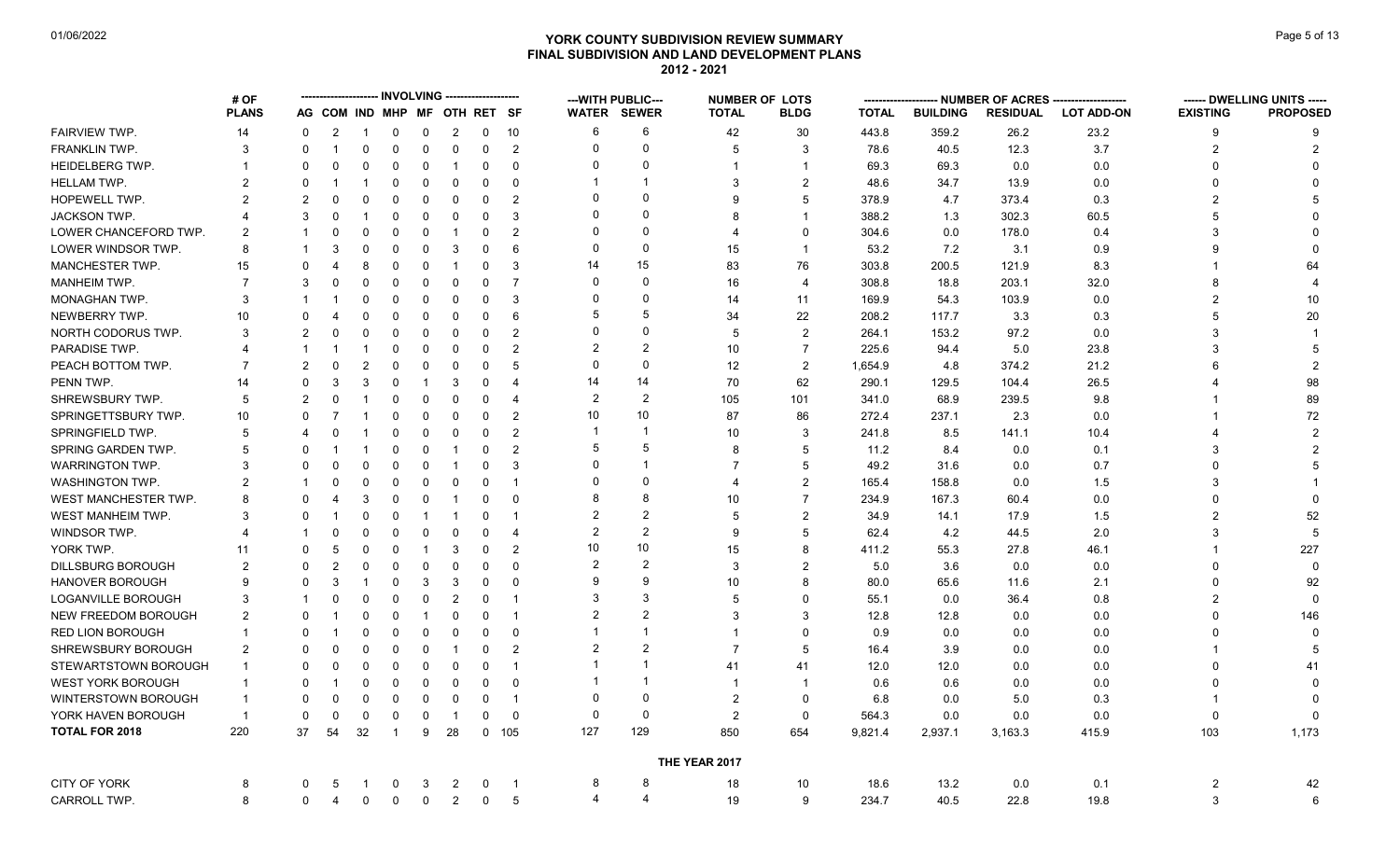# **YORK COUNTY SUBDIVISION REVIEW SUMMARY Page 1 COUNTY SUBDIVISION REVIEW SUMMARY FINAL SUBDIVISION AND LAND DEVELOPMENT PLANS 2012 - 2021**

|                           | # OF           |                |                |                              |              |             |                |              |                         |                | ---WITH PUBLIC---  | <b>NUMBER OF LOTS</b> |                |              |                 | - NUMBER OF ACRES ----- |                   |                 | ------ DWELLING UNITS ----- |
|---------------------------|----------------|----------------|----------------|------------------------------|--------------|-------------|----------------|--------------|-------------------------|----------------|--------------------|-----------------------|----------------|--------------|-----------------|-------------------------|-------------------|-----------------|-----------------------------|
|                           | <b>PLANS</b>   |                |                | AG COM IND MHP MF OTH RET SF |              |             |                |              |                         |                | <b>WATER SEWER</b> | <b>TOTAL</b>          | <b>BLDG</b>    | <b>TOTAL</b> | <b>BUILDING</b> | <b>RESIDUAL</b>         | <b>LOT ADD-ON</b> | <b>EXISTING</b> | <b>PROPOSED</b>             |
| FAIRVIEW TWP.             | 14             | $\mathbf 0$    | $\overline{2}$ |                              | $\mathbf 0$  | $\mathbf 0$ | $\overline{c}$ | $\mathsf{O}$ | 10                      | 6              | 6                  | 42                    | 30             | 443.8        | 359.2           | 26.2                    | 23.2              | 9               | 9                           |
| <b>FRANKLIN TWP.</b>      | 3              | $\Omega$       | $\overline{1}$ | $\Omega$                     | $\mathbf 0$  | $\mathbf 0$ | $\mathbf 0$    | $\mathbf 0$  | 2                       | $\Omega$       | $\Omega$           | 5                     | 3              | 78.6         | 40.5            | 12.3                    | 3.7               | $\overline{2}$  | 2                           |
| <b>HEIDELBERG TWP.</b>    |                | $\Omega$       | $\Omega$       | $\Omega$                     | $\mathbf 0$  | $\Omega$    | $\overline{1}$ | $\Omega$     | $\mathbf 0$             | $\Omega$       | $\Omega$           | 1                     | $\overline{1}$ | 69.3         | 69.3            | 0.0                     | 0.0               | $\Omega$        |                             |
| <b>HELLAM TWP.</b>        | 2              | $\Omega$       |                |                              | $\mathbf 0$  | $\mathbf 0$ | $\mathbf 0$    | $\Omega$     | $\mathbf 0$             |                | -1                 | 3                     | $\overline{2}$ | 48.6         | 34.7            | 13.9                    | 0.0               | O               |                             |
| HOPEWELL TWP.             | 2              | $\mathfrak{p}$ | $\Omega$       | $\Omega$                     | $\mathbf 0$  | $\Omega$    | $\mathbf 0$    | $\Omega$     | $\overline{2}$          | $\Omega$       | $\Omega$           | 9                     | 5              | 378.9        | 4.7             | 373.4                   | 0.3               | $\overline{2}$  |                             |
| <b>JACKSON TWP.</b>       |                | 3              | $\Omega$       |                              | $\mathbf 0$  | $\Omega$    | $\mathbf 0$    | $\Omega$     | 3                       | $\Omega$       | $\Omega$           | 8                     | $\mathbf 1$    | 388.2        | 1.3             | 302.3                   | 60.5              | 5               |                             |
| LOWER CHANCEFORD TWP.     | $\mathfrak{p}$ |                | $\Omega$       | $\Omega$                     | $\mathbf 0$  | $\mathbf 0$ | $\overline{1}$ | $\Omega$     | $\overline{2}$          | $\Omega$       | $\Omega$           | 4                     | $\Omega$       | 304.6        | 0.0             | 178.0                   | 0.4               | 3               |                             |
| LOWER WINDSOR TWP.        | 8              |                | 3              | $\Omega$                     | 0            | $\Omega$    | 3              | $\Omega$     | 6                       | $\Omega$       | $\Omega$           | 15                    | $\mathbf 1$    | 53.2         | 7.2             | 3.1                     | 0.9               | q               |                             |
| MANCHESTER TWP.           | 15             | $\Omega$       | 4              | 8                            | $\Omega$     | $\Omega$    | $\overline{1}$ | $\Omega$     | 3                       | 14             | 15                 | 83                    | 76             | 303.8        | 200.5           | 121.9                   | 8.3               |                 | 64                          |
| <b>MANHEIM TWP.</b>       |                | 3              | $\Omega$       | $\Omega$                     | $\mathbf 0$  | $\Omega$    | $\mathbf 0$    | $\Omega$     | $\overline{7}$          | $\Omega$       | $\Omega$           | 16                    | $\overline{4}$ | 308.8        | 18.8            | 203.1                   | 32.0              | 8               |                             |
| MONAGHAN TWP.             | 3              |                |                | 0                            | $\mathbf 0$  | $\Omega$    | $\mathbf 0$    | $\Omega$     | 3                       | $\Omega$       | $\Omega$           | 14                    | 11             | 169.9        | 54.3            | 103.9                   | 0.0               | $\overline{2}$  | 10 <sup>°</sup>             |
| NEWBERRY TWP.             | 10             | $\Omega$       | $\overline{4}$ | $\Omega$                     | $\mathbf 0$  | $\Omega$    | $\mathbf 0$    | $\Omega$     | 6                       |                | 5                  | 34                    | 22             | 208.2        | 117.7           | 3.3                     | 0.3               | 5               | 20                          |
| NORTH CODORUS TWP.        | 3              | $\mathfrak{p}$ | $\Omega$       | $\Omega$                     | $\mathbf 0$  | $\Omega$    | $\mathbf 0$    | $\Omega$     | $\overline{2}$          | $\Omega$       | $\Omega$           | 5                     | $\overline{2}$ | 264.1        | 153.2           | 97.2                    | 0.0               | 3               |                             |
| PARADISE TWP.             | Δ              |                |                |                              | $\mathbf 0$  | $\Omega$    | $\mathbf 0$    | $\mathbf{0}$ | $\overline{2}$          | $\mathcal{P}$  | $\mathfrak{p}$     | 10                    | $\overline{7}$ | 225.6        | 94.4            | 5.0                     | 23.8              | 3               |                             |
| PEACH BOTTOM TWP.         |                | $\mathfrak{p}$ | $\Omega$       | $\overline{2}$               | $\mathbf 0$  | $\Omega$    | $\mathbf 0$    | $\Omega$     | 5                       | $\Omega$       | $\Omega$           | 12                    | $\overline{2}$ | 1,654.9      | 4.8             | 374.2                   | 21.2              |                 | $\overline{2}$              |
| PENN TWP.                 | 14             | $\Omega$       | 3              | 3                            | $\mathbf 0$  | -1          | 3              | $\Omega$     | $\overline{4}$          | 14             | 14                 | 70                    | 62             | 290.1        | 129.5           | 104.4                   | 26.5              |                 | 98                          |
| SHREWSBURY TWP.           | 5              | $\overline{2}$ | 0              | -1                           | $\mathbf 0$  | $\Omega$    | $\mathbf 0$    | $\Omega$     | $\overline{4}$          | $\overline{2}$ | $\overline{2}$     | 105                   | 101            | 341.0        | 68.9            | 239.5                   | 9.8               |                 | 89                          |
| SPRINGETTSBURY TWP.       | 10             | $\Omega$       | $\overline{7}$ |                              | $\mathbf 0$  | $\Omega$    | $\mathbf 0$    | $\Omega$     | 2                       | 10             | 10                 | 87                    | 86             | 272.4        | 237.1           | 2.3                     | 0.0               |                 | 72                          |
| <b>SPRINGFIELD TWP.</b>   | 5              |                | $\Omega$       |                              | $\mathbf 0$  | $\Omega$    | $\mathbf 0$    | $\Omega$     | 2                       |                | $\overline{1}$     | 10                    | 3              | 241.8        | 8.5             | 141.1                   | 10.4              |                 |                             |
| SPRING GARDEN TWP.        | 5              | $\Omega$       |                |                              | $\mathbf 0$  | $\mathbf 0$ | $\overline{1}$ | $\Omega$     | 2                       | .5             | 5                  | 8                     | 5              | 11.2         | 8.4             | 0.0                     | 0.1               | 3               |                             |
| <b>WARRINGTON TWP.</b>    | 3              | $\Omega$       | $\Omega$       | $\Omega$                     | $\Omega$     | $\Omega$    | $\overline{1}$ | $\Omega$     | 3                       | $\Omega$       | $\overline{1}$     |                       | 5              | 49.2         | 31.6            | 0.0                     | 0.7               |                 |                             |
| WASHINGTON TWP.           | 2              |                | $\Omega$       | $\Omega$                     | $\mathbf 0$  | $\Omega$    | $\mathbf 0$    | $\Omega$     | $\overline{1}$          | $\Omega$       | $\Omega$           | 4                     | 2              | 165.4        | 158.8           | 0.0                     | 1.5               | 3               |                             |
| WEST MANCHESTER TWP.      | 8              | $\Omega$       | $\overline{4}$ | 3                            | $\mathbf 0$  | $\Omega$    | $\overline{1}$ | $\Omega$     | $\mathbf 0$             |                | 8                  | 10                    | $\overline{7}$ | 234.9        | 167.3           | 60.4                    | 0.0               |                 |                             |
| WEST MANHEIM TWP.         | 3              | $\Omega$       |                | $\Omega$                     | $\mathbf 0$  | -1          | -1             | $\Omega$     | $\overline{\mathbf{1}}$ |                | $\overline{2}$     | 5                     | $\overline{2}$ | 34.9         | 14.1            | 17.9                    | 1.5               | $\overline{2}$  | 52                          |
| WINDSOR TWP.              |                |                | $\Omega$       | $\Omega$                     | $\mathbf 0$  | $\Omega$    | $\mathbf 0$    | $\Omega$     | $\overline{4}$          | $\overline{2}$ | $\overline{2}$     | 9                     | 5              | 62.4         | 4.2             | 44.5                    | 2.0               | 3               | 5                           |
| YORK TWP.                 | 11             | $\Omega$       | .5             | $\Omega$                     | $\mathbf 0$  | -1          | 3              | $\Omega$     | $\overline{2}$          | 10             | 10                 | 15                    | 8              | 411.2        | 55.3            | 27.8                    | 46.1              |                 | 227                         |
| <b>DILLSBURG BOROUGH</b>  | 2              | $\Omega$       | $\overline{2}$ | $\Omega$                     | $\mathbf 0$  | $\Omega$    | $\mathbf 0$    | $\Omega$     | $\mathbf 0$             | $\mathcal{P}$  | $\mathfrak{p}$     | 3                     | $\overline{2}$ | 5.0          | 3.6             | 0.0                     | 0.0               | 0               | $\Omega$                    |
| <b>HANOVER BOROUGH</b>    | 9              | $\Omega$       | 3              |                              | $\mathbf 0$  | 3           | 3              | $\Omega$     | $\mathbf{0}$            | 9              | 9                  | 10                    | 8              | 80.0         | 65.6            | 11.6                    | 2.1               | 0               | 92                          |
| <b>LOGANVILLE BOROUGH</b> | 3              |                | $\Omega$       | $\Omega$                     | $\mathbf 0$  | $\Omega$    | $\overline{2}$ | $\Omega$     | $\overline{1}$          |                | 3                  | 5                     | $\Omega$       | 55.1         | 0.0             | 36.4                    | 0.8               | $\mathfrak{p}$  | $\Omega$                    |
| NEW FREEDOM BOROUGH       | 2              | $\Omega$       |                | $\Omega$                     | $\mathbf 0$  | -1          | $\mathbf 0$    | $\Omega$     | $\overline{\mathbf{1}}$ | $\overline{2}$ | $\overline{2}$     | 3                     | 3              | 12.8         | 12.8            | 0.0                     | 0.0               |                 | 146                         |
| <b>RED LION BOROUGH</b>   |                | $\Omega$       | -1             | $\Omega$                     | $\mathbf 0$  | $\Omega$    | $\mathbf 0$    | $\Omega$     | $\mathbf 0$             |                | $\overline{1}$     | $\overline{1}$        | $\Omega$       | 0.9          | 0.0             | 0.0                     | 0.0               |                 |                             |
| SHREWSBURY BOROUGH        | 2              | $\Omega$       | $\Omega$       | $\Omega$                     | $\mathbf 0$  | $\Omega$    | $\overline{1}$ | $\Omega$     | $\overline{2}$          | $\overline{2}$ | $\overline{2}$     | $\overline{7}$        | 5              | 16.4         | 3.9             | 0.0                     | 0.0               |                 |                             |
| STEWARTSTOWN BOROUGH      | $\mathbf{1}$   | $\Omega$       | $\Omega$       | 0                            | 0            | 0           | 0              | $\Omega$     | $\overline{\mathbf{1}}$ |                | $\overline{1}$     | 41                    | 41             | 12.0         | 12.0            | 0.0                     | 0.0               | <sup>0</sup>    | 41                          |
| <b>WEST YORK BOROUGH</b>  |                | $\Omega$       |                | $\Omega$                     | $\mathbf 0$  | $\Omega$    | $\mathbf 0$    | $\Omega$     | $\mathbf{0}$            |                | -1                 |                       | -1             | 0.6          | 0.6             | 0.0                     | 0.0               |                 |                             |
| WINTERSTOWN BOROUGH       | $\mathbf 1$    | $\Omega$       | $\Omega$       | $\Omega$                     | $\Omega$     | $\Omega$    | $\mathbf 0$    | $\Omega$     | $\overline{1}$          | $\Omega$       | $\mathbf 0$        | $\overline{2}$        | $\Omega$       | 6.8          | 0.0             | 5.0                     | 0.3               |                 |                             |
| YORK HAVEN BOROUGH        | $\overline{1}$ | $\Omega$       | $\mathbf 0$    | $\Omega$                     | $\mathbf 0$  | $\Omega$    | $\overline{1}$ | $\Omega$     | $\mathbf 0$             | $\Omega$       | $\mathbf 0$        | $\overline{2}$        | $\Omega$       | 564.3        | 0.0             | 0.0                     | 0.0               | $\Omega$        |                             |
| <b>TOTAL FOR 2018</b>     | 220            | 37             | 54             | 32                           | $\mathbf{1}$ | 9           | 28             | $\mathbf{0}$ | 105                     | 127            | 129                | 850                   | 654            | 9,821.4      | 2,937.1         | 3,163.3                 | 415.9             | 103             | 1,173                       |
|                           |                |                |                |                              |              |             |                |              |                         |                |                    | THE YEAR 2017         |                |              |                 |                         |                   |                 |                             |
| <b>CITY OF YORK</b>       | 8              | 0              | -5             |                              | 0            | 3           | 2              | 0            | $\overline{\mathbf{1}}$ | 8              | 8                  | 18                    | 10             | 18.6         | 13.2            | 0.0                     | 0.1               | 2               | 42                          |
| CARROLL TWP.              | 8              | 0              | 4              | $\mathbf 0$                  | $\pmb{0}$    | $\mathbf 0$ | $\overline{2}$ | $\mathbf 0$  | 5                       | 4              | $\overline{4}$     | 19                    | 9              | 234.7        | 40.5            | 22.8                    | 19.8              | 3               | 6                           |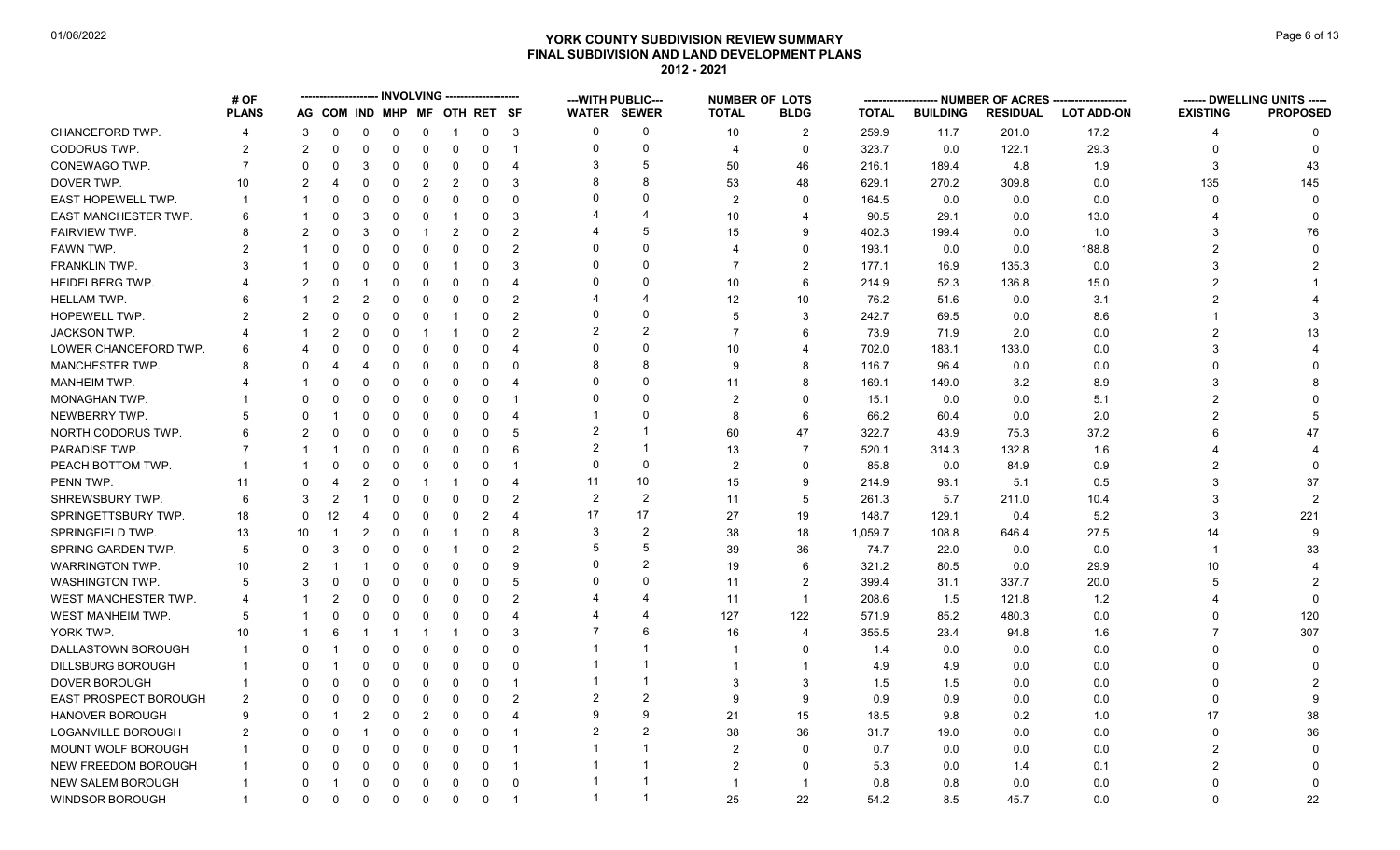# **YORK COUNTY SUBDIVISION REVIEW SUMMARY Page 6 of 13** Page 6 of 13 **FINAL SUBDIVISION AND LAND DEVELOPMENT PLANS 2012 - 2021**

|                              | # OF                  |                |               |                |             |                |                              |             |                       |                | --- WITH PUBLIC--- | <b>NUMBER OF LOTS</b> |                          |              |                 | - NUMBER OF ACRES ------ |                   |                 | ------ DWELLING UNITS ----- |
|------------------------------|-----------------------|----------------|---------------|----------------|-------------|----------------|------------------------------|-------------|-----------------------|----------------|--------------------|-----------------------|--------------------------|--------------|-----------------|--------------------------|-------------------|-----------------|-----------------------------|
|                              | <b>PLANS</b>          |                |               |                |             |                | AG COM IND MHP MF OTH RET SF |             |                       |                | <b>WATER SEWER</b> | <b>TOTAL</b>          | <b>BLDG</b>              | <b>TOTAL</b> | <b>BUILDING</b> | <b>RESIDUAL</b>          | <b>LOT ADD-ON</b> | <b>EXISTING</b> | <b>PROPOSED</b>             |
| CHANCEFORD TWP.              | 4                     | 3              | 0             | 0              | $\mathbf 0$ | $\mathbf 0$    | $\overline{1}$               | $\mathbf 0$ | 3                     | $\Omega$       | 0                  | 10                    | $\overline{2}$           | 259.9        | 11.7            | 201.0                    | 17.2              | 4               | $\Omega$                    |
| CODORUS TWP.                 | 2                     | 2              | 0             | 0              | $\mathbf 0$ | $\mathbf 0$    | $\mathbf 0$                  | 0           | $\overline{1}$        | $\Omega$       | 0                  | 4                     | $\mathbf{0}$             | 323.7        | 0.0             | 122.1                    | 29.3              | $\Omega$        | $\Omega$                    |
| CONEWAGO TWP.                | $\overline{7}$        | $\Omega$       | $\Omega$      | 3              | $\Omega$    | 0              | $\overline{0}$               | 0           | $\overline{4}$        | 3              | 5                  | 50                    | 46                       | 216.1        | 189.4           | 4.8                      | 1.9               | 3               | 43                          |
| DOVER TWP.                   | 10                    | 2              | 4             | 0              | 0           | $\overline{2}$ | $\overline{2}$               | 0           | 3                     |                | 8                  | 53                    | 48                       | 629.1        | 270.2           | 309.8                    | 0.0               | 135             | 145                         |
| EAST HOPEWELL TWP.           | $\mathbf 1$           |                | 0             | 0              | $\Omega$    | 0              | 0                            | $\Omega$    | $\Omega$              |                | $\Omega$           | 2                     | $\Omega$                 | 164.5        | 0.0             | 0.0                      | 0.0               | $\Omega$        |                             |
| <b>EAST MANCHESTER TWP.</b>  | 6                     |                | 0             | 3              | $\Omega$    | 0              | $\overline{\mathbf{1}}$      | 0           | 3                     |                |                    | 10                    | 4                        | 90.5         | 29.1            | 0.0                      | 13.0              |                 |                             |
| FAIRVIEW TWP.                | 8                     | $\mathcal{P}$  | $\Omega$      | 3              | $\mathbf 0$ | -1             | $\overline{2}$               | $\Omega$    | $\overline{2}$        |                | 5                  | 15                    | $\mathbf{Q}$             | 402.3        | 199.4           | 0.0                      | 1.0               | 3               | 76                          |
| FAWN TWP.                    |                       |                | O             | 0              | 0           | 0              | 0                            | $\Omega$    | $\overline{2}$        | $\Omega$       | $\Omega$           | 4                     | $\Omega$                 | 193.1        | 0.0             | 0.0                      | 188.8             | 2               |                             |
| FRANKLIN TWP.                |                       |                | O             | 0              | $\Omega$    | $\Omega$       | -1                           | $\Omega$    | 3                     |                | $\Omega$           | $\overline{7}$        | 2                        | 177.1        | 16.9            | 135.3                    | 0.0               | 3               |                             |
| <b>HEIDELBERG TWP.</b>       |                       | $\overline{2}$ | O             |                | $\Omega$    | 0              | 0                            | $\Omega$    | $\overline{4}$        |                | $\Omega$           | 10                    | 6                        | 214.9        | 52.3            | 136.8                    | 15.0              | $\overline{2}$  |                             |
| HELLAM TWP.                  |                       |                | 2             | $\overline{2}$ | $\mathbf 0$ | 0              | 0                            | 0           | $\overline{2}$        |                | 4                  | 12                    | 10                       | 76.2         | 51.6            | 0.0                      | 3.1               | $\overline{2}$  |                             |
| HOPEWELL TWP.                | 2                     | $\overline{2}$ |               | $\Omega$       | $\mathbf 0$ | 0              |                              | $\Omega$    | $\overline{2}$        | $\Omega$       | $\Omega$           | 5                     | 3                        | 242.7        | 69.5            | 0.0                      | 8.6               |                 |                             |
| <b>JACKSON TWP.</b>          |                       |                | 2             | 0              | $\mathbf 0$ |                | -1                           | $\Omega$    | $\overline{2}$        |                | $\overline{2}$     | $\overline{7}$        | 6                        | 73.9         | 71.9            | 2.0                      | 0.0               | $\overline{2}$  | 13                          |
| LOWER CHANCEFORD TWP.        | 6                     | Δ              | ŋ             | 0              | $\Omega$    | $\Omega$       | 0                            | 0           | $\overline{4}$        | $\Omega$       | $\Omega$           | 10                    | $\boldsymbol{\Delta}$    | 702.0        | 183.1           | 133.0                    | 0.0               | 3               |                             |
| <b>MANCHESTER TWP.</b>       |                       | <sup>0</sup>   |               |                | $\Omega$    | 0              | 0                            | $\Omega$    | $\Omega$              |                | 8                  | 9                     | 8                        | 116.7        | 96.4            | 0.0                      | 0.0               | $\Omega$        |                             |
| MANHEIM TWP.                 |                       |                |               | 0              | $\Omega$    | $\Omega$       | $\Omega$                     | $\Omega$    | $\overline{4}$        | $\Omega$       | $\Omega$           | 11                    | 8                        | 169.1        | 149.0           | 3.2                      | 8.9               | 3               |                             |
| MONAGHAN TWP.                |                       | 0              | 0             | 0              | $\mathbf 0$ | 0              | 0                            | 0           | -1                    |                | $\Omega$           | $\overline{2}$        | $\Omega$                 | 15.1         | 0.0             | 0.0                      | 5.1               | $\overline{2}$  |                             |
| NEWBERRY TWP.                | 5                     | $\Omega$       |               | 0              | $\Omega$    | $\Omega$       | $\Omega$                     | 0           | $\overline{4}$        |                | $\Omega$           | 8                     | 6                        | 66.2         | 60.4            | 0.0                      | 2.0               | $\mathfrak{p}$  |                             |
| NORTH CODORUS TWP.           | 6                     | 2              | 0             | 0              | $\Omega$    | $\Omega$       | $\mathbf 0$                  | 0           | -5                    | $\overline{2}$ |                    | 60                    | 47                       | 322.7        | 43.9            | 75.3                     | 37.2              |                 | 47                          |
| PARADISE TWP.                |                       |                |               | 0              | 0           | 0              | 0                            | $\Omega$    | 6                     | 2              | $\overline{1}$     | 13                    | $\overline{7}$           | 520.1        | 314.3           | 132.8                    | 1.6               |                 |                             |
| PEACH BOTTOM TWP.            |                       |                | 0             | 0              | $\Omega$    | $\Omega$       | 0                            | $\Omega$    |                       | $\Omega$       | $\Omega$           | $\overline{2}$        | $\Omega$                 | 85.8         | 0.0             | 84.9                     | 0.9               | 2               |                             |
| PENN TWP.                    | 11                    | $\Omega$       | 4             | 2              | $\Omega$    | -1             | -1                           | 0           | $\overline{4}$        | 11             | 10                 | 15                    | 9                        | 214.9        | 93.1            | 5.1                      | 0.5               | 3               | 37                          |
| SHREWSBURY TWP.              | 6                     | 3              | 2             |                | 0           | 0              | $\mathbf 0$                  | 0           | $\overline{2}$        | $\overline{2}$ | $\overline{2}$     | 11                    | 5                        | 261.3        | 5.7             | 211.0                    | 10.4              | 3               | $\mathcal{P}$               |
| SPRINGETTSBURY TWP.          | 18                    | $\Omega$       | 12            | 4              | $\mathbf 0$ | 0              | 0                            | 2           | $\overline{4}$        | 17             | 17                 | 27                    | 19                       | 148.7        | 129.1           | 0.4                      | 5.2               | 3               | 221                         |
| SPRINGFIELD TWP.             | 13                    | 10             |               | $\overline{2}$ | $\Omega$    | $\Omega$       | -1                           | $\Omega$    | 8                     | 3              | 2                  | 38                    | 18                       | 1,059.7      | 108.8           | 646.4                    | 27.5              | 14              | $\mathbf{Q}$                |
| SPRING GARDEN TWP.           | 5                     | $\mathbf{0}$   | 3             | $\Omega$       | $\mathbf 0$ | $\mathbf 0$    | $\overline{1}$               | $\Omega$    | $\overline{2}$        |                | 5                  | 39                    | 36                       | 74.7         | 22.0            | 0.0                      | 0.0               | -1              | 33                          |
| <b>WARRINGTON TWP.</b>       | 10                    | $\overline{2}$ |               |                | $\mathbf 0$ | 0              | 0                            | $\Omega$    | 9                     | $\Omega$       | 2                  | 19                    | 6                        | 321.2        | 80.5            | 0.0                      | 29.9              | 10              |                             |
| <b>WASHINGTON TWP.</b>       | 5                     | 3              | 0             | 0              | $\Omega$    | $\Omega$       | 0                            | $\mathbf 0$ | 5                     |                | $\Omega$           | 11                    | $\overline{2}$           | 399.4        | 31.1            | 337.7                    | 20.0              | 5               |                             |
| WEST MANCHESTER TWP.         | $\boldsymbol{\Delta}$ |                | $\mathcal{P}$ | 0              | $\Omega$    | $\Omega$       | $\Omega$                     | $\Omega$    | $\overline{2}$        |                | 4                  | 11                    | $\mathbf{1}$             | 208.6        | 1.5             | 121.8                    | 1.2               |                 |                             |
| WEST MANHEIM TWP.            | 5                     |                | n             | 0              | $\mathbf 0$ | 0              | 0                            | $\Omega$    | $\boldsymbol{\Delta}$ |                |                    | 127                   | 122                      | 571.9        | 85.2            | 480.3                    | 0.0               | 0               | 120                         |
| YORK TWP.                    | 10                    |                | 6             |                | -1          |                | -1                           | $\Omega$    | 3                     |                | 6                  | 16                    | $\overline{\mathcal{A}}$ | 355.5        | 23.4            | 94.8                     | 1.6               | $\overline{7}$  | 307                         |
| DALLASTOWN BOROUGH           |                       | $\Omega$       |               | $\Omega$       | $\Omega$    | $\Omega$       | $\mathbf 0$                  | 0           | $\Omega$              |                |                    | -1                    | $\Omega$                 | 1.4          | 0.0             | 0.0                      | 0.0               | <sup>0</sup>    | $\Omega$                    |
| DILLSBURG BOROUGH            |                       | <sup>0</sup>   |               | 0              | 0           | 0              | 0                            | 0           | 0                     |                | -1                 | -1                    | $\mathbf 1$              | 4.9          | 4.9             | 0.0                      | 0.0               |                 |                             |
| <b>DOVER BOROUGH</b>         |                       | <sup>0</sup>   | O             | $\Omega$       | $\Omega$    | $\Omega$       | $\mathbf 0$                  | $\Omega$    |                       |                |                    | 3                     | 3                        | 1.5          | 1.5             | 0.0                      | 0.0               |                 |                             |
| <b>EAST PROSPECT BOROUGH</b> | 2                     | $\Omega$       | 0             | 0              | $\mathbf 0$ | 0              | 0                            | $\Omega$    | $\overline{2}$        |                | $\overline{2}$     | 9                     | 9                        | 0.9          | 0.9             | 0.0                      | 0.0               | 0               |                             |
| HANOVER BOROUGH              | $\mathbf{Q}$          | <sup>0</sup>   |               | $\overline{2}$ | $\mathbf 0$ | $\overline{2}$ | $\mathbf 0$                  | $\Omega$    | $\overline{4}$        |                | 9                  | 21                    | 15                       | 18.5         | 9.8             | 0.2                      | 1.0               | 17              | 38                          |
| <b>LOGANVILLE BOROUGH</b>    | 2                     |                | 0             |                | $\mathbf 0$ | 0              | 0                            | 0           | -1                    |                | $\overline{2}$     | 38                    | 36                       | 31.7         | 19.0            | 0.0                      | 0.0               | $\Omega$        | 36                          |
| MOUNT WOLF BOROUGH           |                       |                |               | $\Omega$       | $\mathbf 0$ | $\Omega$       | 0                            | $\Omega$    | -1                    |                |                    | $\overline{2}$        | $\Omega$                 | 0.7          | 0.0             | 0.0                      | 0.0               | $\overline{2}$  |                             |
| <b>NEW FREEDOM BOROUGH</b>   |                       | <sup>0</sup>   | 0             | $\mathbf 0$    | $\mathbf 0$ | $\mathbf 0$    | $\mathbf 0$                  | $\mathbf 0$ | $\overline{1}$        |                |                    | $\overline{2}$        | $\Omega$                 | 5.3          | 0.0             | 1.4                      | 0.1               | $\overline{2}$  |                             |
| <b>NEW SALEM BOROUGH</b>     |                       | $\Omega$       |               | $\Omega$       | $\mathbf 0$ | 0              | $\overline{0}$               | 0           | $\mathbf 0$           |                | -1                 | $\mathbf{1}$          | $\mathbf{1}$             | 0.8          | 0.8             | 0.0                      | 0.0               | $\Omega$        |                             |
| <b>WINDSOR BOROUGH</b>       | $\overline{1}$        | $\Omega$       | $\Omega$      | $\mathbf 0$    | $\mathbf 0$ | $\mathbf 0$    | $\mathbf 0$                  | $\mathbf 0$ | -1                    |                | -1                 | 25                    | 22                       | 54.2         | 8.5             | 45.7                     | 0.0               | $\Omega$        | 22                          |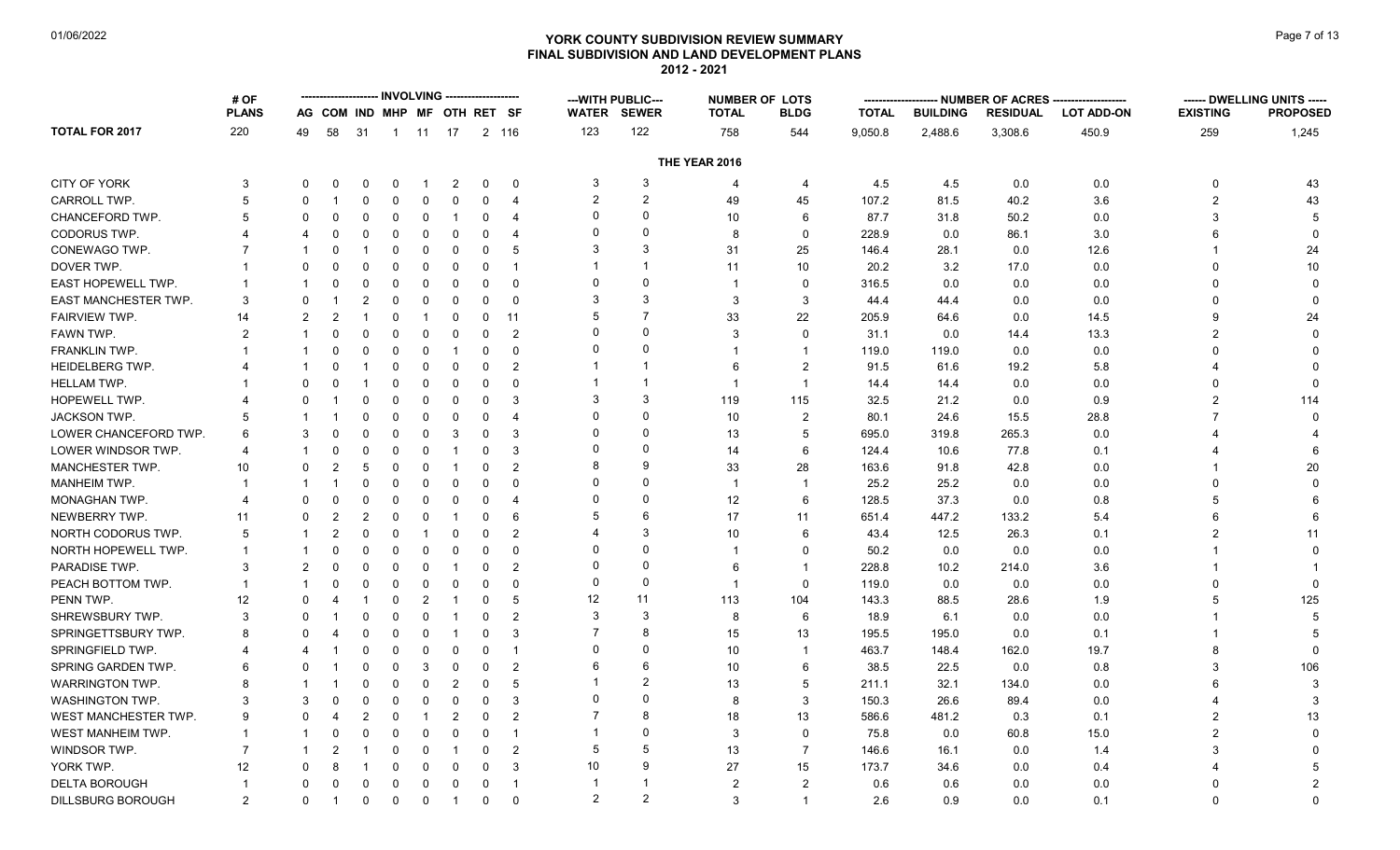# **YORK COUNTY SUBDIVISION REVIEW SUMMARY Page 7 of 13** Page 7 of 13 **FINAL SUBDIVISION AND LAND DEVELOPMENT PLANS 2012 - 2021**

| AG COM IND MHP MF OTH RET SF<br><b>TOTAL</b><br><b>PLANS</b><br><b>WATER SEWER</b><br><b>TOTAL</b><br><b>BLDG</b><br><b>BUILDING</b><br><b>RESIDUAL</b><br><b>LOT ADD-ON</b><br><b>EXISTING</b><br><b>TOTAL FOR 2017</b><br>220<br>123<br>122<br>758<br>9,050.8<br>2,488.6<br>3,308.6<br>450.9<br>259<br>1,245<br>49<br>58<br>31<br>1 11 17<br>2 116<br>544<br>THE YEAR 2016<br><b>CITY OF YORK</b><br>3<br>3<br>4.5<br>4.5<br>0.0<br>0.0<br>3<br>$\Omega$<br>$\overline{2}$<br>$\mathbf 0$<br>$\overline{4}$<br>0<br>43<br>$\Omega$<br>0<br>$\Omega$<br>0<br>$\overline{\mathcal{A}}$<br>$\overline{2}$<br>2<br>CARROLL TWP.<br>$\Omega$<br>49<br>45<br>107.2<br>81.5<br>40.2<br>3.6<br>$\overline{2}$<br>43<br>5<br>0<br>$\Omega$<br>0<br>0<br>0<br>$\overline{4}$<br>$\Omega$<br>CHANCEFORD TWP.<br>0<br>87.7<br>$\mathbf 0$<br>$\mathbf 0$<br>10<br>6<br>31.8<br>50.2<br>0.0<br>3<br>5<br>$\Omega$<br>0<br>$\Omega$<br>$\mathbf 1$<br>4<br><b>CODORUS TWP.</b><br>0<br>$\Omega$<br>$\mathbf 0$<br>228.9<br>$\mathbf 0$<br>$\mathbf 0$<br>8<br>0.0<br>86.1<br>3.0<br>6<br>$\boldsymbol{\Delta}$<br>0<br>$\Omega$<br>$\Omega$<br>4<br>$\Omega$<br>$\Omega$<br>4<br>3<br>CONEWAGO TWP.<br>$\mathbf 0$<br>31<br>25<br>146.4<br>12.6<br>24<br>0<br>$\mathbf 0$<br>5<br>28.1<br>0.0<br>$\Omega$<br>1<br>$\Omega$<br>10<br>DOVER TWP.<br>10<br>20.2<br>0.0<br>$\Omega$<br>0<br>0<br>0<br>0<br>$\overline{1}$<br>11<br>3.2<br>17.0<br>0<br>$\Omega$<br>0<br>$\Omega$<br>$\Omega$<br>EAST HOPEWELL TWP.<br>$\mathbf 0$<br>$\mathbf 0$<br>$\mathbf 0$<br>$\mathbf 0$<br>$\mathbf 0$<br>$\mathbf 0$<br>316.5<br>0.0<br>0.0<br>0.0<br>$\Omega$<br>$\Omega$<br>0<br>$\Omega$<br>$\mathbf 1$<br>$\mathbf 1$<br>-1<br>3<br>3<br>EAST MANCHESTER TWP.<br>3<br>44.4<br>3<br>$\Omega$<br>2<br>0<br>0<br>$\Omega$<br>3<br>44.4<br>0.0<br>0.0<br>$\Omega$<br>0<br>$\Omega$<br>-1<br>$\overline{7}$<br>5<br>FAIRVIEW TWP.<br>33<br>22<br>14.5<br>24<br>14<br>2<br>$\overline{2}$<br>0<br>0<br>0<br>11<br>205.9<br>64.6<br>0.0<br>q<br>-1<br>1<br>0<br>$\Omega$<br>FAWN TWP.<br>$\overline{2}$<br>$\mathbf 0$<br>31.1<br>13.3<br>2<br>0<br>0<br>$\Omega$<br>0<br>3<br>0.0<br>14.4<br>2<br>$\mathbf 1$<br>$\Omega$<br>0<br>$\Omega$<br>$\Omega$<br>FRANKLIN TWP.<br>0.0<br>$\Omega$<br>$\mathbf 0$<br>$\mathbf 0$<br>$\mathbf 0$<br>119.0<br>119.0<br>0.0<br>$\Omega$<br>$\overline{1}$<br>$\mathbf 1$<br>$\Omega$<br>$\mathbf 1$<br>$\sqrt{2}$<br><b>HEIDELBERG TWP.</b><br>$\overline{2}$<br>91.5<br>5.8<br>0<br>0<br>61.6<br>19.2<br>$\Omega$<br>$\mathbf{1}$<br>$\Omega$<br>0<br>6<br><b>HELLAM TWP.</b><br>$\mathbf 0$<br>$\Omega$<br>$\overline{1}$<br>0.0<br>0.0<br>$\Omega$<br>$\Omega$<br>0<br>14.4<br>14.4<br>$\Omega$<br>0<br>3<br>3<br>119<br>115<br>32.5<br>114<br>HOPEWELL TWP.<br>$\Omega$<br>0<br>0<br>3<br>21.2<br>0.0<br>0.9<br>2<br>0<br>$\Omega$<br>0<br>$\Omega$<br>JACKSON TWP.<br>$\Omega$<br>$\Omega$<br>10<br>2<br>80.1<br>28.8<br>5<br>$\Omega$<br>$\mathbf 0$<br>24.6<br>15.5<br>$\Omega$<br>$\Omega$<br>0<br>4<br>$\Omega$<br>LOWER CHANCEFORD TWP.<br>$\Omega$<br>$\mathbf 0$<br>$\mathbf 0$<br>3<br>0<br>13<br>5<br>695.0<br>319.8<br>265.3<br>0.0<br>6<br>3<br>$\Omega$<br>3<br>$\Omega$<br>LOWER WINDSOR TWP.<br>$\Omega$<br>$\mathbf 0$<br>$\mathbf 0$<br>$\mathbf 0$<br>3<br>0<br>6<br>124.4<br>10.6<br>77.8<br>0.1<br>4<br>$\Omega$<br>14<br>-1<br>$\Omega$<br>-1<br>MANCHESTER TWP.<br>8<br>9<br>33<br>28<br>163.6<br>20<br>5<br>$\mathbf 0$<br>$\mathbf 0$<br>$\overline{2}$<br>91.8<br>42.8<br>0.0<br>10<br>$\Omega$<br>$\Omega$<br>$\overline{\mathbf{1}}$<br>MANHEIM TWP.<br>$\mathbf 0$<br>0<br>$\Omega$<br>25.2<br>25.2<br>0.0<br>$\Omega$<br>0<br>$\Omega$<br>$\Omega$<br>$\overline{1}$<br>0.0<br>$\mathbf 1$<br>$\Omega$<br>$\overline{\mathbf{1}}$<br>-1<br>$\Omega$<br>MONAGHAN TWP.<br>$\Omega$<br>$\mathbf 0$<br>$\Omega$<br>12<br>6<br>128.5<br>37.3<br>0.0<br>0.8<br>$\boldsymbol{\Delta}$<br>$\Omega$<br>$\Omega$<br>0<br>0<br>4<br>5<br>NEWBERRY TWP.<br>$\overline{2}$<br>0<br>6<br>17<br>651.4<br>447.2<br>133.2<br>5.4<br>$\Omega$<br>0<br>0<br>6<br>11<br>6<br>11<br>-1<br>3<br>NORTH CODORUS TWP.<br>5<br>$\mathbf 0$<br>$\mathbf 0$<br>$\mathbf 0$<br>$\overline{2}$<br>10<br>6<br>43.4<br>12.5<br>26.3<br>0.1<br>$\overline{2}$<br>11<br>$\overline{2}$<br>0<br>$\mathbf 1$<br>1<br>$\Omega$<br>NORTH HOPEWELL TWP.<br>0<br>50.2<br>0<br>0<br>0<br>$\Omega$<br>$\mathbf 0$<br>0.0<br>0.0<br>0.0<br>$\mathbf 1$<br>$\Omega$<br>$\Omega$<br>0<br>-1<br>$\Omega$<br>$\Omega$<br>PARADISE TWP.<br>3<br>2<br>$\mathbf 0$<br>228.8<br>3.6<br>$\Omega$<br>0<br>0<br>2<br>$\overline{1}$<br>10.2<br>214.0<br>$\Omega$<br>-1<br>6<br>$\Omega$<br>$\Omega$<br>PEACH BOTTOM TWP.<br>$\Omega$<br>$\mathbf 0$<br>119.0<br>0.0<br>$\mathbf{1}$<br>0<br>$\Omega$<br>0<br>0<br>0<br>$\mathbf{1}$<br>0.0<br>0.0<br>$\mathbf{1}$<br>$\Omega$<br>12<br>11<br>PENN TWP.<br>12<br>$\overline{2}$<br>113<br>104<br>143.3<br>88.5<br>125<br>$\Omega$<br>$\mathbf 0$<br>5<br>28.6<br>1.9<br>5<br>$\mathbf{1}$<br>0<br>$\mathbf 1$<br>4<br>3<br>SHREWSBURY TWP.<br>3<br>$\overline{2}$<br>6<br>18.9<br>3<br>$\Omega$<br>$\Omega$<br>0<br>0<br>8<br>6.1<br>0.0<br>0.0<br>$\Omega$<br>-1<br>$\overline{7}$<br>SPRINGETTSBURY TWP.<br>8<br>$\Omega$<br>$\mathbf{0}$<br>$\mathbf 0$<br>3<br>15<br>13<br>195.5<br>195.0<br>0.0<br>0.1<br>8<br>$\Omega$<br>0<br>-1<br>SPRINGFIELD TWP.<br>0<br>$\Omega$<br>463.7<br>148.4<br>0<br>$\mathbf 0$<br>0<br>10<br>162.0<br>19.7<br>8<br>$\mathbf{0}$<br>0<br>0<br>$\overline{1}$<br>$\overline{1}$<br>4<br>6<br>SPRING GARDEN TWP.<br>$\Omega$<br>$\overline{2}$<br>6<br>10<br>6<br>38.5<br>22.5<br>0.0<br>0.8<br>3<br>106<br>6<br>$\Omega$<br>$\Omega$<br>3<br>$\Omega$<br>$\Omega$<br>$\overline{2}$<br><b>WARRINGTON TWP.</b><br>8<br>$\Omega$<br>$\mathbf 0$<br>$\overline{2}$<br>$\mathbf 0$<br>13<br>5<br>211.1<br>32.1<br>134.0<br>0.0<br>$\Omega$<br>5<br>6<br>3<br>0<br>$\Omega$<br>3<br><b>WASHINGTON TWP.</b><br>$\mathbf 0$<br>$\mathbf 0$<br>$\mathbf 0$<br>3<br>8<br>150.3<br>26.6<br>89.4<br>0.0<br>3<br>3<br>$\Omega$<br>$\Omega$<br>$\Omega$<br>WEST MANCHESTER TWP.<br>13<br>586.6<br>13<br>9<br>$\Omega$<br>$\overline{2}$<br>$\overline{2}$<br>$\mathbf 0$<br>$\overline{2}$<br>18<br>481.2<br>0.3<br>0.1<br>$\overline{2}$<br>0<br>$\mathbf{1}$<br><b>WEST MANHEIM TWP.</b><br>$\mathbf 0$<br>3<br>$\mathbf 0$<br>75.8<br>0.0<br>$\mathfrak{p}$<br>$\mathbf 0$<br>0<br>$\mathbf 0$<br>$\overline{1}$<br>60.8<br>15.0<br>$\Omega$<br>$\mathbf 1$<br>$\mathbf 1$<br>$\Omega$<br>$\Omega$<br>WINDSOR TWP.<br>5<br>0<br>2<br>13<br>$\overline{7}$<br>146.6<br>1.4<br>3<br>7<br>$\Omega$<br>0<br>16.1<br>0.0<br>$\mathbf 1$<br>-1<br>-1<br>10<br>9<br>YORK TWP.<br>12<br>$\mathbf 0$<br>3<br>27<br>15<br>173.7<br>0.4<br>$\Omega$<br>0<br>0<br>34.6<br>0.0<br>8<br>$\Omega$<br>1<br><b>DELTA BOROUGH</b><br>$\Omega$<br>$\mathbf 0$<br>$\mathbf 0$<br>$\mathbf 0$<br>$\overline{1}$<br>$\overline{2}$<br>$\overline{2}$<br>0.6<br>0.6<br>0.0<br>0.0<br>$\overline{2}$<br>$\Omega$<br>0<br>0<br>-1<br>$\overline{2}$<br>2<br><b>DILLSBURG BOROUGH</b><br>$\mathfrak{p}$<br>3<br>2.6<br>0.1<br>$\Omega$<br>0<br>0<br>0<br>0<br>$\Omega$<br>$\overline{1}$<br>0.9<br>0.0<br>$\Omega$<br>$\Omega$<br>$\overline{1}$<br>-1 | # OF |  |  | <b>INVOLVING</b> | ------------- |  | ---WITH PUBLIC--- | <b>NUMBER OF LOTS</b> | ------- |  | --- NUMBER OF ACRES -------------------- | ------ DWELLING UNITS ----- |
|-------------------------------------------------------------------------------------------------------------------------------------------------------------------------------------------------------------------------------------------------------------------------------------------------------------------------------------------------------------------------------------------------------------------------------------------------------------------------------------------------------------------------------------------------------------------------------------------------------------------------------------------------------------------------------------------------------------------------------------------------------------------------------------------------------------------------------------------------------------------------------------------------------------------------------------------------------------------------------------------------------------------------------------------------------------------------------------------------------------------------------------------------------------------------------------------------------------------------------------------------------------------------------------------------------------------------------------------------------------------------------------------------------------------------------------------------------------------------------------------------------------------------------------------------------------------------------------------------------------------------------------------------------------------------------------------------------------------------------------------------------------------------------------------------------------------------------------------------------------------------------------------------------------------------------------------------------------------------------------------------------------------------------------------------------------------------------------------------------------------------------------------------------------------------------------------------------------------------------------------------------------------------------------------------------------------------------------------------------------------------------------------------------------------------------------------------------------------------------------------------------------------------------------------------------------------------------------------------------------------------------------------------------------------------------------------------------------------------------------------------------------------------------------------------------------------------------------------------------------------------------------------------------------------------------------------------------------------------------------------------------------------------------------------------------------------------------------------------------------------------------------------------------------------------------------------------------------------------------------------------------------------------------------------------------------------------------------------------------------------------------------------------------------------------------------------------------------------------------------------------------------------------------------------------------------------------------------------------------------------------------------------------------------------------------------------------------------------------------------------------------------------------------------------------------------------------------------------------------------------------------------------------------------------------------------------------------------------------------------------------------------------------------------------------------------------------------------------------------------------------------------------------------------------------------------------------------------------------------------------------------------------------------------------------------------------------------------------------------------------------------------------------------------------------------------------------------------------------------------------------------------------------------------------------------------------------------------------------------------------------------------------------------------------------------------------------------------------------------------------------------------------------------------------------------------------------------------------------------------------------------------------------------------------------------------------------------------------------------------------------------------------------------------------------------------------------------------------------------------------------------------------------------------------------------------------------------------------------------------------------------------------------------------------------------------------------------------------------------------------------------------------------------------------------------------------------------------------------------------------------------------------------------------------------------------------------------------------------------------------------------------------------------------------------------------------------------------------------------------------------------------------------------------------------------------------------------------------------------------------------------------------------------------------------------------------------------------------------------------------------------------------------------------------------------------------------------------------------------------------------------------------------------------------------------------------------------------------------------------------------------------------------------------------------------------------------------------------------------------------------------------------------------------------------------------------------------------------------------------------------------------------------------------------------------------------------------------------------------------------------------------------------------------------------------------------------------------------------------------------------------------------------------------------------------------------------------------------------------------------------------------------------------------------------------------------------------------------------------------------------------------------------------------------------------------------------------------------------------------------------------------------------------------------------------------------------------------------------------------------------------------------------------------------|------|--|--|------------------|---------------|--|-------------------|-----------------------|---------|--|------------------------------------------|-----------------------------|
|                                                                                                                                                                                                                                                                                                                                                                                                                                                                                                                                                                                                                                                                                                                                                                                                                                                                                                                                                                                                                                                                                                                                                                                                                                                                                                                                                                                                                                                                                                                                                                                                                                                                                                                                                                                                                                                                                                                                                                                                                                                                                                                                                                                                                                                                                                                                                                                                                                                                                                                                                                                                                                                                                                                                                                                                                                                                                                                                                                                                                                                                                                                                                                                                                                                                                                                                                                                                                                                                                                                                                                                                                                                                                                                                                                                                                                                                                                                                                                                                                                                                                                                                                                                                                                                                                                                                                                                                                                                                                                                                                                                                                                                                                                                                                                                                                                                                                                                                                                                                                                                                                                                                                                                                                                                                                                                                                                                                                                                                                                                                                                                                                                                                                                                                                                                                                                                                                                                                                                                                                                                                                                                                                                                                                                                                                                                                                                                                                                                                                                                                                                                                                                                                                                                                                                                                                                                                                                                                                                                                                                                                                                                                                                                                                                                                                           |      |  |  |                  |               |  |                   |                       |         |  |                                          | <b>PROPOSED</b>             |
|                                                                                                                                                                                                                                                                                                                                                                                                                                                                                                                                                                                                                                                                                                                                                                                                                                                                                                                                                                                                                                                                                                                                                                                                                                                                                                                                                                                                                                                                                                                                                                                                                                                                                                                                                                                                                                                                                                                                                                                                                                                                                                                                                                                                                                                                                                                                                                                                                                                                                                                                                                                                                                                                                                                                                                                                                                                                                                                                                                                                                                                                                                                                                                                                                                                                                                                                                                                                                                                                                                                                                                                                                                                                                                                                                                                                                                                                                                                                                                                                                                                                                                                                                                                                                                                                                                                                                                                                                                                                                                                                                                                                                                                                                                                                                                                                                                                                                                                                                                                                                                                                                                                                                                                                                                                                                                                                                                                                                                                                                                                                                                                                                                                                                                                                                                                                                                                                                                                                                                                                                                                                                                                                                                                                                                                                                                                                                                                                                                                                                                                                                                                                                                                                                                                                                                                                                                                                                                                                                                                                                                                                                                                                                                                                                                                                                           |      |  |  |                  |               |  |                   |                       |         |  |                                          |                             |
|                                                                                                                                                                                                                                                                                                                                                                                                                                                                                                                                                                                                                                                                                                                                                                                                                                                                                                                                                                                                                                                                                                                                                                                                                                                                                                                                                                                                                                                                                                                                                                                                                                                                                                                                                                                                                                                                                                                                                                                                                                                                                                                                                                                                                                                                                                                                                                                                                                                                                                                                                                                                                                                                                                                                                                                                                                                                                                                                                                                                                                                                                                                                                                                                                                                                                                                                                                                                                                                                                                                                                                                                                                                                                                                                                                                                                                                                                                                                                                                                                                                                                                                                                                                                                                                                                                                                                                                                                                                                                                                                                                                                                                                                                                                                                                                                                                                                                                                                                                                                                                                                                                                                                                                                                                                                                                                                                                                                                                                                                                                                                                                                                                                                                                                                                                                                                                                                                                                                                                                                                                                                                                                                                                                                                                                                                                                                                                                                                                                                                                                                                                                                                                                                                                                                                                                                                                                                                                                                                                                                                                                                                                                                                                                                                                                                                           |      |  |  |                  |               |  |                   |                       |         |  |                                          |                             |
|                                                                                                                                                                                                                                                                                                                                                                                                                                                                                                                                                                                                                                                                                                                                                                                                                                                                                                                                                                                                                                                                                                                                                                                                                                                                                                                                                                                                                                                                                                                                                                                                                                                                                                                                                                                                                                                                                                                                                                                                                                                                                                                                                                                                                                                                                                                                                                                                                                                                                                                                                                                                                                                                                                                                                                                                                                                                                                                                                                                                                                                                                                                                                                                                                                                                                                                                                                                                                                                                                                                                                                                                                                                                                                                                                                                                                                                                                                                                                                                                                                                                                                                                                                                                                                                                                                                                                                                                                                                                                                                                                                                                                                                                                                                                                                                                                                                                                                                                                                                                                                                                                                                                                                                                                                                                                                                                                                                                                                                                                                                                                                                                                                                                                                                                                                                                                                                                                                                                                                                                                                                                                                                                                                                                                                                                                                                                                                                                                                                                                                                                                                                                                                                                                                                                                                                                                                                                                                                                                                                                                                                                                                                                                                                                                                                                                           |      |  |  |                  |               |  |                   |                       |         |  |                                          |                             |
|                                                                                                                                                                                                                                                                                                                                                                                                                                                                                                                                                                                                                                                                                                                                                                                                                                                                                                                                                                                                                                                                                                                                                                                                                                                                                                                                                                                                                                                                                                                                                                                                                                                                                                                                                                                                                                                                                                                                                                                                                                                                                                                                                                                                                                                                                                                                                                                                                                                                                                                                                                                                                                                                                                                                                                                                                                                                                                                                                                                                                                                                                                                                                                                                                                                                                                                                                                                                                                                                                                                                                                                                                                                                                                                                                                                                                                                                                                                                                                                                                                                                                                                                                                                                                                                                                                                                                                                                                                                                                                                                                                                                                                                                                                                                                                                                                                                                                                                                                                                                                                                                                                                                                                                                                                                                                                                                                                                                                                                                                                                                                                                                                                                                                                                                                                                                                                                                                                                                                                                                                                                                                                                                                                                                                                                                                                                                                                                                                                                                                                                                                                                                                                                                                                                                                                                                                                                                                                                                                                                                                                                                                                                                                                                                                                                                                           |      |  |  |                  |               |  |                   |                       |         |  |                                          |                             |
|                                                                                                                                                                                                                                                                                                                                                                                                                                                                                                                                                                                                                                                                                                                                                                                                                                                                                                                                                                                                                                                                                                                                                                                                                                                                                                                                                                                                                                                                                                                                                                                                                                                                                                                                                                                                                                                                                                                                                                                                                                                                                                                                                                                                                                                                                                                                                                                                                                                                                                                                                                                                                                                                                                                                                                                                                                                                                                                                                                                                                                                                                                                                                                                                                                                                                                                                                                                                                                                                                                                                                                                                                                                                                                                                                                                                                                                                                                                                                                                                                                                                                                                                                                                                                                                                                                                                                                                                                                                                                                                                                                                                                                                                                                                                                                                                                                                                                                                                                                                                                                                                                                                                                                                                                                                                                                                                                                                                                                                                                                                                                                                                                                                                                                                                                                                                                                                                                                                                                                                                                                                                                                                                                                                                                                                                                                                                                                                                                                                                                                                                                                                                                                                                                                                                                                                                                                                                                                                                                                                                                                                                                                                                                                                                                                                                                           |      |  |  |                  |               |  |                   |                       |         |  |                                          |                             |
|                                                                                                                                                                                                                                                                                                                                                                                                                                                                                                                                                                                                                                                                                                                                                                                                                                                                                                                                                                                                                                                                                                                                                                                                                                                                                                                                                                                                                                                                                                                                                                                                                                                                                                                                                                                                                                                                                                                                                                                                                                                                                                                                                                                                                                                                                                                                                                                                                                                                                                                                                                                                                                                                                                                                                                                                                                                                                                                                                                                                                                                                                                                                                                                                                                                                                                                                                                                                                                                                                                                                                                                                                                                                                                                                                                                                                                                                                                                                                                                                                                                                                                                                                                                                                                                                                                                                                                                                                                                                                                                                                                                                                                                                                                                                                                                                                                                                                                                                                                                                                                                                                                                                                                                                                                                                                                                                                                                                                                                                                                                                                                                                                                                                                                                                                                                                                                                                                                                                                                                                                                                                                                                                                                                                                                                                                                                                                                                                                                                                                                                                                                                                                                                                                                                                                                                                                                                                                                                                                                                                                                                                                                                                                                                                                                                                                           |      |  |  |                  |               |  |                   |                       |         |  |                                          |                             |
|                                                                                                                                                                                                                                                                                                                                                                                                                                                                                                                                                                                                                                                                                                                                                                                                                                                                                                                                                                                                                                                                                                                                                                                                                                                                                                                                                                                                                                                                                                                                                                                                                                                                                                                                                                                                                                                                                                                                                                                                                                                                                                                                                                                                                                                                                                                                                                                                                                                                                                                                                                                                                                                                                                                                                                                                                                                                                                                                                                                                                                                                                                                                                                                                                                                                                                                                                                                                                                                                                                                                                                                                                                                                                                                                                                                                                                                                                                                                                                                                                                                                                                                                                                                                                                                                                                                                                                                                                                                                                                                                                                                                                                                                                                                                                                                                                                                                                                                                                                                                                                                                                                                                                                                                                                                                                                                                                                                                                                                                                                                                                                                                                                                                                                                                                                                                                                                                                                                                                                                                                                                                                                                                                                                                                                                                                                                                                                                                                                                                                                                                                                                                                                                                                                                                                                                                                                                                                                                                                                                                                                                                                                                                                                                                                                                                                           |      |  |  |                  |               |  |                   |                       |         |  |                                          |                             |
|                                                                                                                                                                                                                                                                                                                                                                                                                                                                                                                                                                                                                                                                                                                                                                                                                                                                                                                                                                                                                                                                                                                                                                                                                                                                                                                                                                                                                                                                                                                                                                                                                                                                                                                                                                                                                                                                                                                                                                                                                                                                                                                                                                                                                                                                                                                                                                                                                                                                                                                                                                                                                                                                                                                                                                                                                                                                                                                                                                                                                                                                                                                                                                                                                                                                                                                                                                                                                                                                                                                                                                                                                                                                                                                                                                                                                                                                                                                                                                                                                                                                                                                                                                                                                                                                                                                                                                                                                                                                                                                                                                                                                                                                                                                                                                                                                                                                                                                                                                                                                                                                                                                                                                                                                                                                                                                                                                                                                                                                                                                                                                                                                                                                                                                                                                                                                                                                                                                                                                                                                                                                                                                                                                                                                                                                                                                                                                                                                                                                                                                                                                                                                                                                                                                                                                                                                                                                                                                                                                                                                                                                                                                                                                                                                                                                                           |      |  |  |                  |               |  |                   |                       |         |  |                                          |                             |
|                                                                                                                                                                                                                                                                                                                                                                                                                                                                                                                                                                                                                                                                                                                                                                                                                                                                                                                                                                                                                                                                                                                                                                                                                                                                                                                                                                                                                                                                                                                                                                                                                                                                                                                                                                                                                                                                                                                                                                                                                                                                                                                                                                                                                                                                                                                                                                                                                                                                                                                                                                                                                                                                                                                                                                                                                                                                                                                                                                                                                                                                                                                                                                                                                                                                                                                                                                                                                                                                                                                                                                                                                                                                                                                                                                                                                                                                                                                                                                                                                                                                                                                                                                                                                                                                                                                                                                                                                                                                                                                                                                                                                                                                                                                                                                                                                                                                                                                                                                                                                                                                                                                                                                                                                                                                                                                                                                                                                                                                                                                                                                                                                                                                                                                                                                                                                                                                                                                                                                                                                                                                                                                                                                                                                                                                                                                                                                                                                                                                                                                                                                                                                                                                                                                                                                                                                                                                                                                                                                                                                                                                                                                                                                                                                                                                                           |      |  |  |                  |               |  |                   |                       |         |  |                                          |                             |
|                                                                                                                                                                                                                                                                                                                                                                                                                                                                                                                                                                                                                                                                                                                                                                                                                                                                                                                                                                                                                                                                                                                                                                                                                                                                                                                                                                                                                                                                                                                                                                                                                                                                                                                                                                                                                                                                                                                                                                                                                                                                                                                                                                                                                                                                                                                                                                                                                                                                                                                                                                                                                                                                                                                                                                                                                                                                                                                                                                                                                                                                                                                                                                                                                                                                                                                                                                                                                                                                                                                                                                                                                                                                                                                                                                                                                                                                                                                                                                                                                                                                                                                                                                                                                                                                                                                                                                                                                                                                                                                                                                                                                                                                                                                                                                                                                                                                                                                                                                                                                                                                                                                                                                                                                                                                                                                                                                                                                                                                                                                                                                                                                                                                                                                                                                                                                                                                                                                                                                                                                                                                                                                                                                                                                                                                                                                                                                                                                                                                                                                                                                                                                                                                                                                                                                                                                                                                                                                                                                                                                                                                                                                                                                                                                                                                                           |      |  |  |                  |               |  |                   |                       |         |  |                                          |                             |
|                                                                                                                                                                                                                                                                                                                                                                                                                                                                                                                                                                                                                                                                                                                                                                                                                                                                                                                                                                                                                                                                                                                                                                                                                                                                                                                                                                                                                                                                                                                                                                                                                                                                                                                                                                                                                                                                                                                                                                                                                                                                                                                                                                                                                                                                                                                                                                                                                                                                                                                                                                                                                                                                                                                                                                                                                                                                                                                                                                                                                                                                                                                                                                                                                                                                                                                                                                                                                                                                                                                                                                                                                                                                                                                                                                                                                                                                                                                                                                                                                                                                                                                                                                                                                                                                                                                                                                                                                                                                                                                                                                                                                                                                                                                                                                                                                                                                                                                                                                                                                                                                                                                                                                                                                                                                                                                                                                                                                                                                                                                                                                                                                                                                                                                                                                                                                                                                                                                                                                                                                                                                                                                                                                                                                                                                                                                                                                                                                                                                                                                                                                                                                                                                                                                                                                                                                                                                                                                                                                                                                                                                                                                                                                                                                                                                                           |      |  |  |                  |               |  |                   |                       |         |  |                                          |                             |
|                                                                                                                                                                                                                                                                                                                                                                                                                                                                                                                                                                                                                                                                                                                                                                                                                                                                                                                                                                                                                                                                                                                                                                                                                                                                                                                                                                                                                                                                                                                                                                                                                                                                                                                                                                                                                                                                                                                                                                                                                                                                                                                                                                                                                                                                                                                                                                                                                                                                                                                                                                                                                                                                                                                                                                                                                                                                                                                                                                                                                                                                                                                                                                                                                                                                                                                                                                                                                                                                                                                                                                                                                                                                                                                                                                                                                                                                                                                                                                                                                                                                                                                                                                                                                                                                                                                                                                                                                                                                                                                                                                                                                                                                                                                                                                                                                                                                                                                                                                                                                                                                                                                                                                                                                                                                                                                                                                                                                                                                                                                                                                                                                                                                                                                                                                                                                                                                                                                                                                                                                                                                                                                                                                                                                                                                                                                                                                                                                                                                                                                                                                                                                                                                                                                                                                                                                                                                                                                                                                                                                                                                                                                                                                                                                                                                                           |      |  |  |                  |               |  |                   |                       |         |  |                                          |                             |
|                                                                                                                                                                                                                                                                                                                                                                                                                                                                                                                                                                                                                                                                                                                                                                                                                                                                                                                                                                                                                                                                                                                                                                                                                                                                                                                                                                                                                                                                                                                                                                                                                                                                                                                                                                                                                                                                                                                                                                                                                                                                                                                                                                                                                                                                                                                                                                                                                                                                                                                                                                                                                                                                                                                                                                                                                                                                                                                                                                                                                                                                                                                                                                                                                                                                                                                                                                                                                                                                                                                                                                                                                                                                                                                                                                                                                                                                                                                                                                                                                                                                                                                                                                                                                                                                                                                                                                                                                                                                                                                                                                                                                                                                                                                                                                                                                                                                                                                                                                                                                                                                                                                                                                                                                                                                                                                                                                                                                                                                                                                                                                                                                                                                                                                                                                                                                                                                                                                                                                                                                                                                                                                                                                                                                                                                                                                                                                                                                                                                                                                                                                                                                                                                                                                                                                                                                                                                                                                                                                                                                                                                                                                                                                                                                                                                                           |      |  |  |                  |               |  |                   |                       |         |  |                                          |                             |
|                                                                                                                                                                                                                                                                                                                                                                                                                                                                                                                                                                                                                                                                                                                                                                                                                                                                                                                                                                                                                                                                                                                                                                                                                                                                                                                                                                                                                                                                                                                                                                                                                                                                                                                                                                                                                                                                                                                                                                                                                                                                                                                                                                                                                                                                                                                                                                                                                                                                                                                                                                                                                                                                                                                                                                                                                                                                                                                                                                                                                                                                                                                                                                                                                                                                                                                                                                                                                                                                                                                                                                                                                                                                                                                                                                                                                                                                                                                                                                                                                                                                                                                                                                                                                                                                                                                                                                                                                                                                                                                                                                                                                                                                                                                                                                                                                                                                                                                                                                                                                                                                                                                                                                                                                                                                                                                                                                                                                                                                                                                                                                                                                                                                                                                                                                                                                                                                                                                                                                                                                                                                                                                                                                                                                                                                                                                                                                                                                                                                                                                                                                                                                                                                                                                                                                                                                                                                                                                                                                                                                                                                                                                                                                                                                                                                                           |      |  |  |                  |               |  |                   |                       |         |  |                                          |                             |
|                                                                                                                                                                                                                                                                                                                                                                                                                                                                                                                                                                                                                                                                                                                                                                                                                                                                                                                                                                                                                                                                                                                                                                                                                                                                                                                                                                                                                                                                                                                                                                                                                                                                                                                                                                                                                                                                                                                                                                                                                                                                                                                                                                                                                                                                                                                                                                                                                                                                                                                                                                                                                                                                                                                                                                                                                                                                                                                                                                                                                                                                                                                                                                                                                                                                                                                                                                                                                                                                                                                                                                                                                                                                                                                                                                                                                                                                                                                                                                                                                                                                                                                                                                                                                                                                                                                                                                                                                                                                                                                                                                                                                                                                                                                                                                                                                                                                                                                                                                                                                                                                                                                                                                                                                                                                                                                                                                                                                                                                                                                                                                                                                                                                                                                                                                                                                                                                                                                                                                                                                                                                                                                                                                                                                                                                                                                                                                                                                                                                                                                                                                                                                                                                                                                                                                                                                                                                                                                                                                                                                                                                                                                                                                                                                                                                                           |      |  |  |                  |               |  |                   |                       |         |  |                                          |                             |
|                                                                                                                                                                                                                                                                                                                                                                                                                                                                                                                                                                                                                                                                                                                                                                                                                                                                                                                                                                                                                                                                                                                                                                                                                                                                                                                                                                                                                                                                                                                                                                                                                                                                                                                                                                                                                                                                                                                                                                                                                                                                                                                                                                                                                                                                                                                                                                                                                                                                                                                                                                                                                                                                                                                                                                                                                                                                                                                                                                                                                                                                                                                                                                                                                                                                                                                                                                                                                                                                                                                                                                                                                                                                                                                                                                                                                                                                                                                                                                                                                                                                                                                                                                                                                                                                                                                                                                                                                                                                                                                                                                                                                                                                                                                                                                                                                                                                                                                                                                                                                                                                                                                                                                                                                                                                                                                                                                                                                                                                                                                                                                                                                                                                                                                                                                                                                                                                                                                                                                                                                                                                                                                                                                                                                                                                                                                                                                                                                                                                                                                                                                                                                                                                                                                                                                                                                                                                                                                                                                                                                                                                                                                                                                                                                                                                                           |      |  |  |                  |               |  |                   |                       |         |  |                                          |                             |
|                                                                                                                                                                                                                                                                                                                                                                                                                                                                                                                                                                                                                                                                                                                                                                                                                                                                                                                                                                                                                                                                                                                                                                                                                                                                                                                                                                                                                                                                                                                                                                                                                                                                                                                                                                                                                                                                                                                                                                                                                                                                                                                                                                                                                                                                                                                                                                                                                                                                                                                                                                                                                                                                                                                                                                                                                                                                                                                                                                                                                                                                                                                                                                                                                                                                                                                                                                                                                                                                                                                                                                                                                                                                                                                                                                                                                                                                                                                                                                                                                                                                                                                                                                                                                                                                                                                                                                                                                                                                                                                                                                                                                                                                                                                                                                                                                                                                                                                                                                                                                                                                                                                                                                                                                                                                                                                                                                                                                                                                                                                                                                                                                                                                                                                                                                                                                                                                                                                                                                                                                                                                                                                                                                                                                                                                                                                                                                                                                                                                                                                                                                                                                                                                                                                                                                                                                                                                                                                                                                                                                                                                                                                                                                                                                                                                                           |      |  |  |                  |               |  |                   |                       |         |  |                                          |                             |
|                                                                                                                                                                                                                                                                                                                                                                                                                                                                                                                                                                                                                                                                                                                                                                                                                                                                                                                                                                                                                                                                                                                                                                                                                                                                                                                                                                                                                                                                                                                                                                                                                                                                                                                                                                                                                                                                                                                                                                                                                                                                                                                                                                                                                                                                                                                                                                                                                                                                                                                                                                                                                                                                                                                                                                                                                                                                                                                                                                                                                                                                                                                                                                                                                                                                                                                                                                                                                                                                                                                                                                                                                                                                                                                                                                                                                                                                                                                                                                                                                                                                                                                                                                                                                                                                                                                                                                                                                                                                                                                                                                                                                                                                                                                                                                                                                                                                                                                                                                                                                                                                                                                                                                                                                                                                                                                                                                                                                                                                                                                                                                                                                                                                                                                                                                                                                                                                                                                                                                                                                                                                                                                                                                                                                                                                                                                                                                                                                                                                                                                                                                                                                                                                                                                                                                                                                                                                                                                                                                                                                                                                                                                                                                                                                                                                                           |      |  |  |                  |               |  |                   |                       |         |  |                                          |                             |
|                                                                                                                                                                                                                                                                                                                                                                                                                                                                                                                                                                                                                                                                                                                                                                                                                                                                                                                                                                                                                                                                                                                                                                                                                                                                                                                                                                                                                                                                                                                                                                                                                                                                                                                                                                                                                                                                                                                                                                                                                                                                                                                                                                                                                                                                                                                                                                                                                                                                                                                                                                                                                                                                                                                                                                                                                                                                                                                                                                                                                                                                                                                                                                                                                                                                                                                                                                                                                                                                                                                                                                                                                                                                                                                                                                                                                                                                                                                                                                                                                                                                                                                                                                                                                                                                                                                                                                                                                                                                                                                                                                                                                                                                                                                                                                                                                                                                                                                                                                                                                                                                                                                                                                                                                                                                                                                                                                                                                                                                                                                                                                                                                                                                                                                                                                                                                                                                                                                                                                                                                                                                                                                                                                                                                                                                                                                                                                                                                                                                                                                                                                                                                                                                                                                                                                                                                                                                                                                                                                                                                                                                                                                                                                                                                                                                                           |      |  |  |                  |               |  |                   |                       |         |  |                                          |                             |
|                                                                                                                                                                                                                                                                                                                                                                                                                                                                                                                                                                                                                                                                                                                                                                                                                                                                                                                                                                                                                                                                                                                                                                                                                                                                                                                                                                                                                                                                                                                                                                                                                                                                                                                                                                                                                                                                                                                                                                                                                                                                                                                                                                                                                                                                                                                                                                                                                                                                                                                                                                                                                                                                                                                                                                                                                                                                                                                                                                                                                                                                                                                                                                                                                                                                                                                                                                                                                                                                                                                                                                                                                                                                                                                                                                                                                                                                                                                                                                                                                                                                                                                                                                                                                                                                                                                                                                                                                                                                                                                                                                                                                                                                                                                                                                                                                                                                                                                                                                                                                                                                                                                                                                                                                                                                                                                                                                                                                                                                                                                                                                                                                                                                                                                                                                                                                                                                                                                                                                                                                                                                                                                                                                                                                                                                                                                                                                                                                                                                                                                                                                                                                                                                                                                                                                                                                                                                                                                                                                                                                                                                                                                                                                                                                                                                                           |      |  |  |                  |               |  |                   |                       |         |  |                                          |                             |
|                                                                                                                                                                                                                                                                                                                                                                                                                                                                                                                                                                                                                                                                                                                                                                                                                                                                                                                                                                                                                                                                                                                                                                                                                                                                                                                                                                                                                                                                                                                                                                                                                                                                                                                                                                                                                                                                                                                                                                                                                                                                                                                                                                                                                                                                                                                                                                                                                                                                                                                                                                                                                                                                                                                                                                                                                                                                                                                                                                                                                                                                                                                                                                                                                                                                                                                                                                                                                                                                                                                                                                                                                                                                                                                                                                                                                                                                                                                                                                                                                                                                                                                                                                                                                                                                                                                                                                                                                                                                                                                                                                                                                                                                                                                                                                                                                                                                                                                                                                                                                                                                                                                                                                                                                                                                                                                                                                                                                                                                                                                                                                                                                                                                                                                                                                                                                                                                                                                                                                                                                                                                                                                                                                                                                                                                                                                                                                                                                                                                                                                                                                                                                                                                                                                                                                                                                                                                                                                                                                                                                                                                                                                                                                                                                                                                                           |      |  |  |                  |               |  |                   |                       |         |  |                                          |                             |
|                                                                                                                                                                                                                                                                                                                                                                                                                                                                                                                                                                                                                                                                                                                                                                                                                                                                                                                                                                                                                                                                                                                                                                                                                                                                                                                                                                                                                                                                                                                                                                                                                                                                                                                                                                                                                                                                                                                                                                                                                                                                                                                                                                                                                                                                                                                                                                                                                                                                                                                                                                                                                                                                                                                                                                                                                                                                                                                                                                                                                                                                                                                                                                                                                                                                                                                                                                                                                                                                                                                                                                                                                                                                                                                                                                                                                                                                                                                                                                                                                                                                                                                                                                                                                                                                                                                                                                                                                                                                                                                                                                                                                                                                                                                                                                                                                                                                                                                                                                                                                                                                                                                                                                                                                                                                                                                                                                                                                                                                                                                                                                                                                                                                                                                                                                                                                                                                                                                                                                                                                                                                                                                                                                                                                                                                                                                                                                                                                                                                                                                                                                                                                                                                                                                                                                                                                                                                                                                                                                                                                                                                                                                                                                                                                                                                                           |      |  |  |                  |               |  |                   |                       |         |  |                                          |                             |
|                                                                                                                                                                                                                                                                                                                                                                                                                                                                                                                                                                                                                                                                                                                                                                                                                                                                                                                                                                                                                                                                                                                                                                                                                                                                                                                                                                                                                                                                                                                                                                                                                                                                                                                                                                                                                                                                                                                                                                                                                                                                                                                                                                                                                                                                                                                                                                                                                                                                                                                                                                                                                                                                                                                                                                                                                                                                                                                                                                                                                                                                                                                                                                                                                                                                                                                                                                                                                                                                                                                                                                                                                                                                                                                                                                                                                                                                                                                                                                                                                                                                                                                                                                                                                                                                                                                                                                                                                                                                                                                                                                                                                                                                                                                                                                                                                                                                                                                                                                                                                                                                                                                                                                                                                                                                                                                                                                                                                                                                                                                                                                                                                                                                                                                                                                                                                                                                                                                                                                                                                                                                                                                                                                                                                                                                                                                                                                                                                                                                                                                                                                                                                                                                                                                                                                                                                                                                                                                                                                                                                                                                                                                                                                                                                                                                                           |      |  |  |                  |               |  |                   |                       |         |  |                                          |                             |
|                                                                                                                                                                                                                                                                                                                                                                                                                                                                                                                                                                                                                                                                                                                                                                                                                                                                                                                                                                                                                                                                                                                                                                                                                                                                                                                                                                                                                                                                                                                                                                                                                                                                                                                                                                                                                                                                                                                                                                                                                                                                                                                                                                                                                                                                                                                                                                                                                                                                                                                                                                                                                                                                                                                                                                                                                                                                                                                                                                                                                                                                                                                                                                                                                                                                                                                                                                                                                                                                                                                                                                                                                                                                                                                                                                                                                                                                                                                                                                                                                                                                                                                                                                                                                                                                                                                                                                                                                                                                                                                                                                                                                                                                                                                                                                                                                                                                                                                                                                                                                                                                                                                                                                                                                                                                                                                                                                                                                                                                                                                                                                                                                                                                                                                                                                                                                                                                                                                                                                                                                                                                                                                                                                                                                                                                                                                                                                                                                                                                                                                                                                                                                                                                                                                                                                                                                                                                                                                                                                                                                                                                                                                                                                                                                                                                                           |      |  |  |                  |               |  |                   |                       |         |  |                                          |                             |
|                                                                                                                                                                                                                                                                                                                                                                                                                                                                                                                                                                                                                                                                                                                                                                                                                                                                                                                                                                                                                                                                                                                                                                                                                                                                                                                                                                                                                                                                                                                                                                                                                                                                                                                                                                                                                                                                                                                                                                                                                                                                                                                                                                                                                                                                                                                                                                                                                                                                                                                                                                                                                                                                                                                                                                                                                                                                                                                                                                                                                                                                                                                                                                                                                                                                                                                                                                                                                                                                                                                                                                                                                                                                                                                                                                                                                                                                                                                                                                                                                                                                                                                                                                                                                                                                                                                                                                                                                                                                                                                                                                                                                                                                                                                                                                                                                                                                                                                                                                                                                                                                                                                                                                                                                                                                                                                                                                                                                                                                                                                                                                                                                                                                                                                                                                                                                                                                                                                                                                                                                                                                                                                                                                                                                                                                                                                                                                                                                                                                                                                                                                                                                                                                                                                                                                                                                                                                                                                                                                                                                                                                                                                                                                                                                                                                                           |      |  |  |                  |               |  |                   |                       |         |  |                                          |                             |
|                                                                                                                                                                                                                                                                                                                                                                                                                                                                                                                                                                                                                                                                                                                                                                                                                                                                                                                                                                                                                                                                                                                                                                                                                                                                                                                                                                                                                                                                                                                                                                                                                                                                                                                                                                                                                                                                                                                                                                                                                                                                                                                                                                                                                                                                                                                                                                                                                                                                                                                                                                                                                                                                                                                                                                                                                                                                                                                                                                                                                                                                                                                                                                                                                                                                                                                                                                                                                                                                                                                                                                                                                                                                                                                                                                                                                                                                                                                                                                                                                                                                                                                                                                                                                                                                                                                                                                                                                                                                                                                                                                                                                                                                                                                                                                                                                                                                                                                                                                                                                                                                                                                                                                                                                                                                                                                                                                                                                                                                                                                                                                                                                                                                                                                                                                                                                                                                                                                                                                                                                                                                                                                                                                                                                                                                                                                                                                                                                                                                                                                                                                                                                                                                                                                                                                                                                                                                                                                                                                                                                                                                                                                                                                                                                                                                                           |      |  |  |                  |               |  |                   |                       |         |  |                                          |                             |
|                                                                                                                                                                                                                                                                                                                                                                                                                                                                                                                                                                                                                                                                                                                                                                                                                                                                                                                                                                                                                                                                                                                                                                                                                                                                                                                                                                                                                                                                                                                                                                                                                                                                                                                                                                                                                                                                                                                                                                                                                                                                                                                                                                                                                                                                                                                                                                                                                                                                                                                                                                                                                                                                                                                                                                                                                                                                                                                                                                                                                                                                                                                                                                                                                                                                                                                                                                                                                                                                                                                                                                                                                                                                                                                                                                                                                                                                                                                                                                                                                                                                                                                                                                                                                                                                                                                                                                                                                                                                                                                                                                                                                                                                                                                                                                                                                                                                                                                                                                                                                                                                                                                                                                                                                                                                                                                                                                                                                                                                                                                                                                                                                                                                                                                                                                                                                                                                                                                                                                                                                                                                                                                                                                                                                                                                                                                                                                                                                                                                                                                                                                                                                                                                                                                                                                                                                                                                                                                                                                                                                                                                                                                                                                                                                                                                                           |      |  |  |                  |               |  |                   |                       |         |  |                                          |                             |
|                                                                                                                                                                                                                                                                                                                                                                                                                                                                                                                                                                                                                                                                                                                                                                                                                                                                                                                                                                                                                                                                                                                                                                                                                                                                                                                                                                                                                                                                                                                                                                                                                                                                                                                                                                                                                                                                                                                                                                                                                                                                                                                                                                                                                                                                                                                                                                                                                                                                                                                                                                                                                                                                                                                                                                                                                                                                                                                                                                                                                                                                                                                                                                                                                                                                                                                                                                                                                                                                                                                                                                                                                                                                                                                                                                                                                                                                                                                                                                                                                                                                                                                                                                                                                                                                                                                                                                                                                                                                                                                                                                                                                                                                                                                                                                                                                                                                                                                                                                                                                                                                                                                                                                                                                                                                                                                                                                                                                                                                                                                                                                                                                                                                                                                                                                                                                                                                                                                                                                                                                                                                                                                                                                                                                                                                                                                                                                                                                                                                                                                                                                                                                                                                                                                                                                                                                                                                                                                                                                                                                                                                                                                                                                                                                                                                                           |      |  |  |                  |               |  |                   |                       |         |  |                                          |                             |
|                                                                                                                                                                                                                                                                                                                                                                                                                                                                                                                                                                                                                                                                                                                                                                                                                                                                                                                                                                                                                                                                                                                                                                                                                                                                                                                                                                                                                                                                                                                                                                                                                                                                                                                                                                                                                                                                                                                                                                                                                                                                                                                                                                                                                                                                                                                                                                                                                                                                                                                                                                                                                                                                                                                                                                                                                                                                                                                                                                                                                                                                                                                                                                                                                                                                                                                                                                                                                                                                                                                                                                                                                                                                                                                                                                                                                                                                                                                                                                                                                                                                                                                                                                                                                                                                                                                                                                                                                                                                                                                                                                                                                                                                                                                                                                                                                                                                                                                                                                                                                                                                                                                                                                                                                                                                                                                                                                                                                                                                                                                                                                                                                                                                                                                                                                                                                                                                                                                                                                                                                                                                                                                                                                                                                                                                                                                                                                                                                                                                                                                                                                                                                                                                                                                                                                                                                                                                                                                                                                                                                                                                                                                                                                                                                                                                                           |      |  |  |                  |               |  |                   |                       |         |  |                                          |                             |
|                                                                                                                                                                                                                                                                                                                                                                                                                                                                                                                                                                                                                                                                                                                                                                                                                                                                                                                                                                                                                                                                                                                                                                                                                                                                                                                                                                                                                                                                                                                                                                                                                                                                                                                                                                                                                                                                                                                                                                                                                                                                                                                                                                                                                                                                                                                                                                                                                                                                                                                                                                                                                                                                                                                                                                                                                                                                                                                                                                                                                                                                                                                                                                                                                                                                                                                                                                                                                                                                                                                                                                                                                                                                                                                                                                                                                                                                                                                                                                                                                                                                                                                                                                                                                                                                                                                                                                                                                                                                                                                                                                                                                                                                                                                                                                                                                                                                                                                                                                                                                                                                                                                                                                                                                                                                                                                                                                                                                                                                                                                                                                                                                                                                                                                                                                                                                                                                                                                                                                                                                                                                                                                                                                                                                                                                                                                                                                                                                                                                                                                                                                                                                                                                                                                                                                                                                                                                                                                                                                                                                                                                                                                                                                                                                                                                                           |      |  |  |                  |               |  |                   |                       |         |  |                                          |                             |
|                                                                                                                                                                                                                                                                                                                                                                                                                                                                                                                                                                                                                                                                                                                                                                                                                                                                                                                                                                                                                                                                                                                                                                                                                                                                                                                                                                                                                                                                                                                                                                                                                                                                                                                                                                                                                                                                                                                                                                                                                                                                                                                                                                                                                                                                                                                                                                                                                                                                                                                                                                                                                                                                                                                                                                                                                                                                                                                                                                                                                                                                                                                                                                                                                                                                                                                                                                                                                                                                                                                                                                                                                                                                                                                                                                                                                                                                                                                                                                                                                                                                                                                                                                                                                                                                                                                                                                                                                                                                                                                                                                                                                                                                                                                                                                                                                                                                                                                                                                                                                                                                                                                                                                                                                                                                                                                                                                                                                                                                                                                                                                                                                                                                                                                                                                                                                                                                                                                                                                                                                                                                                                                                                                                                                                                                                                                                                                                                                                                                                                                                                                                                                                                                                                                                                                                                                                                                                                                                                                                                                                                                                                                                                                                                                                                                                           |      |  |  |                  |               |  |                   |                       |         |  |                                          |                             |
|                                                                                                                                                                                                                                                                                                                                                                                                                                                                                                                                                                                                                                                                                                                                                                                                                                                                                                                                                                                                                                                                                                                                                                                                                                                                                                                                                                                                                                                                                                                                                                                                                                                                                                                                                                                                                                                                                                                                                                                                                                                                                                                                                                                                                                                                                                                                                                                                                                                                                                                                                                                                                                                                                                                                                                                                                                                                                                                                                                                                                                                                                                                                                                                                                                                                                                                                                                                                                                                                                                                                                                                                                                                                                                                                                                                                                                                                                                                                                                                                                                                                                                                                                                                                                                                                                                                                                                                                                                                                                                                                                                                                                                                                                                                                                                                                                                                                                                                                                                                                                                                                                                                                                                                                                                                                                                                                                                                                                                                                                                                                                                                                                                                                                                                                                                                                                                                                                                                                                                                                                                                                                                                                                                                                                                                                                                                                                                                                                                                                                                                                                                                                                                                                                                                                                                                                                                                                                                                                                                                                                                                                                                                                                                                                                                                                                           |      |  |  |                  |               |  |                   |                       |         |  |                                          |                             |
|                                                                                                                                                                                                                                                                                                                                                                                                                                                                                                                                                                                                                                                                                                                                                                                                                                                                                                                                                                                                                                                                                                                                                                                                                                                                                                                                                                                                                                                                                                                                                                                                                                                                                                                                                                                                                                                                                                                                                                                                                                                                                                                                                                                                                                                                                                                                                                                                                                                                                                                                                                                                                                                                                                                                                                                                                                                                                                                                                                                                                                                                                                                                                                                                                                                                                                                                                                                                                                                                                                                                                                                                                                                                                                                                                                                                                                                                                                                                                                                                                                                                                                                                                                                                                                                                                                                                                                                                                                                                                                                                                                                                                                                                                                                                                                                                                                                                                                                                                                                                                                                                                                                                                                                                                                                                                                                                                                                                                                                                                                                                                                                                                                                                                                                                                                                                                                                                                                                                                                                                                                                                                                                                                                                                                                                                                                                                                                                                                                                                                                                                                                                                                                                                                                                                                                                                                                                                                                                                                                                                                                                                                                                                                                                                                                                                                           |      |  |  |                  |               |  |                   |                       |         |  |                                          |                             |
|                                                                                                                                                                                                                                                                                                                                                                                                                                                                                                                                                                                                                                                                                                                                                                                                                                                                                                                                                                                                                                                                                                                                                                                                                                                                                                                                                                                                                                                                                                                                                                                                                                                                                                                                                                                                                                                                                                                                                                                                                                                                                                                                                                                                                                                                                                                                                                                                                                                                                                                                                                                                                                                                                                                                                                                                                                                                                                                                                                                                                                                                                                                                                                                                                                                                                                                                                                                                                                                                                                                                                                                                                                                                                                                                                                                                                                                                                                                                                                                                                                                                                                                                                                                                                                                                                                                                                                                                                                                                                                                                                                                                                                                                                                                                                                                                                                                                                                                                                                                                                                                                                                                                                                                                                                                                                                                                                                                                                                                                                                                                                                                                                                                                                                                                                                                                                                                                                                                                                                                                                                                                                                                                                                                                                                                                                                                                                                                                                                                                                                                                                                                                                                                                                                                                                                                                                                                                                                                                                                                                                                                                                                                                                                                                                                                                                           |      |  |  |                  |               |  |                   |                       |         |  |                                          |                             |
|                                                                                                                                                                                                                                                                                                                                                                                                                                                                                                                                                                                                                                                                                                                                                                                                                                                                                                                                                                                                                                                                                                                                                                                                                                                                                                                                                                                                                                                                                                                                                                                                                                                                                                                                                                                                                                                                                                                                                                                                                                                                                                                                                                                                                                                                                                                                                                                                                                                                                                                                                                                                                                                                                                                                                                                                                                                                                                                                                                                                                                                                                                                                                                                                                                                                                                                                                                                                                                                                                                                                                                                                                                                                                                                                                                                                                                                                                                                                                                                                                                                                                                                                                                                                                                                                                                                                                                                                                                                                                                                                                                                                                                                                                                                                                                                                                                                                                                                                                                                                                                                                                                                                                                                                                                                                                                                                                                                                                                                                                                                                                                                                                                                                                                                                                                                                                                                                                                                                                                                                                                                                                                                                                                                                                                                                                                                                                                                                                                                                                                                                                                                                                                                                                                                                                                                                                                                                                                                                                                                                                                                                                                                                                                                                                                                                                           |      |  |  |                  |               |  |                   |                       |         |  |                                          |                             |
|                                                                                                                                                                                                                                                                                                                                                                                                                                                                                                                                                                                                                                                                                                                                                                                                                                                                                                                                                                                                                                                                                                                                                                                                                                                                                                                                                                                                                                                                                                                                                                                                                                                                                                                                                                                                                                                                                                                                                                                                                                                                                                                                                                                                                                                                                                                                                                                                                                                                                                                                                                                                                                                                                                                                                                                                                                                                                                                                                                                                                                                                                                                                                                                                                                                                                                                                                                                                                                                                                                                                                                                                                                                                                                                                                                                                                                                                                                                                                                                                                                                                                                                                                                                                                                                                                                                                                                                                                                                                                                                                                                                                                                                                                                                                                                                                                                                                                                                                                                                                                                                                                                                                                                                                                                                                                                                                                                                                                                                                                                                                                                                                                                                                                                                                                                                                                                                                                                                                                                                                                                                                                                                                                                                                                                                                                                                                                                                                                                                                                                                                                                                                                                                                                                                                                                                                                                                                                                                                                                                                                                                                                                                                                                                                                                                                                           |      |  |  |                  |               |  |                   |                       |         |  |                                          |                             |
|                                                                                                                                                                                                                                                                                                                                                                                                                                                                                                                                                                                                                                                                                                                                                                                                                                                                                                                                                                                                                                                                                                                                                                                                                                                                                                                                                                                                                                                                                                                                                                                                                                                                                                                                                                                                                                                                                                                                                                                                                                                                                                                                                                                                                                                                                                                                                                                                                                                                                                                                                                                                                                                                                                                                                                                                                                                                                                                                                                                                                                                                                                                                                                                                                                                                                                                                                                                                                                                                                                                                                                                                                                                                                                                                                                                                                                                                                                                                                                                                                                                                                                                                                                                                                                                                                                                                                                                                                                                                                                                                                                                                                                                                                                                                                                                                                                                                                                                                                                                                                                                                                                                                                                                                                                                                                                                                                                                                                                                                                                                                                                                                                                                                                                                                                                                                                                                                                                                                                                                                                                                                                                                                                                                                                                                                                                                                                                                                                                                                                                                                                                                                                                                                                                                                                                                                                                                                                                                                                                                                                                                                                                                                                                                                                                                                                           |      |  |  |                  |               |  |                   |                       |         |  |                                          |                             |
|                                                                                                                                                                                                                                                                                                                                                                                                                                                                                                                                                                                                                                                                                                                                                                                                                                                                                                                                                                                                                                                                                                                                                                                                                                                                                                                                                                                                                                                                                                                                                                                                                                                                                                                                                                                                                                                                                                                                                                                                                                                                                                                                                                                                                                                                                                                                                                                                                                                                                                                                                                                                                                                                                                                                                                                                                                                                                                                                                                                                                                                                                                                                                                                                                                                                                                                                                                                                                                                                                                                                                                                                                                                                                                                                                                                                                                                                                                                                                                                                                                                                                                                                                                                                                                                                                                                                                                                                                                                                                                                                                                                                                                                                                                                                                                                                                                                                                                                                                                                                                                                                                                                                                                                                                                                                                                                                                                                                                                                                                                                                                                                                                                                                                                                                                                                                                                                                                                                                                                                                                                                                                                                                                                                                                                                                                                                                                                                                                                                                                                                                                                                                                                                                                                                                                                                                                                                                                                                                                                                                                                                                                                                                                                                                                                                                                           |      |  |  |                  |               |  |                   |                       |         |  |                                          |                             |
|                                                                                                                                                                                                                                                                                                                                                                                                                                                                                                                                                                                                                                                                                                                                                                                                                                                                                                                                                                                                                                                                                                                                                                                                                                                                                                                                                                                                                                                                                                                                                                                                                                                                                                                                                                                                                                                                                                                                                                                                                                                                                                                                                                                                                                                                                                                                                                                                                                                                                                                                                                                                                                                                                                                                                                                                                                                                                                                                                                                                                                                                                                                                                                                                                                                                                                                                                                                                                                                                                                                                                                                                                                                                                                                                                                                                                                                                                                                                                                                                                                                                                                                                                                                                                                                                                                                                                                                                                                                                                                                                                                                                                                                                                                                                                                                                                                                                                                                                                                                                                                                                                                                                                                                                                                                                                                                                                                                                                                                                                                                                                                                                                                                                                                                                                                                                                                                                                                                                                                                                                                                                                                                                                                                                                                                                                                                                                                                                                                                                                                                                                                                                                                                                                                                                                                                                                                                                                                                                                                                                                                                                                                                                                                                                                                                                                           |      |  |  |                  |               |  |                   |                       |         |  |                                          |                             |
|                                                                                                                                                                                                                                                                                                                                                                                                                                                                                                                                                                                                                                                                                                                                                                                                                                                                                                                                                                                                                                                                                                                                                                                                                                                                                                                                                                                                                                                                                                                                                                                                                                                                                                                                                                                                                                                                                                                                                                                                                                                                                                                                                                                                                                                                                                                                                                                                                                                                                                                                                                                                                                                                                                                                                                                                                                                                                                                                                                                                                                                                                                                                                                                                                                                                                                                                                                                                                                                                                                                                                                                                                                                                                                                                                                                                                                                                                                                                                                                                                                                                                                                                                                                                                                                                                                                                                                                                                                                                                                                                                                                                                                                                                                                                                                                                                                                                                                                                                                                                                                                                                                                                                                                                                                                                                                                                                                                                                                                                                                                                                                                                                                                                                                                                                                                                                                                                                                                                                                                                                                                                                                                                                                                                                                                                                                                                                                                                                                                                                                                                                                                                                                                                                                                                                                                                                                                                                                                                                                                                                                                                                                                                                                                                                                                                                           |      |  |  |                  |               |  |                   |                       |         |  |                                          |                             |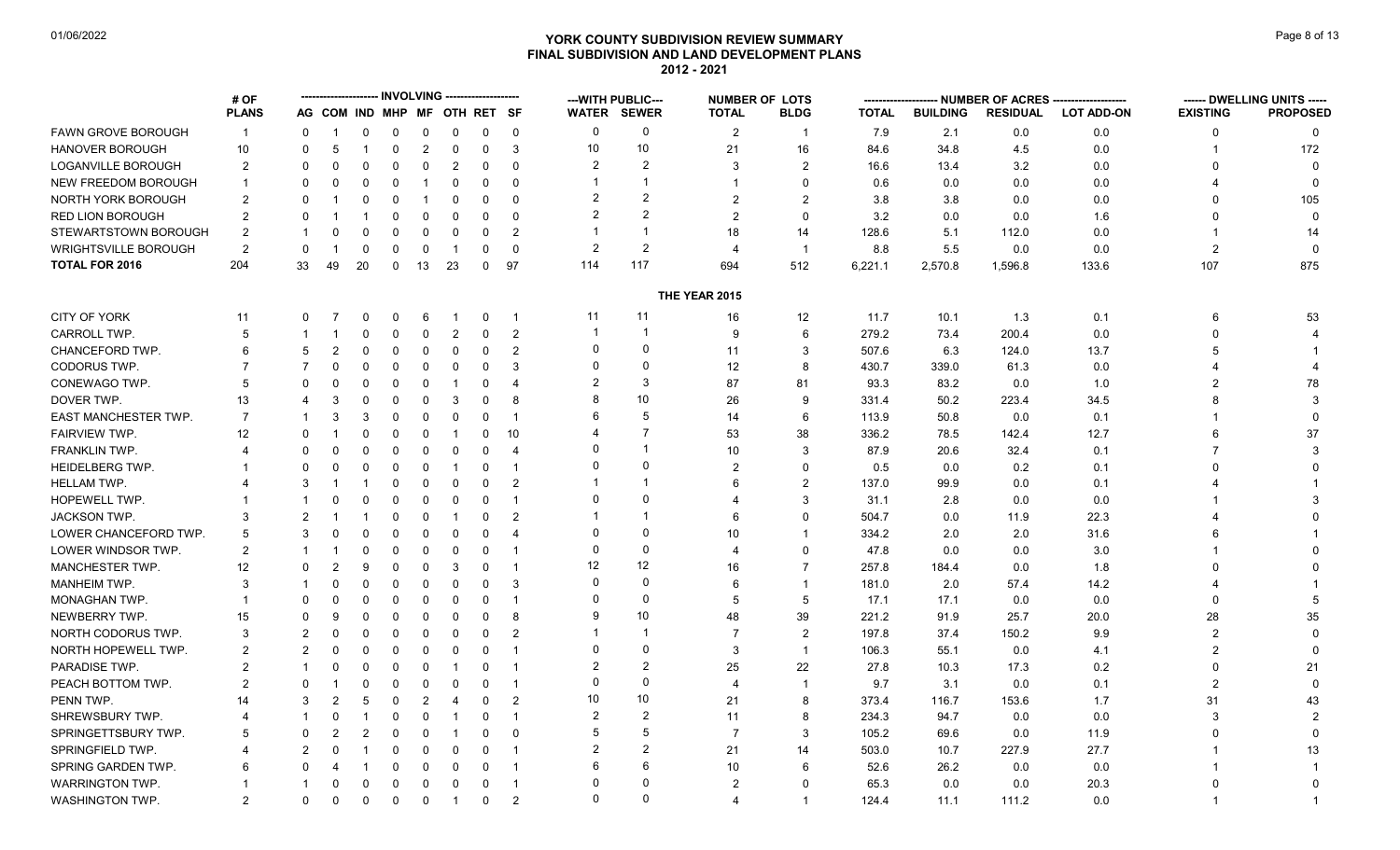# **YORK COUNTY SUBDIVISION REVIEW SUMMARY Page 8 of 13** Page 8 of 13 **FINAL SUBDIVISION AND LAND DEVELOPMENT PLANS 2012 - 2021**

|                            | # OF            |                |                |                |             |                |                              |             |                         |                | --- WITH PUBLIC---      |                      | <b>NUMBER OF LOTS</b> |              |                 | -- NUMBER OF ACRES ------- |                   |                 | ------ DWELLING UNITS ----- |
|----------------------------|-----------------|----------------|----------------|----------------|-------------|----------------|------------------------------|-------------|-------------------------|----------------|-------------------------|----------------------|-----------------------|--------------|-----------------|----------------------------|-------------------|-----------------|-----------------------------|
|                            | <b>PLANS</b>    |                |                |                |             |                | AG COM IND MHP MF OTH RET SF |             |                         |                | <b>WATER SEWER</b>      | <b>TOTAL</b>         | <b>BLDG</b>           | <b>TOTAL</b> | <b>BUILDING</b> | <b>RESIDUAL</b>            | <b>LOT ADD-ON</b> | <b>EXISTING</b> | <b>PROPOSED</b>             |
| <b>FAWN GROVE BOROUGH</b>  | $\mathbf{1}$    | $\mathbf{0}$   |                | 0              | 0           | 0              | 0                            | $\mathbf 0$ | $\overline{0}$          | $\Omega$       | 0                       | $\overline{2}$       | $\mathbf 1$           | 7.9          | 2.1             | 0.0                        | 0.0               | 0               | $\Omega$                    |
| <b>HANOVER BOROUGH</b>     | 10 <sup>°</sup> | $\Omega$       | 5              | -1             | $\mathbf 0$ | $\overline{c}$ | $\mathbf 0$                  | 0           | 3                       | 10             | 10                      | 21                   | 16                    | 84.6         | 34.8            | 4.5                        | 0.0               |                 | 172                         |
| LOGANVILLE BOROUGH         | $\overline{2}$  | $\Omega$       | $\Omega$       | $\Omega$       | $\mathbf 0$ | 0              | $\overline{2}$               | 0           | 0                       | $\mathcal{P}$  | 2                       | 3                    | 2                     | 16.6         | 13.4            | 3.2                        | 0.0               | 0               | $\Omega$                    |
| <b>NEW FREEDOM BOROUGH</b> |                 | $\Omega$       | 0              | 0              | $\mathbf 0$ |                | $\mathbf 0$                  | $\Omega$    | $\Omega$                |                | $\overline{\mathbf{1}}$ |                      | $\Omega$              | 0.6          | 0.0             | 0.0                        | 0.0               |                 |                             |
| NORTH YORK BOROUGH         | 2               | $\Omega$       |                | 0              | $\Omega$    |                | $\mathbf 0$                  | $\Omega$    | $\Omega$                | $\overline{2}$ | $\overline{2}$          | $\overline{2}$       | 2                     | 3.8          | 3.8             | 0.0                        | 0.0               | <sup>0</sup>    | 105                         |
| RED LION BOROUGH           | 2               | $\Omega$       |                |                | 0           | 0              | 0                            | 0           | 0                       | $\overline{2}$ | $\overline{2}$          | $\overline{2}$       | $\Omega$              | 3.2          | 0.0             | 0.0                        | 1.6               | 0               | $\mathbf{0}$                |
| STEWARTSTOWN BOROUGH       | 2               |                |                | $\Omega$       | $\mathbf 0$ | $\mathbf 0$    | $\overline{0}$               | $\mathbf 0$ | $\overline{2}$          |                | $\overline{\mathbf{1}}$ | 18                   | 14                    | 128.6        | 5.1             | 112.0                      | 0.0               | 1               | 14                          |
| WRIGHTSVILLE BOROUGH       | $\overline{2}$  | 0              |                | 0              | $\mathbf 0$ | $\mathbf 0$    | -1                           | $\Omega$    | $\mathbf 0$             | $\overline{2}$ | $\overline{2}$          | $\overline{4}$       | $\mathbf{1}$          | 8.8          | 5.5             | 0.0                        | 0.0               | $\overline{2}$  | $\Omega$                    |
| <b>TOTAL FOR 2016</b>      | 204             | 33             | 49             | 20             | $\mathbf 0$ | 13             | 23                           | $\mathbf 0$ | 97                      | 114            | 117                     | 694                  | 512                   | 6,221.1      | 2,570.8         | 1,596.8                    | 133.6             | 107             | 875                         |
|                            |                 |                |                |                |             |                |                              |             |                         |                |                         | <b>THE YEAR 2015</b> |                       |              |                 |                            |                   |                 |                             |
| CITY OF YORK               | 11              | 0              |                | 0              | 0           | 6              |                              | $\mathbf 0$ |                         | 11             | 11                      | 16                   | 12                    | 11.7         | 10.1            | 1.3                        | 0.1               | 6               | 53                          |
| CARROLL TWP.               | 5               |                |                | 0              | $\mathbf 0$ | $\mathbf 0$    | $\overline{2}$               | 0           | $\overline{2}$          | -1             | $\overline{\mathbf{1}}$ | 9                    | 6                     | 279.2        | 73.4            | 200.4                      | 0.0               | $\Omega$        |                             |
| CHANCEFORD TWP.            | 6               | 5              | $\overline{2}$ | $\mathbf 0$    | $\Omega$    | $\mathbf 0$    | $\mathbf 0$                  | 0           | $\overline{2}$          | $\Omega$       | $\mathbf 0$             | 11                   | 3                     | 507.6        | 6.3             | 124.0                      | 13.7              | 5               |                             |
| CODORUS TWP.               | 7               | $\overline{7}$ | $\Omega$       | 0              | $\mathbf 0$ | 0              | 0                            | 0           | 3                       | $\Omega$       | $\Omega$                | 12                   | 8                     | 430.7        | 339.0           | 61.3                       | 0.0               |                 |                             |
| CONEWAGO TWP.              | 5               | $\Omega$       | $\Omega$       | $\Omega$       | $\Omega$    | $\Omega$       | -1                           | $\Omega$    | $\overline{4}$          | $\overline{2}$ | 3                       | 87                   | 81                    | 93.3         | 83.2            | 0.0                        | 1.0               | $\overline{2}$  | 78                          |
| DOVER TWP.                 | 13              | 4              | 3              | $\Omega$       | $\mathbf 0$ | $\Omega$       | -3                           | $\mathbf 0$ | 8                       |                | 10 <sup>1</sup>         | 26                   | 9                     | 331.4        | 50.2            | 223.4                      | 34.5              | 8               | 3                           |
| EAST MANCHESTER TWP.       | $\overline{7}$  |                | 3              | 3              | $\mathbf 0$ | $\mathbf 0$    | $\mathbf 0$                  | $\Omega$    | -1                      | 6              | 5                       | 14                   | 6                     | 113.9        | 50.8            | 0.0                        | 0.1               |                 |                             |
| <b>FAIRVIEW TWP.</b>       | 12              | $\Omega$       |                | $\Omega$       | $\mathbf 0$ | 0              | -1                           | $\mathbf 0$ | 10                      |                | $\overline{7}$          | 53                   | 38                    | 336.2        | 78.5            | 142.4                      | 12.7              | 6               | 37                          |
| FRANKLIN TWP.              |                 | $\Omega$       | 0              | 0              | $\Omega$    | $\Omega$       | $\Omega$                     | 0           | $\overline{4}$          |                | $\overline{\mathbf{1}}$ | 10                   | 3                     | 87.9         | 20.6            | 32.4                       | 0.1               | $\overline{7}$  |                             |
| <b>HEIDELBERG TWP.</b>     |                 | $\Omega$       | $\Omega$       | 0              | $\Omega$    | $\Omega$       | $\overline{1}$               | 0           | $\overline{\mathbf{1}}$ |                | $\Omega$                | $\overline{2}$       | $\Omega$              | 0.5          | 0.0             | 0.2                        | 0.1               |                 |                             |
| <b>HELLAM TWP.</b>         |                 | 3              |                |                | $\mathbf 0$ | 0              | 0                            | $\Omega$    | $\overline{2}$          |                | $\overline{\mathbf{1}}$ | 6                    | 2                     | 137.0        | 99.9            | 0.0                        | 0.1               |                 |                             |
| HOPEWELL TWP.              |                 |                | O              | 0              | $\Omega$    | $\Omega$       | 0                            | $\Omega$    |                         | $\Omega$       | $\Omega$                | 4                    | 3                     | 31.1         | 2.8             | 0.0                        | 0.0               |                 |                             |
| JACKSON TWP.               | 3               | $\overline{2}$ |                |                | $\mathbf 0$ | $\Omega$       | -1                           | $\Omega$    | $\overline{2}$          |                | $\overline{\mathbf{1}}$ | 6                    | $\Omega$              | 504.7        | 0.0             | 11.9                       | 22.3              |                 |                             |
| LOWER CHANCEFORD TWP.      | 5               | 3              | 0              | $\mathbf 0$    | $\mathbf 0$ | $\mathbf 0$    | $\mathbf 0$                  | $\Omega$    | $\overline{4}$          | $\Omega$       | $\Omega$                | 10                   |                       | 334.2        | 2.0             | 2.0                        | 31.6              |                 |                             |
| LOWER WINDSOR TWP.         | 2               |                |                | 0              | $\mathbf 0$ | $\mathbf 0$    | 0                            | $\Omega$    | -1                      | $\Omega$       | $\mathbf 0$             | 4                    | $\Omega$              | 47.8         | 0.0             | 0.0                        | 3.0               |                 |                             |
| MANCHESTER TWP.            | 12              | $\Omega$       | $\overline{2}$ | 9              | $\mathbf 0$ | $\mathbf 0$    | -3                           | $\Omega$    |                         | 12             | 12                      | 16                   | $\overline{7}$        | 257.8        | 184.4           | 0.0                        | 1.8               |                 |                             |
| <b>MANHEIM TWP.</b>        | 3               |                | 0              | 0              | $\mathbf 0$ | $\mathbf 0$    | $\mathbf 0$                  | 0           | 3                       | $\Omega$       | $\Omega$                | 6                    | $\mathbf{1}$          | 181.0        | 2.0             | 57.4                       | 14.2              |                 |                             |
| MONAGHAN TWP.              |                 | $\Omega$       | $\Omega$       | $\Omega$       | $\mathbf 0$ | 0              | 0                            | $\Omega$    | -1                      | $\Omega$       | $\mathbf 0$             | 5                    | 5                     | 17.1         | 17.1            | 0.0                        | 0.0               | 0               |                             |
| NEWBERRY TWP.              | 15              | $\Omega$       | 9              | $\Omega$       | $\Omega$    | $\mathbf 0$    | $\mathbf 0$                  | $\mathbf 0$ | 8                       | 9              | 10 <sup>°</sup>         | 48                   | 39                    | 221.2        | 91.9            | 25.7                       | 20.0              | 28              | 35                          |
| NORTH CODORUS TWP.         | 3               | $\overline{2}$ | O              | $\Omega$       | $\Omega$    | $\Omega$       | $\mathbf 0$                  | $\Omega$    | $\overline{2}$          |                | $\overline{1}$          | $\overline{7}$       | $\overline{2}$        | 197.8        | 37.4            | 150.2                      | 9.9               | $\overline{2}$  | $\Omega$                    |
| NORTH HOPEWELL TWP.        | 2               | 2              | $\Omega$       | 0              | 0           | 0              | $\overline{0}$               | 0           | $\overline{1}$          | $\Omega$       | $\Omega$                | 3                    | $\mathbf{1}$          | 106.3        | 55.1            | 0.0                        | 4.1               | $\overline{2}$  |                             |
| PARADISE TWP.              | 2               |                | 0              | $\Omega$       | $\Omega$    | $\Omega$       | -1                           | $\Omega$    | -1                      | $\overline{2}$ | 2                       | 25                   | 22                    | 27.8         | 10.3            | 17.3                       | 0.2               | 0               | 21                          |
| PEACH BOTTOM TWP.          | $\overline{2}$  | $\Omega$       |                | $\Omega$       | $\mathbf 0$ | $\mathbf 0$    | $\overline{0}$               | 0           | -1                      | $\Omega$       | $\Omega$                | $\overline{4}$       | $\mathbf{1}$          | 9.7          | 3.1             | 0.0                        | 0.1               | $\overline{2}$  |                             |
| PENN TWP.                  | 14              | 3              | $\mathcal{P}$  | 5              | $\mathbf 0$ | $\overline{2}$ | 4                            | $\Omega$    | $\mathcal{P}$           | 10             | 10 <sup>1</sup>         | 21                   | 8                     | 373.4        | 116.7           | 153.6                      | 1.7               | 31              | 43                          |
| SHREWSBURY TWP.            |                 |                | $\Omega$       |                | 0           | 0              | -1                           | 0           | -1                      | $\overline{2}$ | $\overline{2}$          | 11                   | 8                     | 234.3        | 94.7            | 0.0                        | 0.0               | 3               |                             |
| SPRINGETTSBURY TWP.        | 5               | $\Omega$       | 2              | $\overline{2}$ | $\Omega$    | 0              | $\overline{1}$               | 0           | $\Omega$                | 5              | 5                       | $\overline{7}$       | 3                     | 105.2        | 69.6            | 0.0                        | 11.9              | $\Omega$        |                             |
| <b>SPRINGFIELD TWP.</b>    |                 | 2              | O              |                | 0           | 0              | $\mathbf 0$                  | $\Omega$    |                         | $\overline{2}$ | $\overline{2}$          | 21                   | 14                    | 503.0        | 10.7            | 227.9                      | 27.7              |                 | 13                          |
| SPRING GARDEN TWP.         | 6               | 0              |                |                | 0           | 0              | 0                            | 0           | $\overline{\mathbf{1}}$ | 6              | 6                       | 10                   | 6                     | 52.6         | 26.2            | 0.0                        | 0.0               |                 |                             |
| <b>WARRINGTON TWP.</b>     |                 |                | 0              | 0              | $\mathbf 0$ | $\mathbf 0$    | $\overline{0}$               | $\mathbf 0$ | -1                      | $\Omega$       | $\Omega$                | $\overline{2}$       | $\Omega$              | 65.3         | 0.0             | 0.0                        | 20.3              |                 |                             |
| <b>WASHINGTON TWP.</b>     | $\mathfrak{p}$  | 0              | $\Omega$       | $\Omega$       | $\mathbf 0$ | 0              | $\overline{1}$               | $\mathbf 0$ | $\overline{2}$          | $\Omega$       | $\Omega$                | 4                    | $\mathbf{1}$          | 124.4        | 11.1            | 111.2                      | 0.0               | $\overline{1}$  |                             |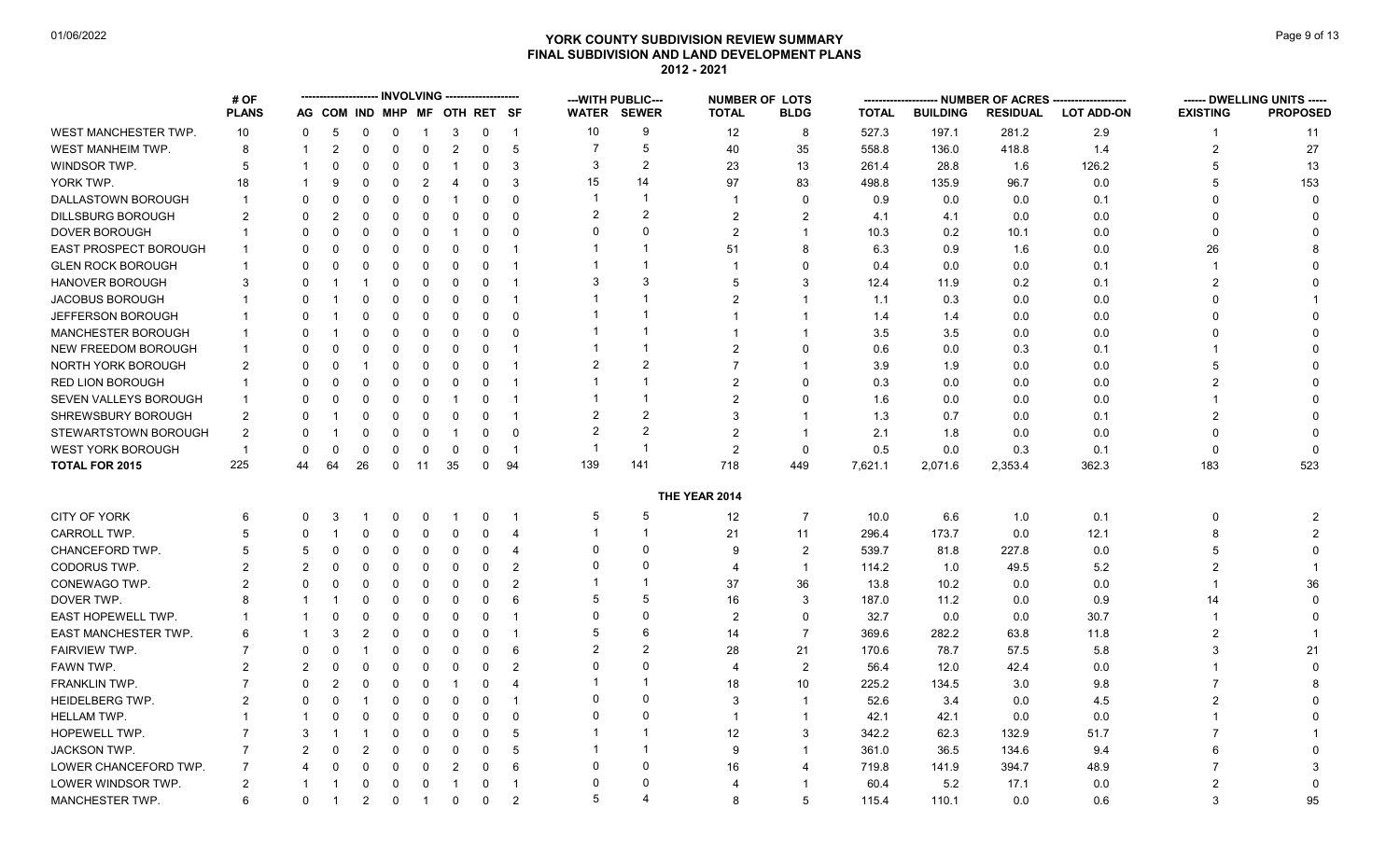# **YORK COUNTY SUBDIVISION REVIEW SUMMARY Page 9 of 13** Page 9 of 13 **FINAL SUBDIVISION AND LAND DEVELOPMENT PLANS 2012 - 2021**

|                             | # OF           |                |                |                |                   | <b>INVOLVING</b> |                              |               |                         |                          | --- WITH PUBLIC---      | <b>NUMBER OF LOTS</b>    |                  | --------      |                 |                 | -- NUMBER OF ACRES -------------------- |                 | ------ DWELLING UNITS ----- |
|-----------------------------|----------------|----------------|----------------|----------------|-------------------|------------------|------------------------------|---------------|-------------------------|--------------------------|-------------------------|--------------------------|------------------|---------------|-----------------|-----------------|-----------------------------------------|-----------------|-----------------------------|
|                             | <b>PLANS</b>   |                |                |                |                   |                  | AG COM IND MHP MF OTH RET SF |               |                         |                          | <b>WATER SEWER</b>      | <b>TOTAL</b>             | <b>BLDG</b>      | <b>TOTAL</b>  | <b>BUILDING</b> | <b>RESIDUAL</b> | <b>LOT ADD-ON</b>                       | <b>EXISTING</b> | <b>PROPOSED</b>             |
| WEST MANCHESTER TWP.        | 10             | 0              | 5              | 0              | 0                 | $\overline{1}$   | 3                            | 0             | $\overline{1}$          | 10                       | 9                       | 12                       | 8                | 527.3         | 197.1           | 281.2           | 2.9                                     | 1               | 11                          |
| WEST MANHEIM TWP.           | 8              | $\mathbf 1$    | $\overline{2}$ | 0              | 0                 | $\mathbf 0$      | $\overline{2}$               | 0             | $5\phantom{.0}$         |                          | 5                       | 40                       | 35               | 558.8         | 136.0           | 418.8           | 1.4                                     | $\overline{2}$  | 27                          |
| WINDSOR TWP.                | 5              | 1              | $\Omega$       | $\Omega$       | 0                 | 0                | -1                           | $\Omega$      | 3                       | 3                        | $\overline{2}$          | 23                       | 13               | 261.4         | 28.8            | 1.6             | 126.2                                   | 5               | 13                          |
| YORK TWP.                   | 18             |                | 9              | $\Omega$       | $\mathbf{0}$      | $\overline{2}$   | $\overline{4}$               | $\Omega$      | 3                       | 15                       | 14                      | 97                       | 83               | 498.8         | 135.9           | 96.7            | 0.0                                     | 5               | 153                         |
| DALLASTOWN BOROUGH          | $\mathbf 1$    | 0              | <sup>0</sup>   | 0              | 0                 | 0                | -1                           | 0             | $\Omega$                |                          | $\overline{\mathbf{1}}$ | -1                       | $\mathbf 0$      | 0.9           | 0.0             | 0.0             | 0.1                                     | $\Omega$        | $\Omega$                    |
| <b>DILLSBURG BOROUGH</b>    | 2              | 0              | $\overline{2}$ | $\Omega$       | 0                 | $\Omega$         | 0                            | $\Omega$      | $\Omega$                | $\overline{2}$           | $\overline{2}$          | $\overline{2}$           | $\overline{2}$   | 4.1           | 4.1             | 0.0             | 0.0                                     | $\Omega$        |                             |
| <b>DOVER BOROUGH</b>        |                | 0              | $\Omega$       | 0              | 0                 | 0                | -1                           | 0             | $\Omega$                | $\Omega$                 | $\Omega$                | $\overline{2}$           | $\overline{1}$   | 10.3          | 0.2             | 10.1            | 0.0                                     | $\Omega$        |                             |
| EAST PROSPECT BOROUGH       | -1             | $\Omega$       | 0              | $\Omega$       | <sup>0</sup>      | $\Omega$         | $\overline{0}$               | $\Omega$      | $\overline{\mathbf{1}}$ |                          |                         | 51                       | 8                | 6.3           | 0.9             | 1.6             | 0.0                                     | 26              |                             |
| <b>GLEN ROCK BOROUGH</b>    |                | 0              | 0              | 0              | 0                 | 0                | 0                            | 0             | $\overline{1}$          |                          |                         | -1                       | 0                | 0.4           | 0.0             | 0.0             | 0.1                                     |                 |                             |
| <b>HANOVER BOROUGH</b>      | 3              | $\Omega$       | -1             | -1             | 0                 | $\Omega$         | $\Omega$                     | $\Omega$      | $\overline{\mathbf{1}}$ | 3                        | 3                       | 5                        | 3                | 12.4          | 11.9            | 0.2             | 0.1                                     | $\overline{2}$  |                             |
| JACOBUS BOROUGH             |                | $\Omega$       |                | 0              | $\mathbf{0}$      | $\Omega$         | $\Omega$                     | $\Omega$      | $\overline{\mathbf{1}}$ |                          |                         | $\overline{2}$           | $\overline{1}$   | 1.1           | 0.3             | 0.0             | 0.0                                     | $\Omega$        |                             |
| JEFFERSON BOROUGH           | -1             | O              |                | 0              | 0                 | 0                | 0                            | 0             | $\Omega$                |                          |                         |                          |                  | 1.4           | 1.4             | 0.0             | 0.0                                     | $\Omega$        |                             |
| MANCHESTER BOROUGH          | $\mathbf 1$    | 0              |                | 0              | 0                 | 0                | $\Omega$                     | $\Omega$      | $\Omega$                |                          |                         |                          | -1               | 3.5           | 3.5             | 0.0             | 0.0                                     | $\Omega$        |                             |
| <b>NEW FREEDOM BOROUGH</b>  | $\mathbf{1}$   | $\Omega$       |                | 0              | 0                 | $\Omega$         | $\Omega$                     | $\Omega$      | $\overline{\mathbf{1}}$ |                          | -1                      | $\mathcal{P}$            | $\Omega$         | 0.6           | 0.0             | 0.3             | 0.1                                     |                 |                             |
| NORTH YORK BOROUGH          | 2              | O              |                |                | 0                 | $\Omega$         | $\mathbf 0$                  | $\Omega$      | $\overline{1}$          | $\overline{2}$           | $\overline{2}$          | $\overline{7}$           | -1               | 3.9           | 1.9             | 0.0             | 0.0                                     | 5               |                             |
| <b>RED LION BOROUGH</b>     | $\mathbf 1$    | 0              | 0              | 0              | 0                 | 0                | 0                            | $\Omega$      | -1                      |                          |                         | $\overline{2}$           | $\Omega$         | 0.3           | 0.0             | 0.0             | 0.0                                     | $\overline{2}$  |                             |
| SEVEN VALLEYS BOROUGH       | $\overline{1}$ | 0              | $\Omega$       | $\Omega$       | $\mathbf{0}$      | $\mathbf{0}$     | -1                           | $\Omega$      | $\overline{\mathbf{1}}$ |                          |                         | $\overline{2}$           | $\mathbf 0$      | 1.6           | 0.0             | 0.0             | 0.0                                     |                 |                             |
| SHREWSBURY BOROUGH          | $\overline{2}$ | $\Omega$       |                | 0              | 0                 | $\Omega$         | $\Omega$                     | $\Omega$      | $\overline{\mathbf{1}}$ | $\overline{2}$           | $\overline{2}$          | 3                        | $\overline{1}$   | 1.3           | 0.7             | 0.0             | 0.1                                     | 2               |                             |
| STEWARTSTOWN BOROUGH        | $\overline{2}$ | O              |                | 0              | 0                 | 0                | -1                           | $\Omega$      | $\Omega$                | $\overline{2}$           | $\overline{2}$          | $\overline{2}$           | -1               | 2.1           | 1.8             | 0.0             | 0.0                                     | $\Omega$        |                             |
| <b>WEST YORK BOROUGH</b>    | $\overline{1}$ | 0              | 0              | 0              | 0                 | 0                | 0                            | 0             | $\mathbf 1$             | -1                       | $\overline{1}$          | $\overline{2}$           | $\mathbf 0$      | 0.5           | 0.0             | 0.3             | 0.1                                     | 0               |                             |
| <b>TOTAL FOR 2015</b>       | 225            | 44             | 64             | 26             | $\Omega$          | 11               | 35                           | $\Omega$      | 94                      | 139                      | 141                     | 718                      | 449              | 7,621.1       | 2,071.6         | 2,353.4         | 362.3                                   | 183             | 523                         |
|                             |                |                |                |                |                   |                  |                              |               |                         |                          |                         | THE YEAR 2014            |                  |               |                 |                 |                                         |                 |                             |
| <b>CITY OF YORK</b>         | 6              | 0              | 3              |                | 0                 | 0                | -1                           | 0             | -1                      | 5                        | 5                       | 12                       | $\overline{7}$   | 10.0          | 6.6             | 1.0             | 0.1                                     | 0               | 2                           |
| <b>CARROLL TWP</b>          | 5              | 0              | -1             | $\Omega$       | 0                 | $\Omega$         | 0                            | $\Omega$      | $\overline{4}$          |                          | -1                      | 21                       | 11               | 296.4         | 173.7           | 0.0             | 12.1                                    | 8               | $\overline{2}$              |
| CHANCEFORD TWP.             | 5              | 5              | 0              | 0              | 0                 | 0                | 0                            | $\Omega$      | $\overline{4}$          | $\Omega$                 | $\Omega$                | 9                        | $\overline{2}$   | 539.7         | 81.8            | 227.8           | 0.0                                     | 5               |                             |
| CODORUS TWP.                | 2              | 2              | 0              | $\Omega$       | 0                 | $\Omega$         | $\Omega$                     | $\Omega$      | $\overline{2}$          | $\Omega$                 | $\Omega$                | $\boldsymbol{\Delta}$    | $\overline{1}$   | 114.2         | 1.0             | 49.5            | 5.2                                     | $\overline{2}$  |                             |
|                             |                | O              |                |                |                   |                  |                              |               | $\overline{2}$          |                          | -1                      | 37                       |                  |               |                 |                 |                                         | 1               | 36                          |
| CONEWAGO TWP.<br>DOVER TWP. | 2<br>8         |                | 0<br>-1        | 0              | 0                 | 0                | 0                            | 0<br>$\Omega$ | 6                       | 5                        | 5                       |                          | 36               | 13.8<br>187.0 | 10.2            | 0.0             | 0.0                                     |                 |                             |
| <b>EAST HOPEWELL TWP.</b>   |                |                | $\Omega$       | 0<br>0         | 0<br>$\mathbf{0}$ | 0<br>$\Omega$    | 0<br>$\Omega$                | $\Omega$      | $\overline{\mathbf{1}}$ | $\Omega$                 | $\Omega$                | 16<br>$\overline{2}$     | 3<br>$\mathbf 0$ |               | 11.2            | 0.0             | 0.9                                     | 14<br>-1        | $\Omega$                    |
|                             | 6              |                |                |                |                   |                  |                              |               |                         | 5                        | 6                       |                          | $\overline{7}$   | 32.7          | 0.0             | 0.0             | 30.7                                    | $\overline{2}$  |                             |
| <b>EAST MANCHESTER TWP.</b> |                |                | 3              | 2              | 0                 | $\mathbf 0$      | 0                            | $\mathbf 0$   | -1                      | $\overline{2}$           | $\overline{2}$          | 14                       |                  | 369.6         | 282.2           | 63.8            | 11.8                                    |                 |                             |
| <b>FAIRVIEW TWP.</b>        |                | 0              | 0              |                | $\mathbf{0}$      | $\Omega$         | 0                            | $\Omega$      | 6                       | $\Omega$                 | $\Omega$                | 28                       | 21               | 170.6         | 78.7            | 57.5            | 5.8                                     | 3               | 21                          |
| FAWN TWP.                   | 2              | $\overline{2}$ | 0              | 0              | 0                 | $\Omega$         | 0                            | $\Omega$      | $\overline{2}$          |                          | -1                      | $\overline{\mathcal{A}}$ | $\overline{2}$   | 56.4          | 12.0            | 42.4            | 0.0                                     |                 |                             |
| FRANKLIN TWP.               |                | $\Omega$       | 2              | 0              | $\mathbf{0}$      | $\mathbf{0}$     | -1                           | $\Omega$      | $\overline{4}$          |                          | $\Omega$                | 18                       | 10               | 225.2         | 134.5           | 3.0             | 9.8                                     |                 |                             |
| <b>HEIDELBERG TWP.</b>      | 2              | 0              | 0              |                | 0                 | 0                | 0                            | 0             | -1                      | $\mathbf{0}$<br>$\Omega$ | $\Omega$                | 3                        | $\overline{1}$   | 52.6          | 3.4             | 0.0             | 4.5                                     | $\overline{2}$  |                             |
| <b>HELLAM TWP.</b>          | $\mathbf 1$    | 1              | $\Omega$       | 0              | $\mathbf{0}$      | $\Omega$         | $\Omega$                     | $\Omega$      | $\mathbf{0}$            |                          |                         | -1                       | $\overline{1}$   | 42.1          | 42.1            | 0.0             | 0.0                                     |                 |                             |
| HOPEWELL TWP.               | $\overline{7}$ | 3              |                |                | 0                 | $\Omega$         | $\Omega$                     | $\Omega$      | 5                       |                          | -1                      | 12                       | 3                | 342.2         | 62.3            | 132.9           | 51.7                                    |                 |                             |
| <b>JACKSON TWP</b>          |                | 2              | <sup>0</sup>   | $\overline{2}$ | $\Omega$          | $\Omega$         | 0                            | $\mathbf 0$   | 5                       |                          |                         | 9                        | -1               | 361.0         | 36.5            | 134.6           | 9.4                                     | 6               |                             |
| LOWER CHANCEFORD TWP.       | 7              | 4              | 0              | 0              | 0                 | 0                | 2                            | 0             | 6                       | $\Omega$                 | $\Omega$                | 16                       | 4                | 719.8         | 141.9           | 394.7           | 48.9                                    | 7               |                             |
| LOWER WINDSOR TWP.          | $\overline{2}$ |                | -1             | $\Omega$       | 0                 | $\Omega$         | -1                           | $\Omega$      | $\overline{\mathbf{1}}$ | $\Omega$                 | $\Omega$                | 4                        | -1               | 60.4          | 5.2             | 17.1            | 0.0                                     |                 |                             |
| MANCHESTER TWP.             | 6              | 0              | -1             | $\overline{a}$ | 0                 | $\overline{1}$   | $\mathbf 0$                  | $\Omega$      | $\overline{2}$          | 5                        | 4                       | 8                        | 5                | 115.4         | 110.1           | 0.0             | 0.6                                     | 3               | 95                          |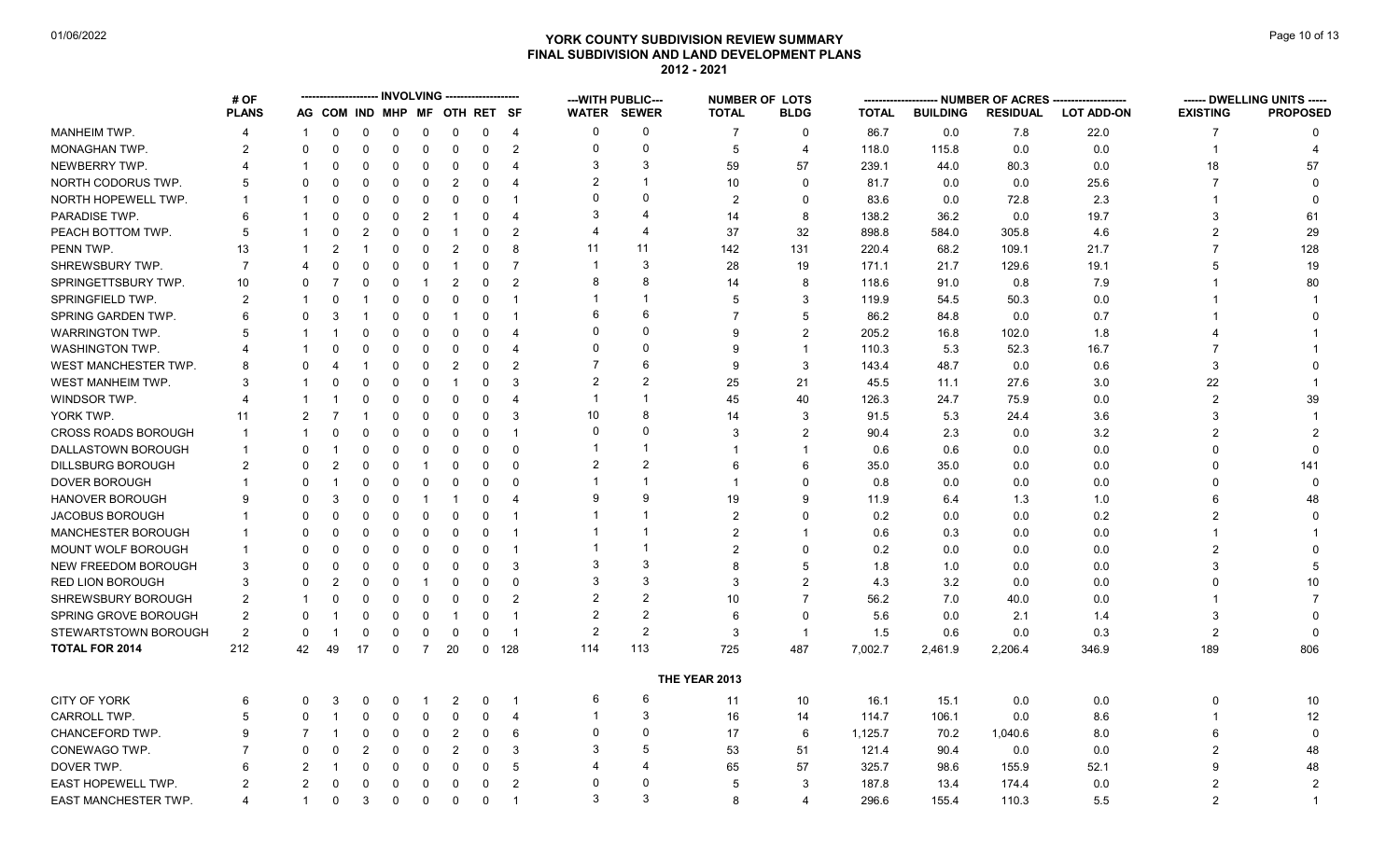## **YORK COUNTY SUBDIVISION REVIEW SUMMARY Page 10 of 13** Page 10 of 13 **FINAL SUBDIVISION AND LAND DEVELOPMENT PLANS 2012 - 2021**

|                             | # OF                  |                       |                |                |             | <b>INVOLVING</b> |                              |          |                       |                | ---WITH PUBLIC---     | <b>NUMBER OF LOTS</b> |                |              |                 | NUMBER OF ACRES |                   |                 | ------ DWELLING UNITS ----- |
|-----------------------------|-----------------------|-----------------------|----------------|----------------|-------------|------------------|------------------------------|----------|-----------------------|----------------|-----------------------|-----------------------|----------------|--------------|-----------------|-----------------|-------------------|-----------------|-----------------------------|
|                             | <b>PLANS</b>          |                       |                |                |             |                  | AG COM IND MHP MF OTH RET SF |          |                       |                | <b>WATER SEWER</b>    | <b>TOTAL</b>          | <b>BLDG</b>    | <b>TOTAL</b> | <b>BUILDING</b> | <b>RESIDUAL</b> | <b>LOT ADD-ON</b> | <b>EXISTING</b> | <b>PROPOSED</b>             |
| MANHEIM TWP.                | $\boldsymbol{\Delta}$ | 1                     | 0              | 0              | 0           | 0                | 0                            | 0        | $\overline{4}$        | $\Omega$       | $\Omega$              | 7                     | $\Omega$       | 86.7         | 0.0             | 7.8             | 22.0              | 7               | $\Omega$                    |
| MONAGHAN TWP.               | 2                     | $\Omega$              | $\mathbf{0}$   | $\mathbf{0}$   | $\mathbf 0$ | $\mathbf 0$      | $\mathbf 0$                  | 0        | $\overline{2}$        | $\Omega$       | $\Omega$              | 5                     | $\overline{4}$ | 118.0        | 115.8           | 0.0             | 0.0               | 1               |                             |
| NEWBERRY TWP.               | 4                     |                       | <sup>0</sup>   | $\Omega$       | $\Omega$    | 0                | 0                            | $\Omega$ | $\overline{4}$        | 3              | 3                     | 59                    | 57             | 239.1        | 44.0            | 80.3            | 0.0               | 18              | 57                          |
| NORTH CODORUS TWP.          | 5                     | 0                     |                | 0              | 0           | 0                | $\overline{2}$               | 0        | $\overline{4}$        | $\overline{2}$ | $\overline{1}$        | 10                    | $\Omega$       | 81.7         | 0.0             | 0.0             | 25.6              | 7               | $\Omega$                    |
| NORTH HOPEWELL TWP.         | 1                     |                       |                | 0              | 0           | 0                | $\mathbf 0$                  | 0        | -1                    | 0              | $\Omega$              | 2                     | $\Omega$       | 83.6         | 0.0             | 72.8            | 2.3               |                 |                             |
| PARADISE TWP.               | 6                     |                       | 0              | $\Omega$       | $\Omega$    | $\overline{2}$   | -1                           | $\Omega$ | $\overline{4}$        | 3              | $\overline{4}$        | 14                    | 8              | 138.2        | 36.2            | 0.0             | 19.7              | 3               | 61                          |
| PEACH BOTTOM TWP.           | 5                     | 1                     | 0              | $\overline{2}$ | 0           | $\mathbf 0$      | -1                           | $\Omega$ | $\overline{2}$        | 4              | $\overline{4}$        | 37                    | 32             | 898.8        | 584.0           | 305.8           | 4.6               | $\overline{2}$  | 29                          |
| PENN TWP.                   | 13                    |                       | $\overline{2}$ |                | $\Omega$    | $\Omega$         | $\overline{2}$               | $\Omega$ | 8                     | 11             | 11                    | 142                   | 131            | 220.4        | 68.2            | 109.1           | 21.7              |                 | 128                         |
| SHREWSBURY TWP.             | $\overline{7}$        | $\boldsymbol{\Delta}$ | $\Omega$       | $\Omega$       | 0           | $\Omega$         | -1                           | 0        | $\overline{7}$        |                | 3                     | 28                    | 19             | 171.1        | 21.7            | 129.6           | 19.1              | 5               | 19                          |
| SPRINGETTSBURY TWP.         | 10                    | 0                     | $\overline{7}$ | $\Omega$       | 0           | -1               | $\overline{2}$               | 0        | $\overline{2}$        | 8              | 8                     | 14                    | 8              | 118.6        | 91.0            | 0.8             | 7.9               |                 | 80                          |
| SPRINGFIELD TWP.            | 2                     |                       | $\Omega$       |                | 0           | 0                | $\mathbf 0$                  | 0        | $\overline{1}$        |                | -1                    | 5                     | 3              | 119.9        | 54.5            | 50.3            | 0.0               |                 |                             |
| SPRING GARDEN TWP.          | 6                     | 0                     | 3              |                | 0           | $\Omega$         | -1                           | $\Omega$ | -1                    | 6              | 6                     | 7                     | .5             | 86.2         | 84.8            | 0.0             | 0.7               |                 |                             |
| <b>WARRINGTON TWP.</b>      | 5                     |                       |                | 0              | 0           | 0                | 0                            | 0        | $\overline{4}$        | $\Omega$       | $\Omega$              | 9                     | 2              | 205.2        | 16.8            | 102.0           | 1.8               |                 |                             |
| <b>WASHINGTON TWP.</b>      |                       |                       |                | 0              | 0           | 0                | 0                            | $\Omega$ | $\overline{4}$        | $\Omega$       | $\Omega$              | 9                     | $\overline{1}$ | 110.3        | 5.3             | 52.3            | 16.7              | 7               |                             |
| <b>WEST MANCHESTER TWP.</b> | 8                     | ŋ                     |                |                | 0           | $\mathbf 0$      | $\overline{2}$               | $\Omega$ | $\overline{2}$        |                | 6                     | 9                     | 3              | 143.4        | 48.7            | 0.0             | 0.6               | 3               |                             |
| WEST MANHEIM TWP.           | 3                     |                       |                | 0              | $\Omega$    | $\Omega$         |                              | $\Omega$ | 3                     | $\overline{2}$ | $\overline{2}$        | 25                    | 21             | 45.5         | 11.1            | 27.6            | 3.0               | 22              |                             |
| WINDSOR TWP.                | 4                     | 1                     |                | 0              | $\Omega$    | $\Omega$         | 0                            | 0        | $\overline{4}$        |                | -1                    | 45                    | 40             | 126.3        | 24.7            | 75.9            | 0.0               | $\overline{2}$  | 39                          |
| YORK TWP.                   | 11                    | 2                     | -7             |                | 0           | $\Omega$         | $\Omega$                     | 0        | -3                    | 10             | 8                     | 14                    | 3              | 91.5         | 5.3             | 24.4            | 3.6               | 3               |                             |
| <b>CROSS ROADS BOROUGH</b>  | $\overline{1}$        |                       | $\Omega$       | $\mathbf{0}$   | $\Omega$    | $\Omega$         | $\Omega$                     | $\Omega$ | $\overline{1}$        | $\Omega$       | $\Omega$              | 3                     | $\overline{2}$ | 90.4         | 2.3             | 0.0             | 3.2               | $\mathfrak{p}$  |                             |
| DALLASTOWN BOROUGH          | -1                    | 0                     |                | 0              | 0           | 0                | 0                            | $\Omega$ | $\Omega$              |                | $\mathbf 1$           | -1                    | $\overline{1}$ | 0.6          | 0.6             | 0.0             | 0.0               | 0               |                             |
| <b>DILLSBURG BOROUGH</b>    | 2                     | 0                     | 2              | $\Omega$       | 0           | -1               | $\Omega$                     | 0        | $\Omega$              | $\overline{2}$ | $\overline{2}$        | 6                     | 6              | 35.0         | 35.0            | 0.0             | 0.0               | 0               | 141                         |
| DOVER BOROUGH               | 1                     | 0                     |                | $\Omega$       | 0           | $\Omega$         | $\Omega$                     | $\Omega$ | $\Omega$              |                | -1                    | $\mathbf{1}$          | $\Omega$       | 0.8          | 0.0             | 0.0             | 0.0               | 0               | $\Omega$                    |
| <b>HANOVER BOROUGH</b>      | 9                     | ŋ                     | 3              | 0              | 0           | -1               | -1                           | 0        | $\boldsymbol{\Delta}$ | 9              | 9                     | 19                    | $\mathbf{Q}$   | 11.9         | 6.4             | 1.3             | 1.0               | 6               | 48                          |
| <b>JACOBUS BOROUGH</b>      |                       | 0                     | 0              | 0              | 0           | 0                | 0                            | 0        | $\overline{1}$        |                | -1                    | 2                     | $\Omega$       | 0.2          | 0.0             | 0.0             | 0.2               | 2               |                             |
| MANCHESTER BOROUGH          | $\mathbf 1$           | 0                     | 0              | $\Omega$       | 0           | $\Omega$         | $\Omega$                     | 0        | -1                    |                |                       | $\overline{2}$        |                | 0.6          | 0.3             | 0.0             | 0.0               |                 |                             |
| MOUNT WOLF BOROUGH          | $\mathbf 1$           | 0                     | <sup>0</sup>   | $\Omega$       | 0           | $\mathbf 0$      | 0                            | $\Omega$ | $\overline{1}$        |                | $\overline{1}$        | $\overline{2}$        | $\Omega$       | 0.2          | 0.0             | 0.0             | 0.0               | $\overline{2}$  |                             |
| <b>NEW FREEDOM BOROUGH</b>  | 3                     | 0                     |                | $\Omega$       | 0           | 0                | 0                            | 0        | 3                     | 3              | 3                     | 8                     | .5             | 1.8          | 1.0             | 0.0             | 0.0               | 3               |                             |
| RED LION BOROUGH            | 3                     | 0                     | 2              | $\Omega$       | $\Omega$    |                  | $\mathbf 0$                  | $\Omega$ | $\Omega$              | 3              | 3                     | 3                     | 2              | 4.3          | 3.2             | 0.0             | 0.0               | 0               | 10                          |
| SHREWSBURY BOROUGH          | $\overline{2}$        |                       | 0              | $\Omega$       | 0           | $\mathbf 0$      | $\overline{0}$               | $\Omega$ | $\overline{2}$        | $\overline{2}$ | $\overline{2}$        | 10                    | $\overline{7}$ | 56.2         | 7.0             | 40.0            | 0.0               |                 | $\overline{7}$              |
| SPRING GROVE BOROUGH        | $\overline{2}$        | 0                     |                | 0              | 0           | 0                | -1                           | 0        | $\overline{1}$        | $\overline{2}$ | $\overline{2}$        | 6                     | $\Omega$       | 5.6          | 0.0             | 2.1             | 1.4               | 3               | $\Omega$                    |
| STEWARTSTOWN BOROUGH        | $\overline{2}$        | 0                     |                | $\Omega$       | $\Omega$    | $\Omega$         | $\Omega$                     | 0        | $\overline{1}$        | $\overline{2}$ | 2                     | 3                     | $\overline{1}$ | 1.5          | 0.6             | 0.0             | 0.3               | $\overline{2}$  | $\Omega$                    |
| <b>TOTAL FOR 2014</b>       | 212                   | 42                    | 49             | 17             | 0           | $\overline{7}$   | 20                           | 0        | 128                   | 114            | 113                   | 725                   | 487            | 7,002.7      | 2,461.9         | 2,206.4         | 346.9             | 189             | 806                         |
|                             |                       |                       |                |                |             |                  |                              |          |                       |                |                       | THE YEAR 2013         |                |              |                 |                 |                   |                 |                             |
| CITY OF YORK                | 6                     | 0                     | 3              | 0              | 0           |                  | 2                            | 0        | -1                    | 6              | 6                     | 11                    | 10             | 16.1         | 15.1            | 0.0             | 0.0               | 0               | 10                          |
| <b>CARROLL TWP.</b>         | 5                     | 0                     |                | $\Omega$       | $\Omega$    | $\Omega$         | 0                            | 0        | $\overline{4}$        |                | 3                     | 16                    | 14             | 114.7        | 106.1           | 0.0             | 8.6               |                 | 12                          |
| <b>CHANCEFORD TWP.</b>      | 9                     | $\overline{7}$        |                | $\Omega$       | 0           | $\Omega$         | $\overline{2}$               | 0        | 6                     | $\Omega$       | $\Omega$              | 17                    | 6              | 1,125.7      | 70.2            | 1,040.6         | 8.0               | 6               | $\mathbf{0}$                |
| CONEWAGO TWP.               |                       | ŋ                     |                | 2              | 0           | 0                | $\overline{2}$               | 0        | 3                     | 3              | 5                     | 53                    | 51             | 121.4        | 90.4            | 0.0             | 0.0               | 2               | 48                          |
| DOVER TWP.                  | 6                     | 2                     |                | 0              | 0           | $\Omega$         | 0                            | 0        | 5                     | 4              | $\boldsymbol{\Delta}$ | 65                    | 57             | 325.7        | 98.6            | 155.9           | 52.1              | 9               | 48                          |
| EAST HOPEWELL TWP.          | 2                     | 2                     | 0              | 0              | $\Omega$    | $\Omega$         | $\Omega$                     | $\Omega$ | $\overline{2}$        | $\mathbf{0}$   | $\Omega$              | 5                     | 3              | 187.8        | 13.4            | 174.4           | 0.0               | $\overline{2}$  | $\overline{2}$              |
| EAST MANCHESTER TWP.        | $\boldsymbol{\Delta}$ | $\mathbf{1}$          | 0              | 3              | 0           | 0                | 0                            | 0        | $\overline{1}$        | 3              | 3                     | 8                     | $\overline{4}$ | 296.6        | 155.4           | 110.3           | 5.5               | $\overline{2}$  |                             |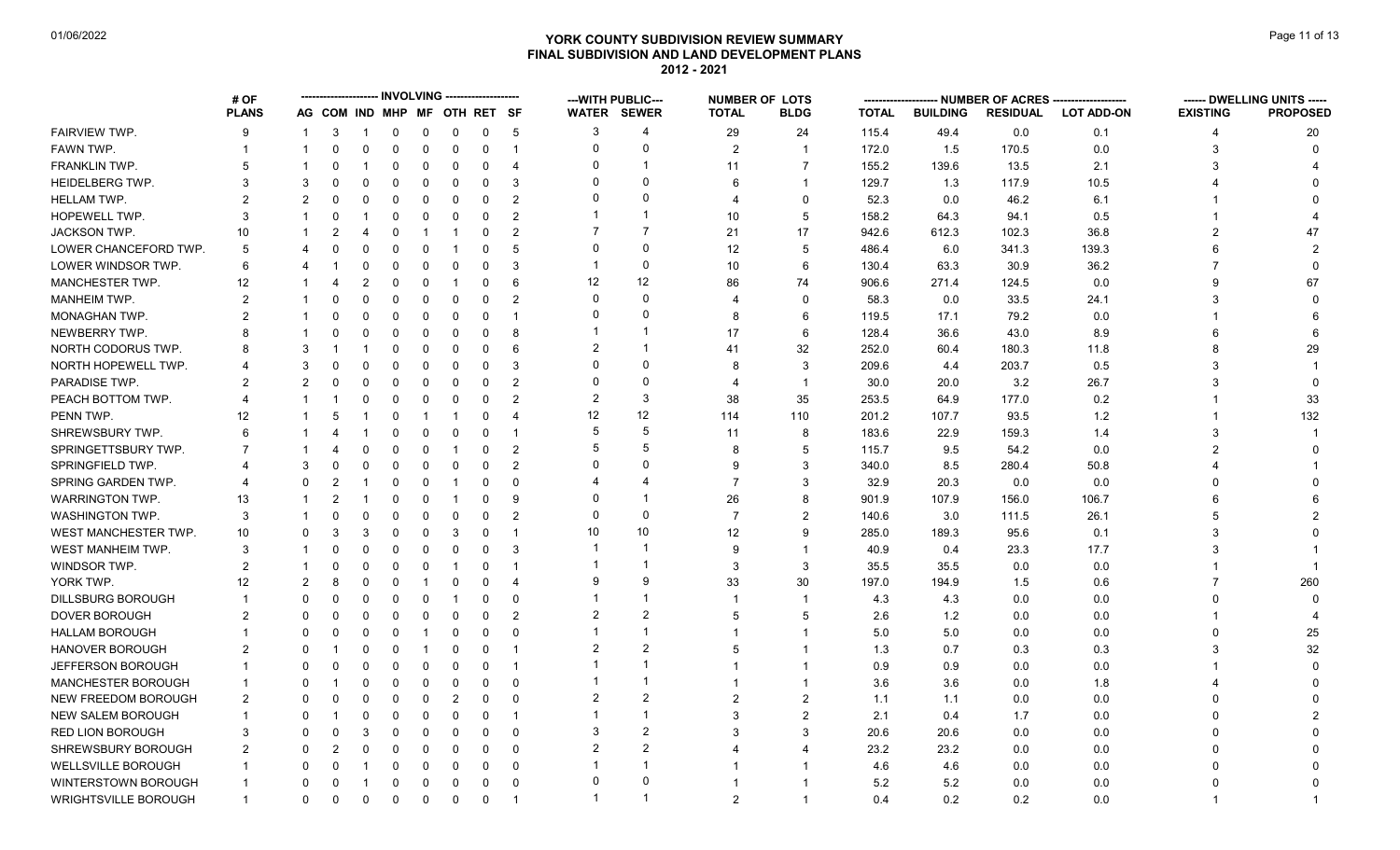### **YORK COUNTY SUBDIVISION REVIEW SUMMARY Page 11 of 13** Page 11 of 13 **FINAL SUBDIVISION AND LAND DEVELOPMENT PLANS 2012 - 2021**

|                            | # OF           |                |                              |             |             |              |                         |             |                         |                | --- WITH PUBLIC---      |                | <b>NUMBER OF LOTS</b> |              |                 | - NUMBER OF ACRES ----- |                   |                 | ------ DWELLING UNITS ----- |
|----------------------------|----------------|----------------|------------------------------|-------------|-------------|--------------|-------------------------|-------------|-------------------------|----------------|-------------------------|----------------|-----------------------|--------------|-----------------|-------------------------|-------------------|-----------------|-----------------------------|
|                            | <b>PLANS</b>   |                | AG COM IND MHP MF OTH RET SF |             |             |              |                         |             |                         |                | <b>WATER SEWER</b>      | <b>TOTAL</b>   | <b>BLDG</b>           | <b>TOTAL</b> | <b>BUILDING</b> | <b>RESIDUAL</b>         | <b>LOT ADD-ON</b> | <b>EXISTING</b> | <b>PROPOSED</b>             |
| FAIRVIEW TWP.              | 9              |                | -3                           | -1          | $\mathbf 0$ | $\mathbf 0$  | $\mathbf 0$             | $\mathbf 0$ | 5                       | 3              | 4                       | 29             | 24                    | 115.4        | 49.4            | 0.0                     | 0.1               | 4               | 20                          |
| FAWN TWP.                  |                | -1             | $\Omega$                     | $\mathbf 0$ | $\mathbf 0$ | $\mathbf 0$  | $\mathbf 0$             | 0           | $\overline{1}$          | $\Omega$       | 0                       | 2              | $\mathbf 1$           | 172.0        | 1.5             | 170.5                   | 0.0               | 3               | $\Omega$                    |
| FRANKLIN TWP.              | 5              |                | $\Omega$                     |             | $\Omega$    | 0            | $\mathbf 0$             | $\Omega$    | $\overline{4}$          | U              | $\overline{1}$          | 11             | $\overline{7}$        | 155.2        | 139.6           | 13.5                    | 2.1               | 3               |                             |
| HEIDELBERG TWP.            | 3              | 3              | $\Omega$                     | $\Omega$    | $\Omega$    | $\mathbf{0}$ | $\mathbf 0$             | $\Omega$    | 3                       |                | $\Omega$                | 6              | $\mathbf{1}$          | 129.7        | 1.3             | 117.9                   | 10.5              |                 |                             |
| <b>HELLAM TWP.</b>         | 2              | 2              | 0                            | 0           | 0           | 0            | 0                       | $\Omega$    | $\overline{2}$          |                | $\Omega$                | 4              | $\Omega$              | 52.3         | 0.0             | 46.2                    | 6.1               |                 |                             |
| HOPEWELL TWP.              | 3              |                | $\Omega$                     |             | $\Omega$    | 0            | $\mathbf 0$             | $\Omega$    | $\overline{2}$          |                | 1                       | 10             | 5                     | 158.2        | 64.3            | 94.1                    | 0.5               |                 |                             |
| <b>JACKSON TWP.</b>        | 10             |                | 2                            |             | $\Omega$    |              | -1                      | 0           | $\overline{2}$          |                | $\overline{7}$          | 21             | 17                    | 942.6        | 612.3           | 102.3                   | 36.8              |                 | 47                          |
| LOWER CHANCEFORD TWP.      | 5              |                |                              | O           | $\Omega$    | 0            |                         | $\Omega$    | 5                       | $\Omega$       | $\Omega$                | 12             | 5                     | 486.4        | 6.0             | 341.3                   | 139.3             |                 |                             |
| LOWER WINDSOR TWP.         | 6              |                |                              | 0           | $\Omega$    | 0            | 0                       | 0           | 3                       | -1             | $\mathbf 0$             | 10             | 6                     | 130.4        | 63.3            | 30.9                    | 36.2              | 7               |                             |
| <b>MANCHESTER TWP.</b>     | 12             |                |                              | 2           | $\Omega$    | $\Omega$     | $\overline{\mathbf{1}}$ | 0           | 6                       | 12             | 12                      | 86             | 74                    | 906.6        | 271.4           | 124.5                   | 0.0               | g               | 67                          |
| MANHEIM TWP.               | $\overline{2}$ |                | U                            | 0           | $\mathbf 0$ | 0            | $\mathbf 0$             | 0           | $\overline{2}$          | $\Omega$       | $\Omega$                | 4              | $\Omega$              | 58.3         | 0.0             | 33.5                    | 24.1              | 3               |                             |
| MONAGHAN TWP.              | 2              |                |                              | 0           | $\Omega$    | 0            | $\mathbf 0$             | $\Omega$    | $\overline{\mathbf{1}}$ |                | $\Omega$                | 8              | 6                     | 119.5        | 17.1            | 79.2                    | 0.0               |                 |                             |
| NEWBERRY TWP.              | 8              |                |                              | 0           | $\Omega$    | 0            | $\mathbf 0$             | $\Omega$    | 8                       |                | -1                      | 17             | 6                     | 128.4        | 36.6            | 43.0                    | 8.9               |                 |                             |
| NORTH CODORUS TWP.         |                | 3              |                              |             | $\Omega$    | 0            | $\Omega$                | $\Omega$    | 6                       |                | $\overline{\mathbf{1}}$ | 41             | 32                    | 252.0        | 60.4            | 180.3                   | 11.8              |                 | 29                          |
| NORTH HOPEWELL TWP.        |                | 3              |                              | $\Omega$    | $\Omega$    | 0            | $\mathbf 0$             | $\Omega$    | 3                       |                | $\Omega$                | 8              | 3                     | 209.6        | 4.4             | 203.7                   | 0.5               | 3               |                             |
| PARADISE TWP.              |                | 2              | $\Omega$                     | 0           | $\Omega$    | 0            | $\mathbf 0$             | $\Omega$    | $\overline{2}$          | $\Omega$       | $\Omega$                | 4              | $\mathbf{1}$          | 30.0         | 20.0            | 3.2                     | 26.7              |                 |                             |
| PEACH BOTTOM TWP.          |                |                |                              | 0           | $\Omega$    | $\mathbf{0}$ | $\mathbf 0$             | $\Omega$    | $\mathcal{P}$           | $\overline{2}$ | 3                       | 38             | 35                    | 253.5        | 64.9            | 177.0                   | 0.2               |                 | 33                          |
| PENN TWP.                  | 12             |                | 5                            |             | $\mathbf 0$ | -1           | -1                      | $\Omega$    | 4                       | 12             | 12                      | 114            | 110                   | 201.2        | 107.7           | 93.5                    | 1.2               |                 | 132                         |
| SHREWSBURY TWP.            | 6              |                |                              |             | $\Omega$    | $\Omega$     | $\Omega$                | 0           | $\overline{\mathbf{1}}$ | .5             | 5                       | 11             | 8                     | 183.6        | 22.9            | 159.3                   | 1.4               | 3               |                             |
| SPRINGETTSBURY TWP.        |                |                |                              | 0           | $\Omega$    | 0            | -1                      | 0           | $\overline{2}$          |                | 5                       | 8              | 5                     | 115.7        | 9.5             | 54.2                    | 0.0               |                 |                             |
| SPRINGFIELD TWP            |                | 3              | O                            | $\Omega$    | $\Omega$    | 0            | $\Omega$                | $\Omega$    | $\overline{2}$          |                | $\Omega$                | 9              | 3                     | 340.0        | 8.5             | 280.4                   | 50.8              |                 |                             |
| SPRING GARDEN TWP.         |                | O              | 2                            |             | 0           | 0            | -1                      | 0           | $\Omega$                |                |                         | $\overline{7}$ | 3                     | 32.9         | 20.3            | 0.0                     | 0.0               |                 |                             |
| <b>WARRINGTON TWP.</b>     | 13             |                | 2                            |             | $\Omega$    | 0            | -1                      | 0           | 9                       |                |                         | 26             | 8                     | 901.9        | 107.9           | 156.0                   | 106.7             |                 |                             |
| <b>WASHINGTON TWP.</b>     | 3              |                | $\Omega$                     | 0           | $\Omega$    | 0            | $\Omega$                | 0           | $\overline{2}$          | $\Omega$       | $\Omega$                | $\overline{7}$ | 2                     | 140.6        | 3.0             | 111.5                   | 26.1              | 5               |                             |
| WEST MANCHESTER TWP.       | 10             | 0              | 3                            | 3           | $\Omega$    | 0            | 3                       | $\Omega$    | -1                      | 10             | 10                      | 12             | 9                     | 285.0        | 189.3           | 95.6                    | 0.1               | 3               |                             |
| WEST MANHEIM TWP.          | 3              |                |                              | $\Omega$    | $\Omega$    | 0            | $\mathbf 0$             | $\Omega$    | 3                       |                | $\overline{\mathbf{1}}$ | 9              | -1                    | 40.9         | 0.4             | 23.3                    | 17.7              | 3               |                             |
| WINDSOR TWP.               | $\overline{2}$ |                | $\Omega$                     | $\Omega$    | $\Omega$    | $\Omega$     | -1                      | $\Omega$    | $\overline{\mathbf{1}}$ |                | -1                      | 3              | 3                     | 35.5         | 35.5            | 0.0                     | 0.0               |                 |                             |
| YORK TWP.                  | 12             | $\mathfrak{p}$ | 8                            | $\Omega$    | $\mathbf 0$ |              | $\mathbf 0$             | $\Omega$    | $\overline{4}$          |                | 9                       | 33             | 30                    | 197.0        | 194.9           | 1.5                     | 0.6               |                 | 260                         |
| <b>DILLSBURG BOROUGH</b>   |                | $\Omega$       | $\Omega$                     | 0           | $\Omega$    | $\Omega$     | -1                      | 0           | $\mathbf 0$             |                | -1                      |                | -1                    | 4.3          | 4.3             | 0.0                     | 0.0               |                 |                             |
| DOVER BOROUGH              | $\mathcal{P}$  | $\Omega$       | $\Omega$                     | $\Omega$    | $\Omega$    | $\Omega$     | $\Omega$                | $\Omega$    | $\overline{2}$          | 2              | $\overline{2}$          | 5              | 5                     | 2.6          | 1.2             | 0.0                     | 0.0               |                 |                             |
| <b>HALLAM BOROUGH</b>      |                | $\Omega$       | $\Omega$                     | 0           | $\Omega$    |              | $\mathbf 0$             | $\Omega$    | $\Omega$                |                | 1                       | $\overline{1}$ | $\overline{1}$        | 5.0          | 5.0             | 0.0                     | 0.0               |                 | 25                          |
| <b>HANOVER BOROUGH</b>     | 2              | 0              |                              | 0           | 0           | -1           | 0                       | $\Omega$    | $\overline{\mathbf{1}}$ |                | $\overline{2}$          | 5              | -1                    | 1.3          | 0.7             | 0.3                     | 0.3               |                 | 32                          |
| JEFFERSON BOROUGH          |                | 0              | $\Omega$                     | 0           | $\Omega$    | 0            | $\Omega$                | 0           | $\overline{1}$          |                | -1                      |                | $\mathbf 1$           | 0.9          | 0.9             | 0.0                     | 0.0               |                 |                             |
| <b>MANCHESTER BOROUGH</b>  |                | $\Omega$       |                              | $\Omega$    | $\Omega$    | $\Omega$     | $\mathbf 0$             | $\Omega$    | $\Omega$                |                | 1                       |                |                       | 3.6          | 3.6             | 0.0                     | 1.8               |                 |                             |
| <b>NEW FREEDOM BOROUGH</b> | $\overline{2}$ | 0              | $\Omega$                     | 0           | $\mathbf 0$ | 0            | $\overline{2}$          | $\Omega$    | $\Omega$                | 2              | $\overline{2}$          | $\overline{2}$ | $\overline{2}$        | 1.1          | 1.1             | 0.0                     | 0.0               |                 |                             |
| <b>NEW SALEM BOROUGH</b>   |                | 0              |                              | 0           | $\Omega$    | 0            | $\Omega$                | 0           | -1                      |                | $\overline{1}$          | 3              | $\overline{2}$        | 2.1          | 0.4             | 1.7                     | 0.0               |                 |                             |
| <b>RED LION BOROUGH</b>    | 3              | O              | U                            | 3           | $\Omega$    | $\Omega$     | $\Omega$                | 0           | $\Omega$                | 3              | $\overline{2}$          | 3              | 3                     | 20.6         | 20.6            | 0.0                     | 0.0               |                 |                             |
| SHREWSBURY BOROUGH         |                | $\Omega$       |                              | $\Omega$    | $\Omega$    | 0            | $\mathbf 0$             | $\Omega$    | $\Omega$                | $\overline{2}$ | $\overline{2}$          |                | $\boldsymbol{\Delta}$ | 23.2         | 23.2            | 0.0                     | 0.0               |                 |                             |
| WELLSVILLE BOROUGH         |                | 0              |                              |             | 0           | 0            | 0                       | 0           | $\overline{0}$          |                | $\overline{1}$          |                |                       | 4.6          | 4.6             | 0.0                     | 0.0               |                 |                             |
| WINTERSTOWN BOROUGH        |                |                |                              |             | $\Omega$    | $\Omega$     | $\mathbf 0$             | $\Omega$    | $\overline{0}$          | $\Omega$       | $\Omega$                |                |                       | 5.2          | 5.2             | 0.0                     | 0.0               |                 |                             |
| WRIGHTSVILLE BOROUGH       | $\overline{1}$ | $\Omega$       | $\Omega$                     | $\Omega$    | $\Omega$    | $\mathbf 0$  | $\mathbf 0$             | $\Omega$    | $\overline{1}$          |                | -1                      | $\mathfrak{p}$ | $\mathbf{1}$          | 0.4          | 0.2             | 0.2                     | 0.0               |                 |                             |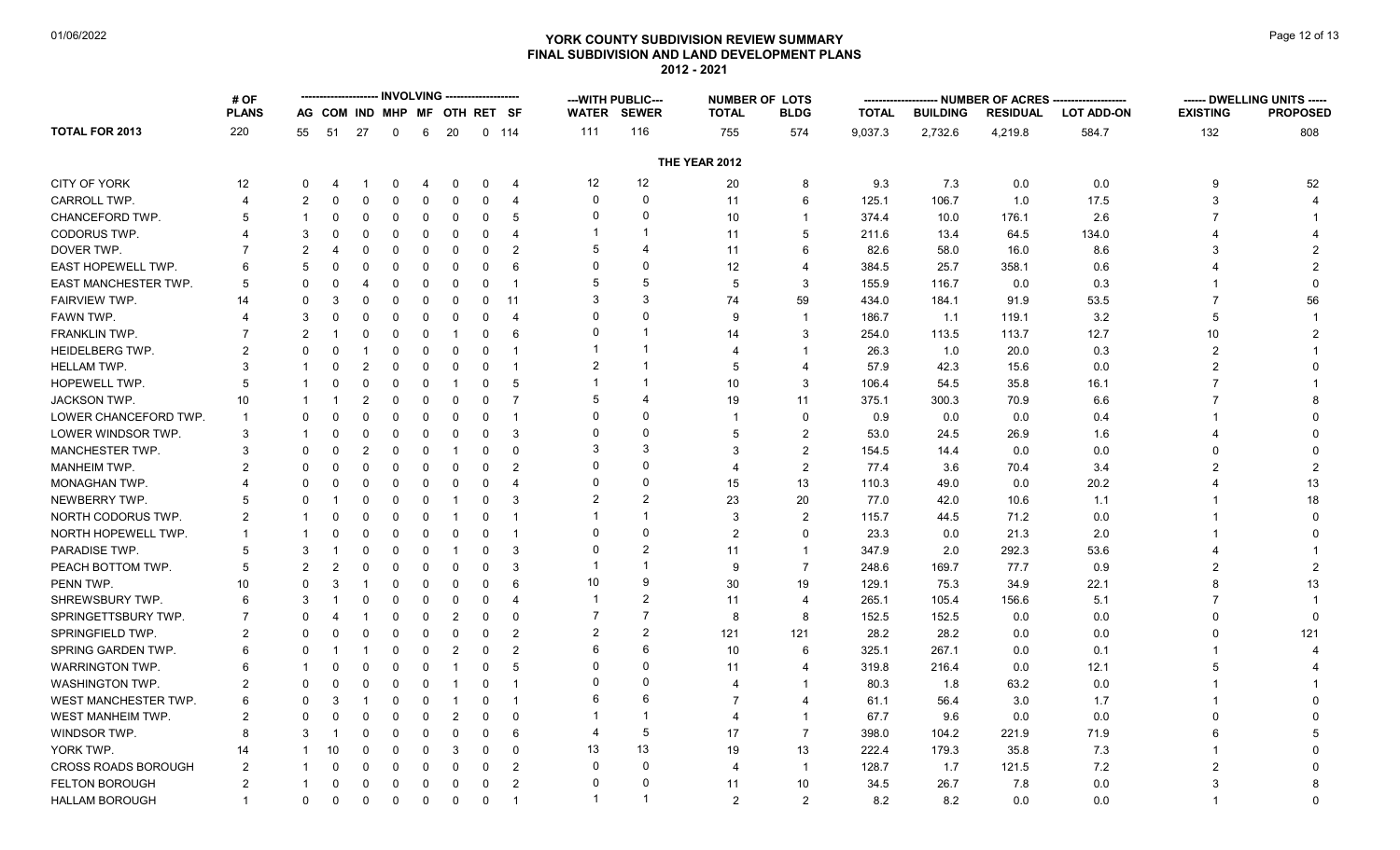# **YORK COUNTY SUBDIVISION REVIEW SUMMARY Page 12 of 13** Page 12 of 13 **FINAL SUBDIVISION AND LAND DEVELOPMENT PLANS 2012 - 2021**

|                             | # OF           |                |                              |                |          |             |                |              |                         |                | --- WITH PUBLIC--- |                | <b>NUMBER OF LOTS</b>   |              |                 | -- NUMBER OF ACRES ------- |                   |                 | ------ DWELLING UNITS ----- |
|-----------------------------|----------------|----------------|------------------------------|----------------|----------|-------------|----------------|--------------|-------------------------|----------------|--------------------|----------------|-------------------------|--------------|-----------------|----------------------------|-------------------|-----------------|-----------------------------|
|                             | <b>PLANS</b>   |                | AG COM IND MHP MF OTH RET SF |                |          |             |                |              |                         |                | <b>WATER SEWER</b> | <b>TOTAL</b>   | <b>BLDG</b>             | <b>TOTAL</b> | <b>BUILDING</b> | <b>RESIDUAL</b>            | <b>LOT ADD-ON</b> | <b>EXISTING</b> | <b>PROPOSED</b>             |
| <b>TOTAL FOR 2013</b>       | 220            | 55             | 51                           | 27             | 0        | 6           | 20             |              | $0$ 114                 | 111            | 116                | 755            | 574                     | 9,037.3      | 2,732.6         | 4,219.8                    | 584.7             | 132             | 808                         |
|                             |                |                |                              |                |          |             |                |              |                         |                |                    | THE YEAR 2012  |                         |              |                 |                            |                   |                 |                             |
| <b>CITY OF YORK</b>         | 12             | $\Omega$       |                              |                | $\Omega$ | 4           | $\Omega$       | 0            | $\overline{4}$          | 12             | 12                 | 20             | 8                       | 9.3          | 7.3             | 0.0                        | 0.0               | 9               | 52                          |
| CARROLL TWP.                | 4              | $\mathfrak{p}$ | $\Omega$                     | 0              | $\Omega$ | $\Omega$    | $\Omega$       | 0            | 4                       | $\Omega$       | $\Omega$           | 11             | 6                       | 125.1        | 106.7           | 1.0                        | 17.5              | 3               |                             |
| CHANCEFORD TWP.             | 5              | -1             | 0                            | 0              | 0        | $\Omega$    | $\Omega$       | $\mathbf 0$  | 5                       | 0              | $\Omega$           | 10             | $\overline{1}$          | 374.4        | 10.0            | 176.1                      | 2.6               |                 |                             |
| <b>CODORUS TWP.</b>         | 4              | 3              | $\Omega$                     | $\Omega$       | $\Omega$ | $\mathbf 0$ | $\Omega$       | $\mathbf 0$  | 4                       |                |                    | 11             | 5                       | 211.6        | 13.4            | 64.5                       | 134.0             |                 |                             |
| DOVER TWP.                  |                | $\mathcal{P}$  |                              | $\Omega$       | $\Omega$ | $\Omega$    | $\Omega$       | $\mathbf 0$  | $\overline{2}$          | 5              | $\overline{4}$     | 11             | 6                       | 82.6         | 58.0            | 16.0                       | 8.6               | 3               |                             |
| EAST HOPEWELL TWP.          | 6              | 5              | $\Omega$                     | 0              | $\Omega$ | $\mathbf 0$ | 0              | 0            | 6                       | $\Omega$       | $\Omega$           | 12             | $\overline{4}$          | 384.5        | 25.7            | 358.1                      | 0.6               |                 |                             |
| <b>EAST MANCHESTER TWP.</b> | 5              | $\Omega$       | $\Omega$                     | 4              | 0        | $\Omega$    | 0              | 0            | $\overline{\mathbf{1}}$ | 5              | 5                  | 5              | 3                       | 155.9        | 116.7           | 0.0                        | 0.3               |                 |                             |
| FAIRVIEW TWP.               | 14             | $\Omega$       | 3                            | $\Omega$       | $\Omega$ | $\mathbf 0$ | 0              | $\mathbf 0$  | 11                      | 3              | 3                  | 74             | 59                      | 434.0        | 184.1           | 91.9                       | 53.5              | $\overline{7}$  | 56                          |
| <b>FAWN TWP</b>             |                | 3              | $\Omega$                     | $\Omega$       | $\Omega$ | $\Omega$    | $\Omega$       | $\Omega$     | $\boldsymbol{\Delta}$   | 0              | $\Omega$           | <b>q</b>       | $\overline{\mathbf{1}}$ | 186.7        | 1.1             | 119.1                      | 3.2               | 5               |                             |
| FRANKLIN TWP.               |                | $\overline{2}$ | -1                           | 0              | $\Omega$ | $\mathbf 0$ | -1             | $\mathbf 0$  | 6                       | 0              | $\overline{1}$     | 14             | 3                       | 254.0        | 113.5           | 113.7                      | 12.7              | 10              |                             |
| <b>HEIDELBERG TWP.</b>      | $\overline{2}$ | $\Omega$       | $\Omega$                     | -1             | 0        | $\Omega$    | 0              | $\mathbf 0$  | -1                      |                |                    | 4              | -1                      | 26.3         | 1.0             | 20.0                       | 0.3               | $\overline{2}$  |                             |
| HELLAM TWP.                 | 3              |                | $\Omega$                     | 2              | $\Omega$ | 0           | $\Omega$       | $\mathbf 0$  | $\overline{\mathbf{1}}$ | 2              |                    | 5              | $\overline{4}$          | 57.9         | 42.3            | 15.6                       | 0.0               | $\mathfrak{p}$  |                             |
| HOPEWELL TWP.               | 5              |                |                              | $\Omega$       | $\Omega$ | $\mathbf 0$ | -1             | $\mathbf 0$  | 5                       |                |                    | 10             | 3                       | 106.4        | 54.5            | 35.8                       | 16.1              |                 |                             |
| <b>JACKSON TWP.</b>         | 10             | -1             |                              | $\overline{2}$ | $\Omega$ | $\mathbf 0$ | $\Omega$       | $\mathbf 0$  | $\overline{7}$          | 5              |                    | 19             | 11                      | 375.1        | 300.3           | 70.9                       | 6.6               |                 |                             |
| LOWER CHANCEFORD TWP.       | $\overline{1}$ | $\Omega$       | $\Omega$                     | $\Omega$       | 0        | $\mathbf 0$ | $\Omega$       | $\mathbf 0$  | $\overline{\mathbf{1}}$ | $\Omega$       | $\Omega$           |                | $\mathbf 0$             | 0.9          | 0.0             | 0.0                        | 0.4               |                 |                             |
| LOWER WINDSOR TWP.          | 3              | -1             | $\Omega$                     | $\Omega$       | $\Omega$ | $\Omega$    | $\Omega$       | $\mathbf 0$  | 3                       | 0              | $\Omega$           | .5             | $\overline{2}$          | 53.0         | 24.5            | 26.9                       | 1.6               |                 |                             |
| MANCHESTER TWP.             | 3              | $\Omega$       | $\Omega$                     | 2              | $\Omega$ | $\Omega$    | -1             | $\mathbf 0$  | $\mathbf{0}$            | 3              | 3                  | $\mathcal{R}$  | $\overline{2}$          | 154.5        | 14.4            | 0.0                        | 0.0               | $\Omega$        |                             |
| MANHEIM TWP.                | 2              | $\Omega$       | $\Omega$                     | $\Omega$       | $\Omega$ | $\mathbf 0$ | $\Omega$       | $\mathbf 0$  | $\mathfrak{p}$          | $\Omega$       | $\Omega$           | $\overline{4}$ | $\overline{2}$          | 77.4         | 3.6             | 70.4                       | 3.4               |                 |                             |
| MONAGHAN TWP.               |                | $\Omega$       | 0                            | $\Omega$       | 0        | 0           | 0              | $\mathbf 0$  | 4                       | 0              | $\Omega$           | 15             | 13                      | 110.3        | 49.0            | 0.0                        | 20.2              | 4               | 13                          |
| NEWBERRY TWP.               | 5              | $\Omega$       |                              | $\Omega$       | $\Omega$ | $\mathbf 0$ | -1             | $\Omega$     | 3                       | $\overline{2}$ |                    | 23             | 20                      | 77.0         | 42.0            | 10.6                       | 1.1               |                 | 18                          |
| NORTH CODORUS TWP.          | $\overline{2}$ | $\mathbf{1}$   | $\Omega$                     | $\Omega$       | $\Omega$ | $\Omega$    | -1             | $\mathbf 0$  | $\overline{\mathbf{1}}$ |                |                    | 3              | $\overline{2}$          | 115.7        | 44.5            | 71.2                       | 0.0               |                 | $\Omega$                    |
| NORTH HOPEWELL TWP.         | -1             | -1             | $\Omega$                     | $\Omega$       | $\Omega$ | 0           | $\mathbf 0$    | $\mathbf 0$  | $\overline{1}$          | $\Omega$       | $\Omega$           | $\overline{2}$ | $\Omega$                | 23.3         | 0.0             | 21.3                       | 2.0               |                 |                             |
| PARADISE TWP.               | 5              | 3              |                              | $\Omega$       | $\Omega$ | 0           | -1             | 0            | 3                       | $\Omega$       | $\mathcal{P}$      | 11             | $\overline{1}$          | 347.9        | 2.0             | 292.3                      | 53.6              |                 |                             |
| PEACH BOTTOM TWP.           | 5              | 2              |                              | $\Omega$       | $\Omega$ | $\Omega$    | $\Omega$       | $\mathbf{0}$ | 3                       |                |                    | 9              | $\overline{7}$          | 248.6        | 169.7           | 77.7                       | 0.9               |                 |                             |
| PENN TWP.                   | 10             | $\Omega$       | 3                            | -1             | $\Omega$ | $\Omega$    | 0              | $\mathbf 0$  | 6                       | 10             | 9                  | 30             | 19                      | 129.1        | 75.3            | 34.9                       | 22.1              | 8               | 13                          |
| <b>SHREWSBURY TWP</b>       | 6              | 3              |                              | $\Omega$       | $\Omega$ | $\Omega$    | 0              | $\mathbf 0$  | $\boldsymbol{\Delta}$   |                | 2                  | 11             | $\overline{4}$          | 265.1        | 105.4           | 156.6                      | 5.1               |                 |                             |
| SPRINGETTSBURY TWP.         | 7              | $\Omega$       |                              | -1             | $\Omega$ | 0           | $\overline{2}$ | $\mathbf 0$  | $\Omega$                | $\overline{7}$ |                    | 8              | 8                       | 152.5        | 152.5           | 0.0                        | 0.0               | $\Omega$        | $\Omega$                    |
| SPRINGFIELD TWP.            | $\overline{2}$ | $\Omega$       |                              | $\Omega$       | $\Omega$ | $\Omega$    | $\Omega$       | $\mathbf 0$  | $\overline{2}$          | $\overline{2}$ | $\overline{2}$     | 121            | 121                     | 28.2         | 28.2            | 0.0                        | 0.0               | $\Omega$        | 121                         |
| SPRING GARDEN TWP.          | 6              | $\Omega$       |                              | -1             | 0        | $\mathbf 0$ | $\overline{2}$ | $\mathbf 0$  | 2                       | 6              | 6                  | 10             | 6                       | 325.1        | 267.1           | 0.0                        | 0.1               |                 |                             |
| <b>WARRINGTON TWP.</b>      | 6              |                | 0                            | $\Omega$       | $\Omega$ | $\mathbf 0$ | -1             | $\mathbf 0$  | 5                       | 0              | $\Omega$           | 11             | $\boldsymbol{\Delta}$   | 319.8        | 216.4           | 0.0                        | 12.1              | 5               |                             |
| <b>WASHINGTON TWP.</b>      | $\overline{2}$ | $\Omega$       | $\Omega$                     | $\Omega$       | $\Omega$ | 0           | -1             | $\mathbf 0$  | -1                      | O              | $\Omega$           | Δ              | -1                      | 80.3         | 1.8             | 63.2                       | 0.0               |                 |                             |
| WEST MANCHESTER TWP.        | 6              | $\Omega$       | 3                            | $\overline{1}$ | 0        | $\Omega$    | -1             | $\mathbf 0$  | $\mathbf 1$             | 6              | 6                  | 7              | 4                       | 61.1         | 56.4            | 3.0                        | 1.7               |                 |                             |
| WEST MANHEIM TWP.           | $\overline{2}$ | $\Omega$       | $\Omega$                     | $\Omega$       | $\Omega$ | $\Omega$    | $\overline{2}$ | 0            | $\mathbf{0}$            |                |                    | 4              | $\overline{1}$          | 67.7         | 9.6             | 0.0                        | 0.0               | $\Omega$        |                             |
| WINDSOR TWP.                | 8              | 3              |                              | $\Omega$       | $\Omega$ | 0           | 0              | $\mathbf 0$  | 6                       | 4              | 5                  | 17             | $\overline{7}$          | 398.0        | 104.2           | 221.9                      | 71.9              | 6               |                             |
| YORK TWP.                   | 14             | -1             | 10                           | $\Omega$       | $\Omega$ | 0           | 3              | $\mathbf 0$  | $\mathbf 0$             | 13             | 13                 | 19             | 13                      | 222.4        | 179.3           | 35.8                       | 7.3               |                 |                             |
| <b>CROSS ROADS BOROUGH</b>  | $\overline{2}$ | 1              | $\Omega$                     | $\Omega$       | $\Omega$ | $\mathbf 0$ | 0              | $\mathbf 0$  | 2                       | 0              | $\Omega$           | 4              | $\overline{1}$          | 128.7        | 1.7             | 121.5                      | 7.2               | 2               |                             |
| <b>FELTON BOROUGH</b>       | $\overline{2}$ | -1             | $\Omega$                     | $\Omega$       | $\Omega$ | 0           | 0              | 0            | $\overline{2}$          | $\Omega$       | $\Omega$           | 11             | 10                      | 34.5         | 26.7            | 7.8                        | 0.0               | 3               |                             |
| <b>HALLAM BOROUGH</b>       | $\mathbf{1}$   | 0              | 0                            | 0              | 0        | 0           | 0              | $\mathbf 0$  | $\mathbf 1$             | 1              | -1                 | 2              | 2                       | 8.2          | 8.2             | 0.0                        | 0.0               | 1               | $\Omega$                    |